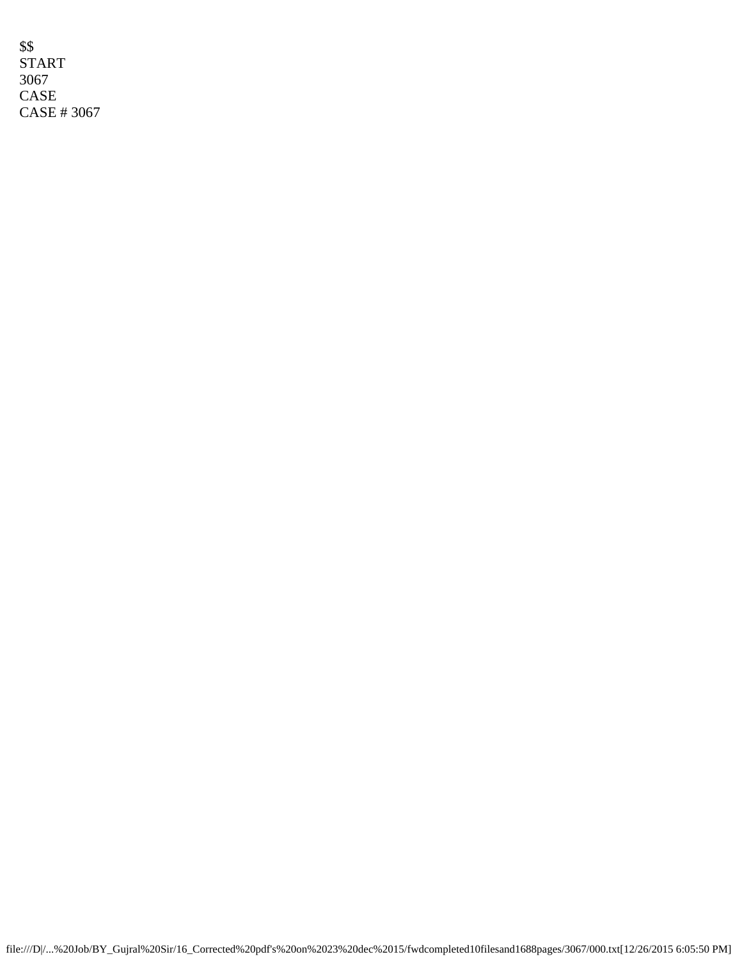\$\$ START 3067 CASE CASE # 3067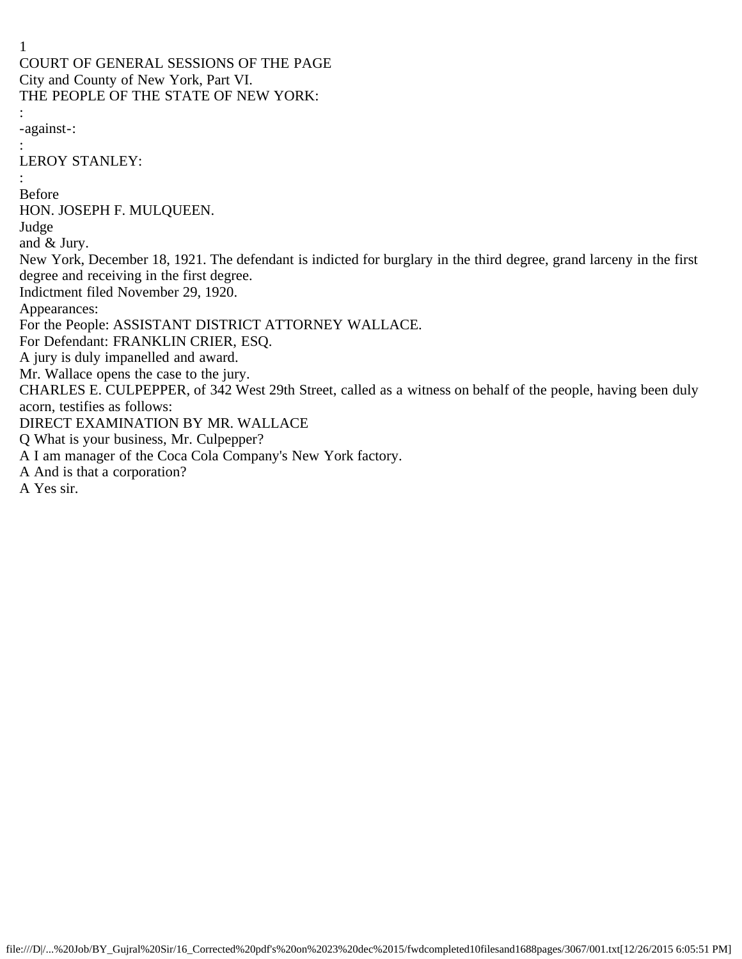1 COURT OF GENERAL SESSIONS OF THE PAGE City and County of New York, Part VI. THE PEOPLE OF THE STATE OF NEW YORK: : -against-: : LEROY STANLEY: : Before HON. JOSEPH F. MULQUEEN. Judge and & Jury. New York, December 18, 1921. The defendant is indicted for burglary in the third degree, grand larceny in the first degree and receiving in the first degree. Indictment filed November 29, 1920. Appearances: For the People: ASSISTANT DISTRICT ATTORNEY WALLACE. For Defendant: FRANKLIN CRIER, ESQ. A jury is duly impanelled and award. Mr. Wallace opens the case to the jury. CHARLES E. CULPEPPER, of 342 West 29th Street, called as a witness on behalf of the people, having been duly acorn, testifies as follows: DIRECT EXAMINATION BY MR. WALLACE Q What is your business, Mr. Culpepper? A I am manager of the Coca Cola Company's New York factory. A And is that a corporation? A Yes sir.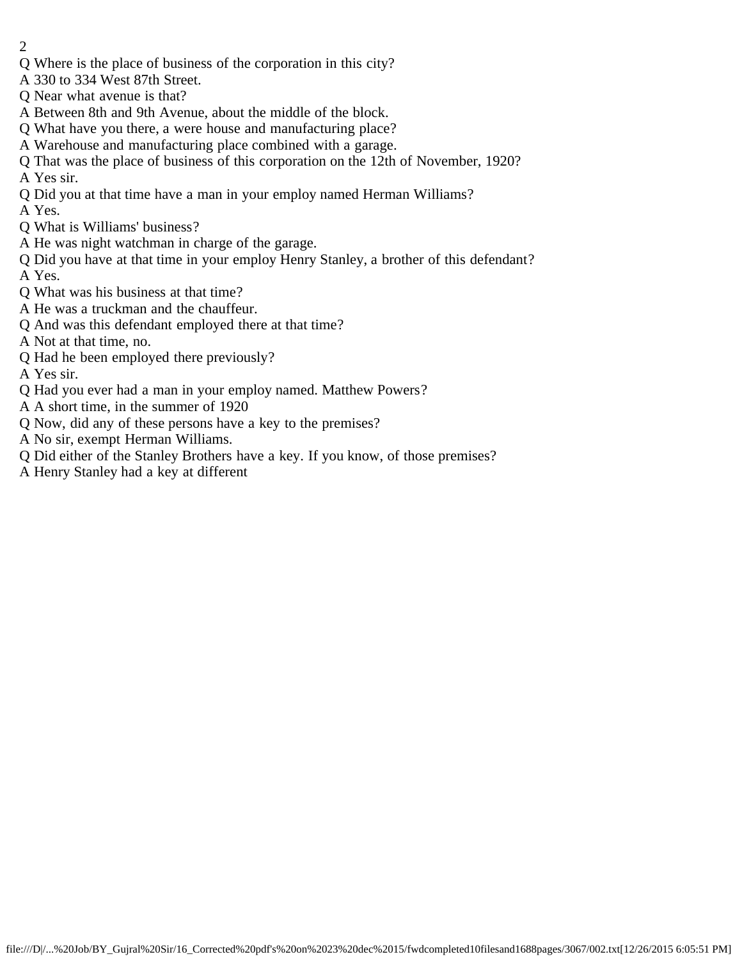- 2
- Q Where is the place of business of the corporation in this city?
- A 330 to 334 West 87th Street.
- Q Near what avenue is that?
- A Between 8th and 9th Avenue, about the middle of the block.
- Q What have you there, a were house and manufacturing place?
- A Warehouse and manufacturing place combined with a garage.
- Q That was the place of business of this corporation on the 12th of November, 1920? A Yes sir.
- Q Did you at that time have a man in your employ named Herman Williams?
- A Yes.
- Q What is Williams' business?
- A He was night watchman in charge of the garage.
- Q Did you have at that time in your employ Henry Stanley, a brother of this defendant? A Yes.
- Q What was his business at that time?
- A He was a truckman and the chauffeur.
- Q And was this defendant employed there at that time?
- A Not at that time, no.
- Q Had he been employed there previously?
- A Yes sir.
- Q Had you ever had a man in your employ named. Matthew Powers?
- A A short time, in the summer of 1920
- Q Now, did any of these persons have a key to the premises?
- A No sir, exempt Herman Williams.
- Q Did either of the Stanley Brothers have a key. If you know, of those premises?
- A Henry Stanley had a key at different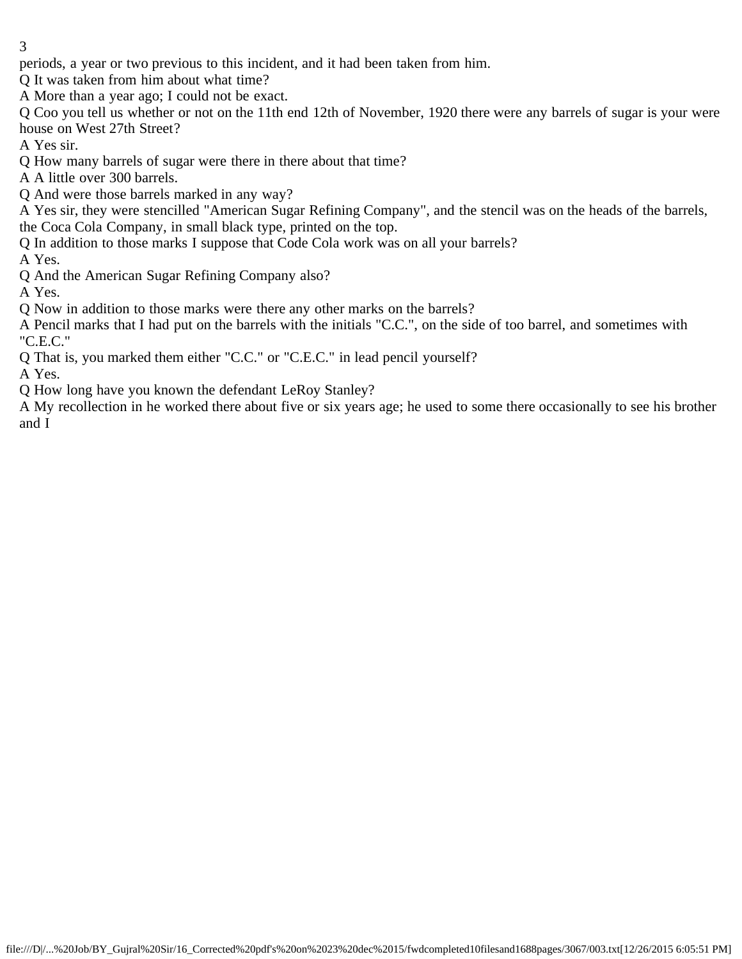periods, a year or two previous to this incident, and it had been taken from him.

Q It was taken from him about what time?

A More than a year ago; I could not be exact.

Q Coo you tell us whether or not on the 11th end 12th of November, 1920 there were any barrels of sugar is your were house on West 27th Street?

A Yes sir.

Q How many barrels of sugar were there in there about that time?

A A little over 300 barrels.

Q And were those barrels marked in any way?

A Yes sir, they were stencilled "American Sugar Refining Company", and the stencil was on the heads of the barrels, the Coca Cola Company, in small black type, printed on the top.

Q In addition to those marks I suppose that Code Cola work was on all your barrels?

A Yes.

Q And the American Sugar Refining Company also?

A Yes.

Q Now in addition to those marks were there any other marks on the barrels?

A Pencil marks that I had put on the barrels with the initials "C.C.", on the side of too barrel, and sometimes with "C.E.C."

Q That is, you marked them either "C.C." or "C.E.C." in lead pencil yourself?

A Yes.

Q How long have you known the defendant LeRoy Stanley?

A My recollection in he worked there about five or six years age; he used to some there occasionally to see his brother and I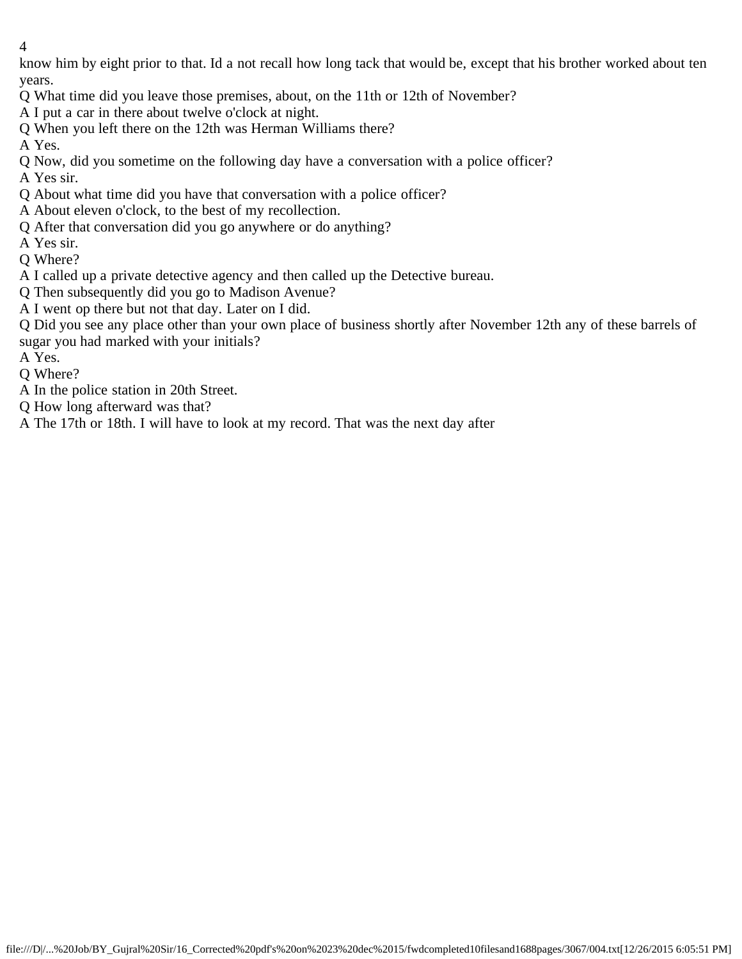know him by eight prior to that. Id a not recall how long tack that would be, except that his brother worked about ten years.

- Q What time did you leave those premises, about, on the 11th or 12th of November?
- A I put a car in there about twelve o'clock at night.
- Q When you left there on the 12th was Herman Williams there?

A Yes.

Q Now, did you sometime on the following day have a conversation with a police officer?

A Yes sir.

- Q About what time did you have that conversation with a police officer?
- A About eleven o'clock, to the best of my recollection.
- Q After that conversation did you go anywhere or do anything?
- A Yes sir.
- Q Where?
- A I called up a private detective agency and then called up the Detective bureau.
- Q Then subsequently did you go to Madison Avenue?
- A I went op there but not that day. Later on I did.

Q Did you see any place other than your own place of business shortly after November 12th any of these barrels of sugar you had marked with your initials?

A Yes.

Q Where?

- A In the police station in 20th Street.
- Q How long afterward was that?

A The 17th or 18th. I will have to look at my record. That was the next day after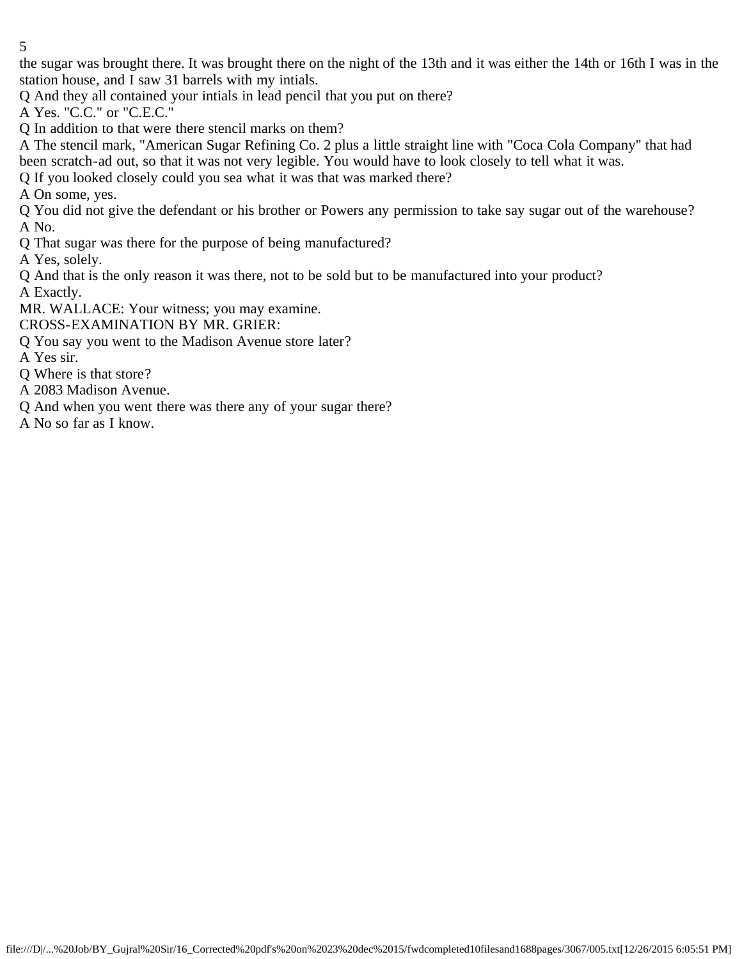the sugar was brought there. It was brought there on the night of the 13th and it was either the 14th or 16th I was in the station house, and I saw 31 barrels with my intials.

Q And they all contained your intials in lead pencil that you put on there?

A Yes. "C.C." or "C.E.C."

Q In addition to that were there stencil marks on them?

A The stencil mark, "American Sugar Refining Co. 2 plus a little straight line with "Coca Cola Company" that had been scratch-ad out, so that it was not very legible. You would have to look closely to tell what it was.

Q If you looked closely could you sea what it was that was marked there?

A On some, yes.

Q You did not give the defendant or his brother or Powers any permission to take say sugar out of the warehouse? A No.

Q That sugar was there for the purpose of being manufactured?

A Yes, solely.

Q And that is the only reason it was there, not to be sold but to be manufactured into your product? A Exactly.

MR. WALLACE: Your witness; you may examine.

CROSS-EXAMINATION BY MR. GRIER:

Q You say you went to the Madison Avenue store later?

A Yes sir.

- Q Where is that store?
- A 2083 Madison Avenue.
- Q And when you went there was there any of your sugar there?
- A No so far as I know.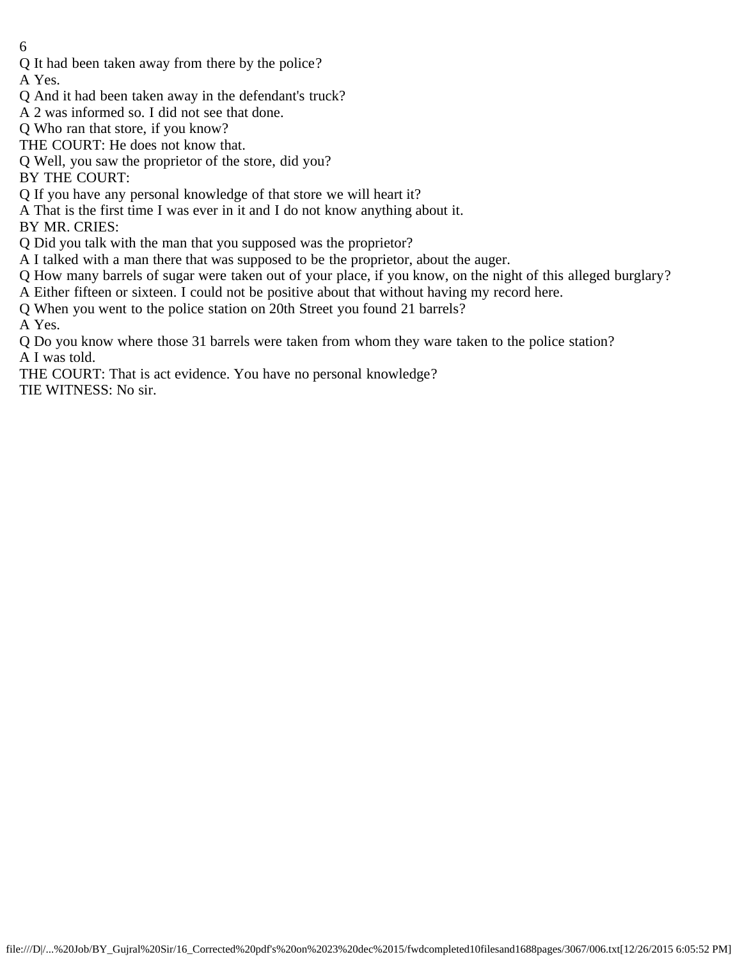Q It had been taken away from there by the police?

A Yes.

- Q And it had been taken away in the defendant's truck?
- A 2 was informed so. I did not see that done.
- Q Who ran that store, if you know?
- THE COURT: He does not know that.
- Q Well, you saw the proprietor of the store, did you?

BY THE COURT:

- Q If you have any personal knowledge of that store we will heart it?
- A That is the first time I was ever in it and I do not know anything about it.

BY MR. CRIES:

Q Did you talk with the man that you supposed was the proprietor?

- A I talked with a man there that was supposed to be the proprietor, about the auger.
- Q How many barrels of sugar were taken out of your place, if you know, on the night of this alleged burglary?
- A Either fifteen or sixteen. I could not be positive about that without having my record here.
- Q When you went to the police station on 20th Street you found 21 barrels?

A Yes.

- Q Do you know where those 31 barrels were taken from whom they ware taken to the police station? A I was told.
- THE COURT: That is act evidence. You have no personal knowledge?

TIE WITNESS: No sir.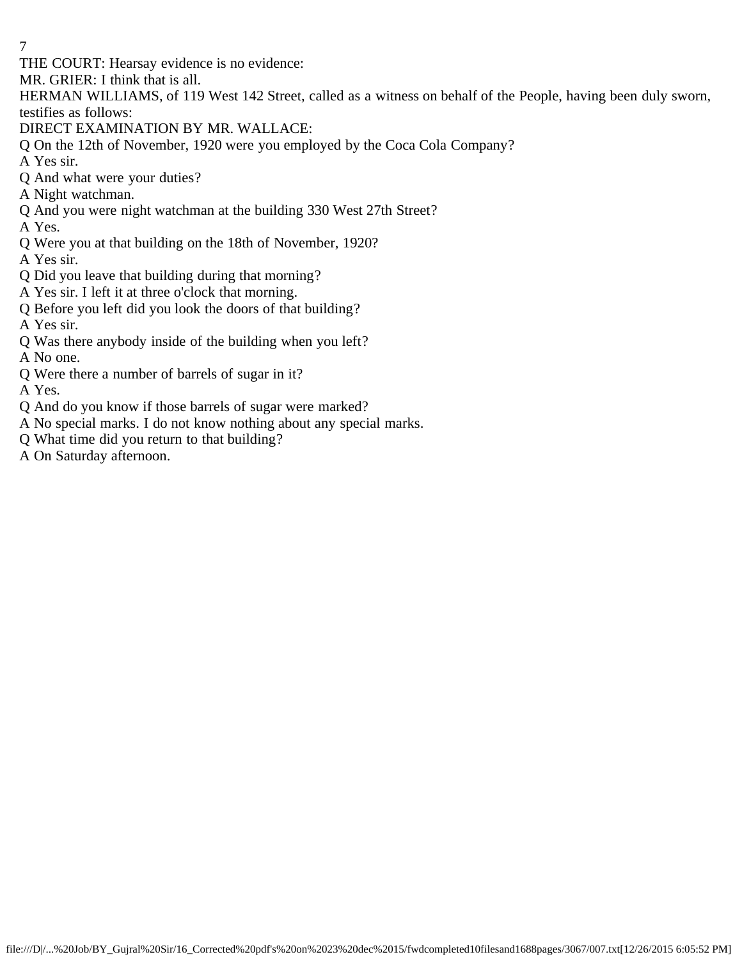THE COURT: Hearsay evidence is no evidence:

MR. GRIER: I think that is all.

HERMAN WILLIAMS, of 119 West 142 Street, called as a witness on behalf of the People, having been duly sworn, testifies as follows:

DIRECT EXAMINATION BY MR. WALLACE:

Q On the 12th of November, 1920 were you employed by the Coca Cola Company?

A Yes sir.

- Q And what were your duties?
- A Night watchman.
- Q And you were night watchman at the building 330 West 27th Street?
- A Yes.
- Q Were you at that building on the 18th of November, 1920?

A Yes sir.

- Q Did you leave that building during that morning?
- A Yes sir. I left it at three o'clock that morning.
- Q Before you left did you look the doors of that building?

A Yes sir.

Q Was there anybody inside of the building when you left?

A No one.

Q Were there a number of barrels of sugar in it?

A Yes.

- Q And do you know if those barrels of sugar were marked?
- A No special marks. I do not know nothing about any special marks.
- Q What time did you return to that building?
- A On Saturday afternoon.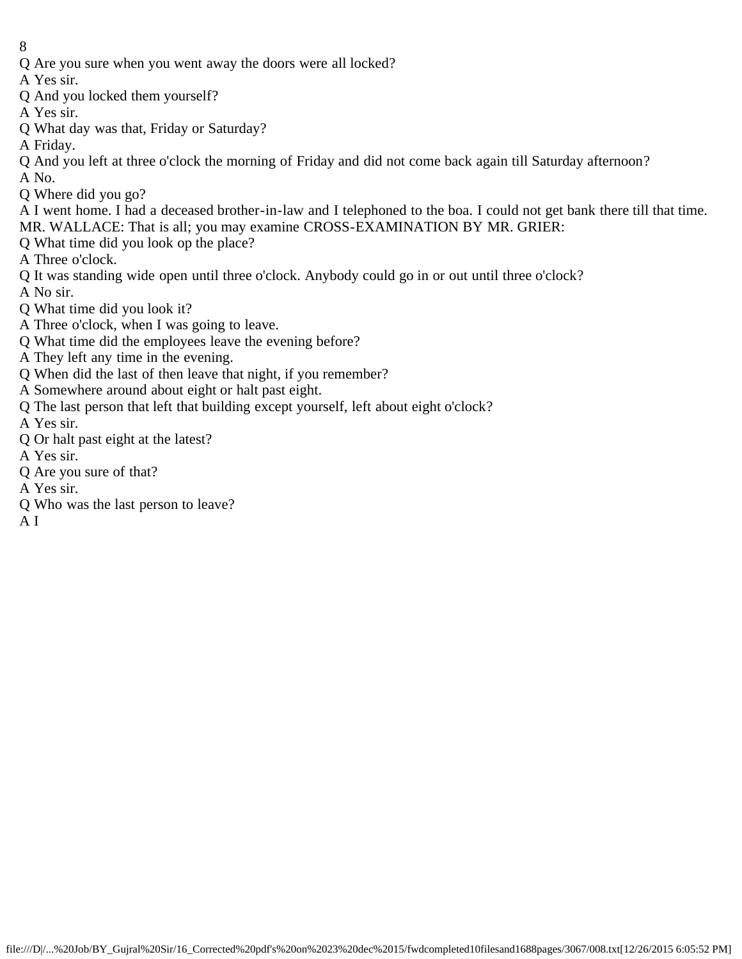- 8
- Q Are you sure when you went away the doors were all locked?
- A Yes sir.
- Q And you locked them yourself?
- A Yes sir.
- Q What day was that, Friday or Saturday?
- A Friday.
- Q And you left at three o'clock the morning of Friday and did not come back again till Saturday afternoon?
- A No.
- Q Where did you go?
- A I went home. I had a deceased brother-in-law and I telephoned to the boa. I could not get bank there till that time.
- MR. WALLACE: That is all; you may examine CROSS-EXAMINATION BY MR. GRIER:
- Q What time did you look op the place?
- A Three o'clock.
- Q It was standing wide open until three o'clock. Anybody could go in or out until three o'clock?
- A No sir.
- Q What time did you look it?
- A Three o'clock, when I was going to leave.
- Q What time did the employees leave the evening before?
- A They left any time in the evening.
- Q When did the last of then leave that night, if you remember?
- A Somewhere around about eight or halt past eight.
- Q The last person that left that building except yourself, left about eight o'clock?
- A Yes sir.
- Q Or halt past eight at the latest?
- A Yes sir.
- Q Are you sure of that?
- A Yes sir.
- Q Who was the last person to leave?
- A I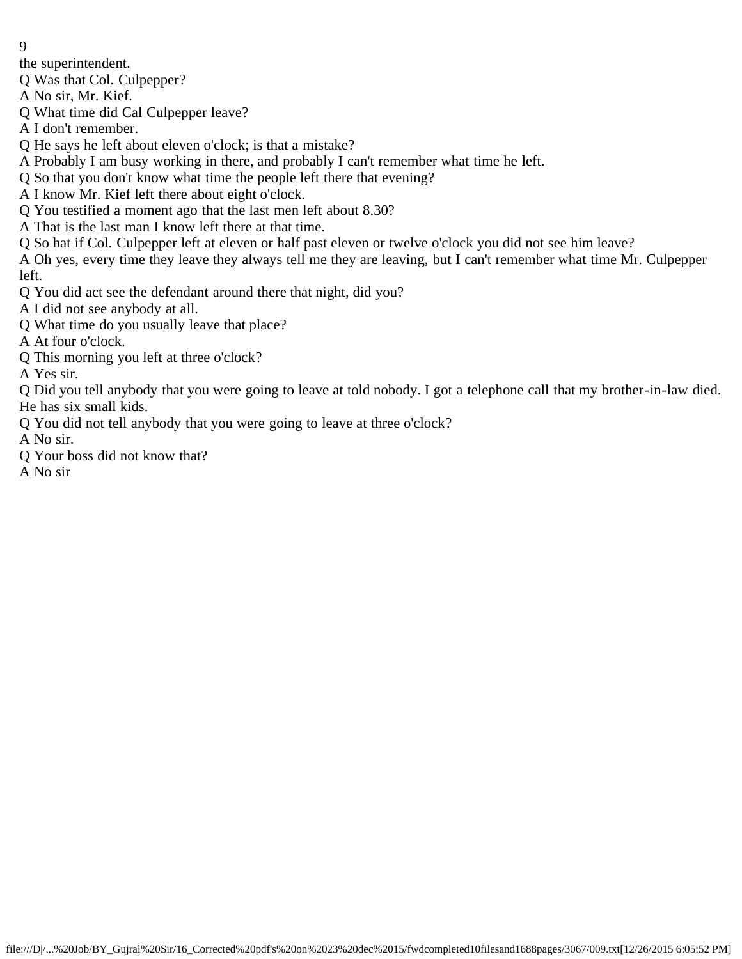the superintendent.

Q Was that Col. Culpepper?

A No sir, Mr. Kief.

Q What time did Cal Culpepper leave?

A I don't remember.

Q He says he left about eleven o'clock; is that a mistake?

A Probably I am busy working in there, and probably I can't remember what time he left.

Q So that you don't know what time the people left there that evening?

A I know Mr. Kief left there about eight o'clock.

Q You testified a moment ago that the last men left about 8.30?

A That is the last man I know left there at that time.

Q So hat if Col. Culpepper left at eleven or half past eleven or twelve o'clock you did not see him leave?

A Oh yes, every time they leave they always tell me they are leaving, but I can't remember what time Mr. Culpepper left.

Q You did act see the defendant around there that night, did you?

A I did not see anybody at all.

Q What time do you usually leave that place?

A At four o'clock.

Q This morning you left at three o'clock?

A Yes sir.

Q Did you tell anybody that you were going to leave at told nobody. I got a telephone call that my brother-in-law died. He has six small kids.

Q You did not tell anybody that you were going to leave at three o'clock?

A No sir.

Q Your boss did not know that?

A No sir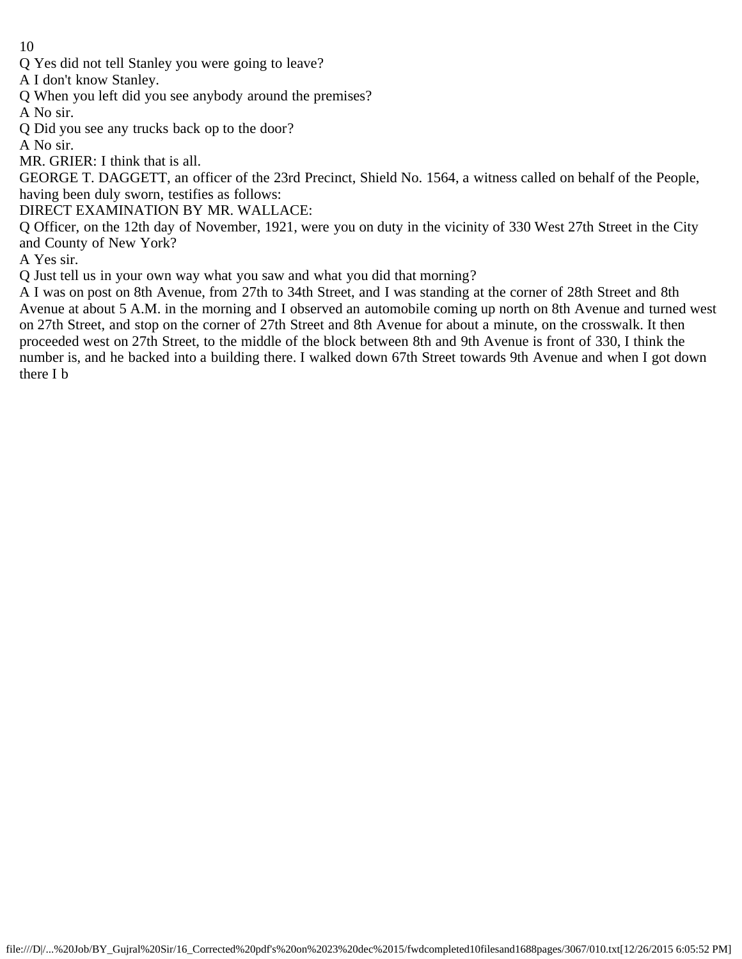Q Yes did not tell Stanley you were going to leave?

A I don't know Stanley.

- Q When you left did you see anybody around the premises?
- A No sir.
- Q Did you see any trucks back op to the door?

A No sir.

MR. GRIER: I think that is all.

GEORGE T. DAGGETT, an officer of the 23rd Precinct, Shield No. 1564, a witness called on behalf of the People, having been duly sworn, testifies as follows:

DIRECT EXAMINATION BY MR. WALLACE:

Q Officer, on the 12th day of November, 1921, were you on duty in the vicinity of 330 West 27th Street in the City and County of New York?

A Yes sir.

Q Just tell us in your own way what you saw and what you did that morning?

A I was on post on 8th Avenue, from 27th to 34th Street, and I was standing at the corner of 28th Street and 8th Avenue at about 5 A.M. in the morning and I observed an automobile coming up north on 8th Avenue and turned west on 27th Street, and stop on the corner of 27th Street and 8th Avenue for about a minute, on the crosswalk. It then proceeded west on 27th Street, to the middle of the block between 8th and 9th Avenue is front of 330, I think the number is, and he backed into a building there. I walked down 67th Street towards 9th Avenue and when I got down there I b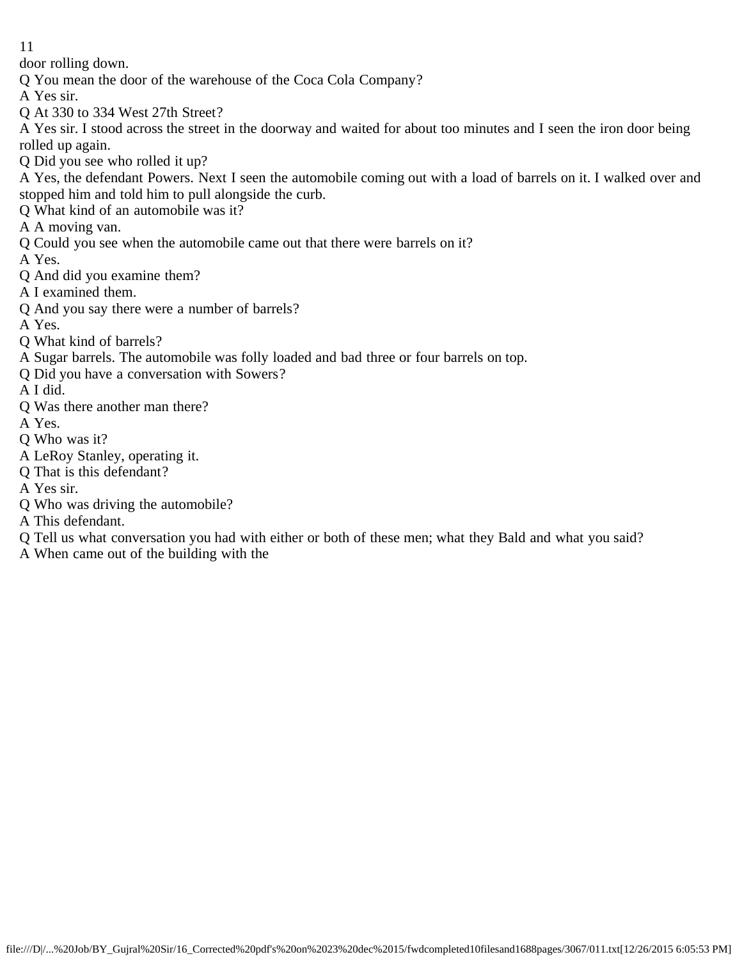door rolling down.

- Q You mean the door of the warehouse of the Coca Cola Company?
- A Yes sir.
- Q At 330 to 334 West 27th Street?

A Yes sir. I stood across the street in the doorway and waited for about too minutes and I seen the iron door being rolled up again.

Q Did you see who rolled it up?

A Yes, the defendant Powers. Next I seen the automobile coming out with a load of barrels on it. I walked over and stopped him and told him to pull alongside the curb.

- Q What kind of an automobile was it?
- A A moving van.
- Q Could you see when the automobile came out that there were barrels on it?

A Yes.

- Q And did you examine them?
- A I examined them.
- Q And you say there were a number of barrels?
- A Yes.
- Q What kind of barrels?
- A Sugar barrels. The automobile was folly loaded and bad three or four barrels on top.
- Q Did you have a conversation with Sowers?
- A I did.
- Q Was there another man there?
- A Yes.
- Q Who was it?
- A LeRoy Stanley, operating it.
- Q That is this defendant?
- A Yes sir.
- Q Who was driving the automobile?
- A This defendant.
- Q Tell us what conversation you had with either or both of these men; what they Bald and what you said?
- A When came out of the building with the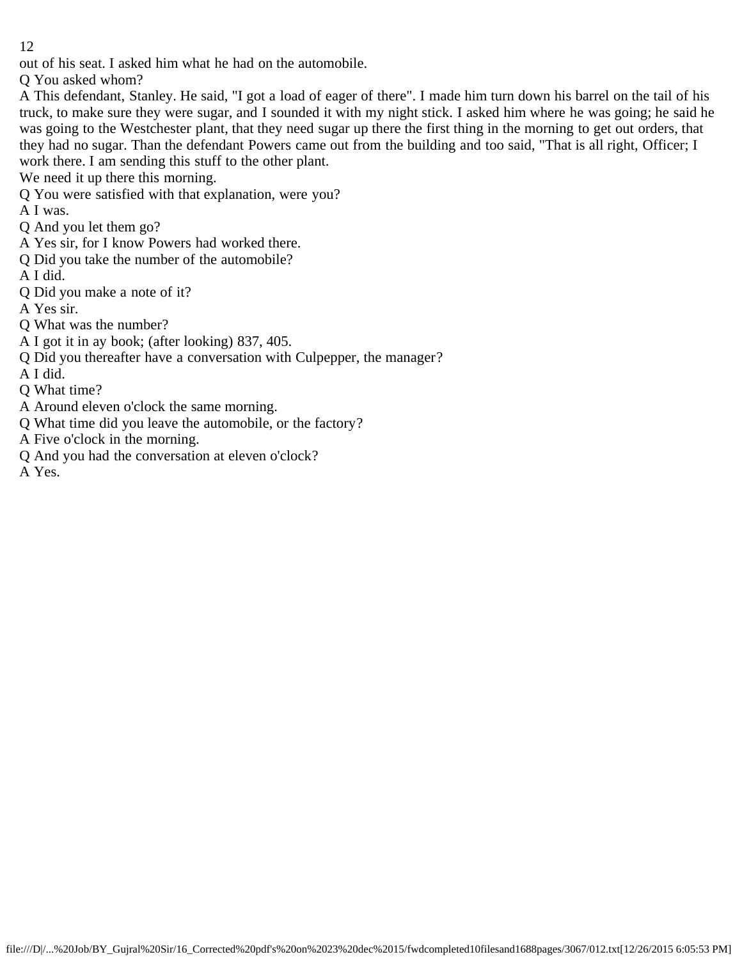out of his seat. I asked him what he had on the automobile.

Q You asked whom?

A This defendant, Stanley. He said, "I got a load of eager of there". I made him turn down his barrel on the tail of his truck, to make sure they were sugar, and I sounded it with my night stick. I asked him where he was going; he said he was going to the Westchester plant, that they need sugar up there the first thing in the morning to get out orders, that they had no sugar. Than the defendant Powers came out from the building and too said, "That is all right, Officer; I work there. I am sending this stuff to the other plant.

We need it up there this morning.

Q You were satisfied with that explanation, were you?

A I was.

Q And you let them go?

- A Yes sir, for I know Powers had worked there.
- Q Did you take the number of the automobile?

A I did.

- Q Did you make a note of it?
- A Yes sir.
- Q What was the number?

A I got it in ay book; (after looking) 837, 405.

Q Did you thereafter have a conversation with Culpepper, the manager?

A I did.

- Q What time?
- A Around eleven o'clock the same morning.
- Q What time did you leave the automobile, or the factory?
- A Five o'clock in the morning.
- Q And you had the conversation at eleven o'clock?

A Yes.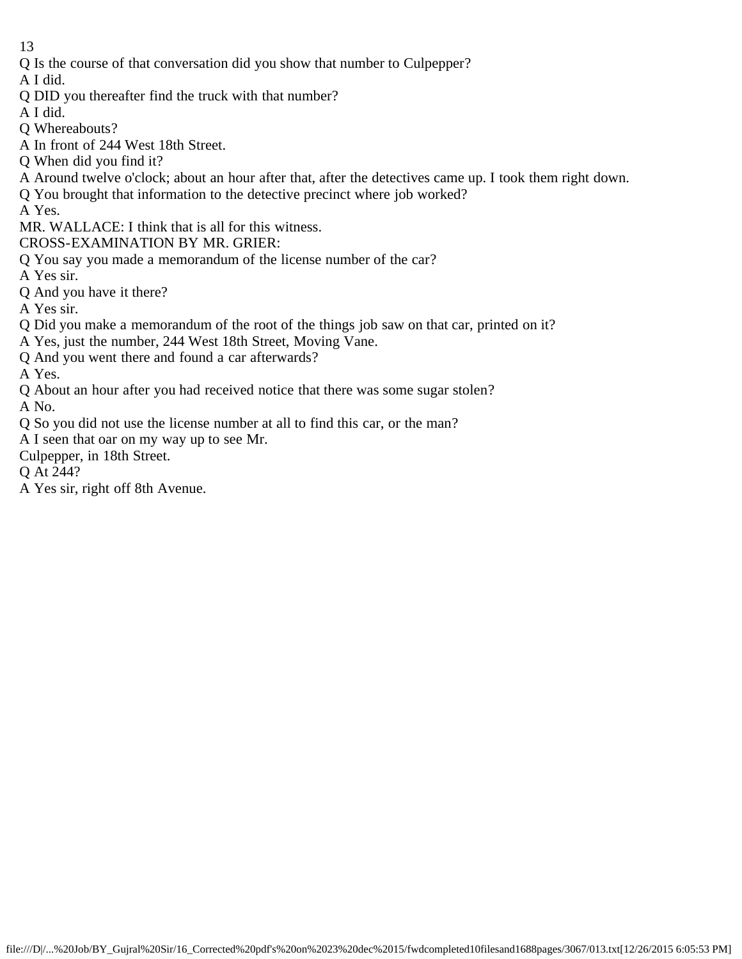Q Is the course of that conversation did you show that number to Culpepper?

A I did.

- Q DID you thereafter find the truck with that number?
- A I did.
- Q Whereabouts?
- A In front of 244 West 18th Street.
- Q When did you find it?
- A Around twelve o'clock; about an hour after that, after the detectives came up. I took them right down.
- Q You brought that information to the detective precinct where job worked?
- A Yes.
- MR. WALLACE: I think that is all for this witness.
- CROSS-EXAMINATION BY MR. GRIER:
- Q You say you made a memorandum of the license number of the car?
- A Yes sir.
- Q And you have it there?
- A Yes sir.
- Q Did you make a memorandum of the root of the things job saw on that car, printed on it?
- A Yes, just the number, 244 West 18th Street, Moving Vane.
- Q And you went there and found a car afterwards?

A Yes.

Q About an hour after you had received notice that there was some sugar stolen?

A No.

- Q So you did not use the license number at all to find this car, or the man?
- A I seen that oar on my way up to see Mr.
- Culpepper, in 18th Street.

Q At 244?

A Yes sir, right off 8th Avenue.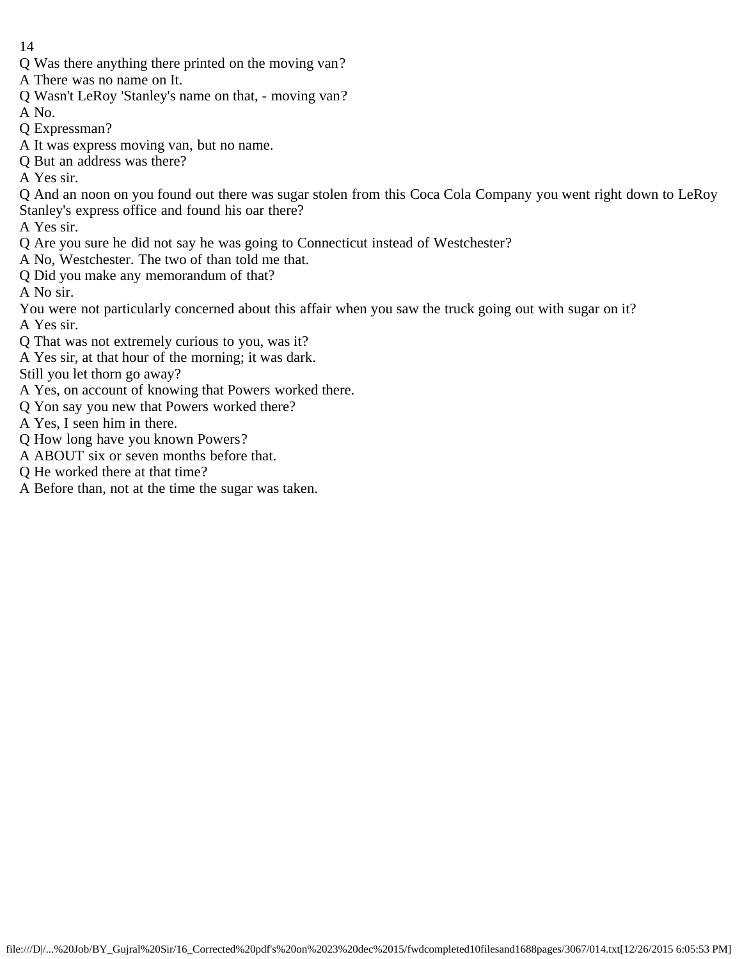- 14
- Q Was there anything there printed on the moving van?
- A There was no name on It.
- Q Wasn't LeRoy 'Stanley's name on that, moving van?
- A No.
- Q Expressman?
- A It was express moving van, but no name.
- Q But an address was there?
- A Yes sir.
- Q And an noon on you found out there was sugar stolen from this Coca Cola Company you went right down to LeRoy Stanley's express office and found his oar there?
- A Yes sir.
- Q Are you sure he did not say he was going to Connecticut instead of Westchester?
- A No, Westchester. The two of than told me that.
- Q Did you make any memorandum of that?
- A No sir.
- You were not particularly concerned about this affair when you saw the truck going out with sugar on it? A Yes sir.
- 
- Q That was not extremely curious to you, was it?
- A Yes sir, at that hour of the morning; it was dark.
- Still you let thorn go away?
- A Yes, on account of knowing that Powers worked there.
- Q Yon say you new that Powers worked there?
- A Yes, I seen him in there.
- Q How long have you known Powers?
- A ABOUT six or seven months before that.
- Q He worked there at that time?
- A Before than, not at the time the sugar was taken.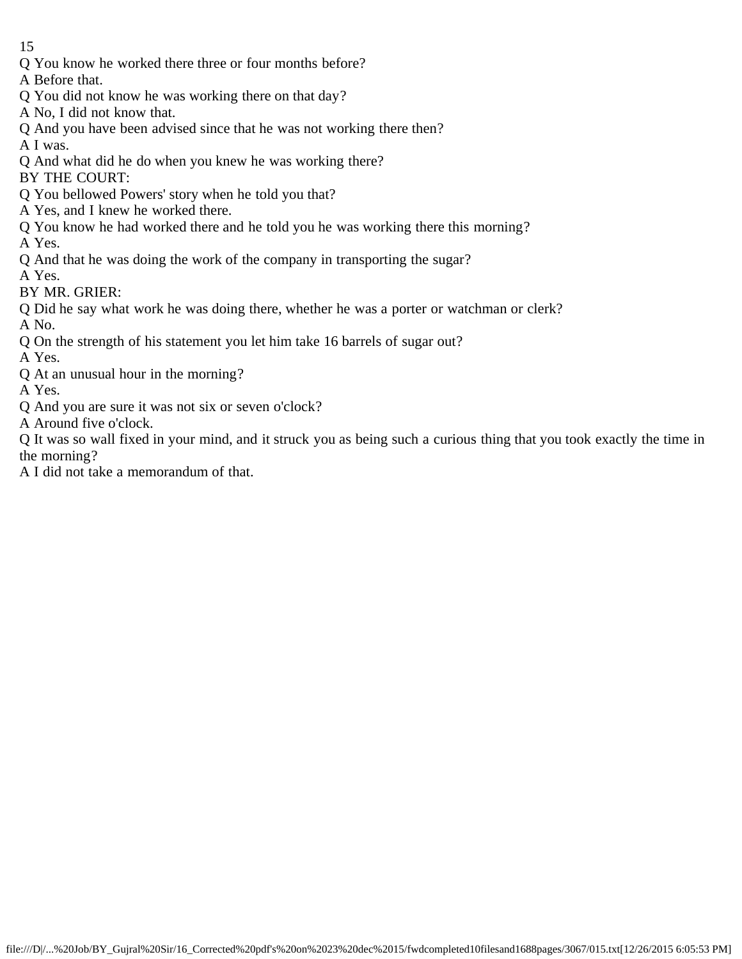- Q You know he worked there three or four months before?
- A Before that.
- Q You did not know he was working there on that day?
- A No, I did not know that.
- Q And you have been advised since that he was not working there then?
- A I was.
- Q And what did he do when you knew he was working there?
- BY THE COURT:
- Q You bellowed Powers' story when he told you that?
- A Yes, and I knew he worked there.
- Q You know he had worked there and he told you he was working there this morning?
- A Yes.
- Q And that he was doing the work of the company in transporting the sugar?
- A Yes.
- BY MR. GRIER:
- Q Did he say what work he was doing there, whether he was a porter or watchman or clerk?
- A No.
- Q On the strength of his statement you let him take 16 barrels of sugar out?
- A Yes.
- Q At an unusual hour in the morning?
- A Yes.
- Q And you are sure it was not six or seven o'clock?
- A Around five o'clock.
- Q It was so wall fixed in your mind, and it struck you as being such a curious thing that you took exactly the time in the morning?
- A I did not take a memorandum of that.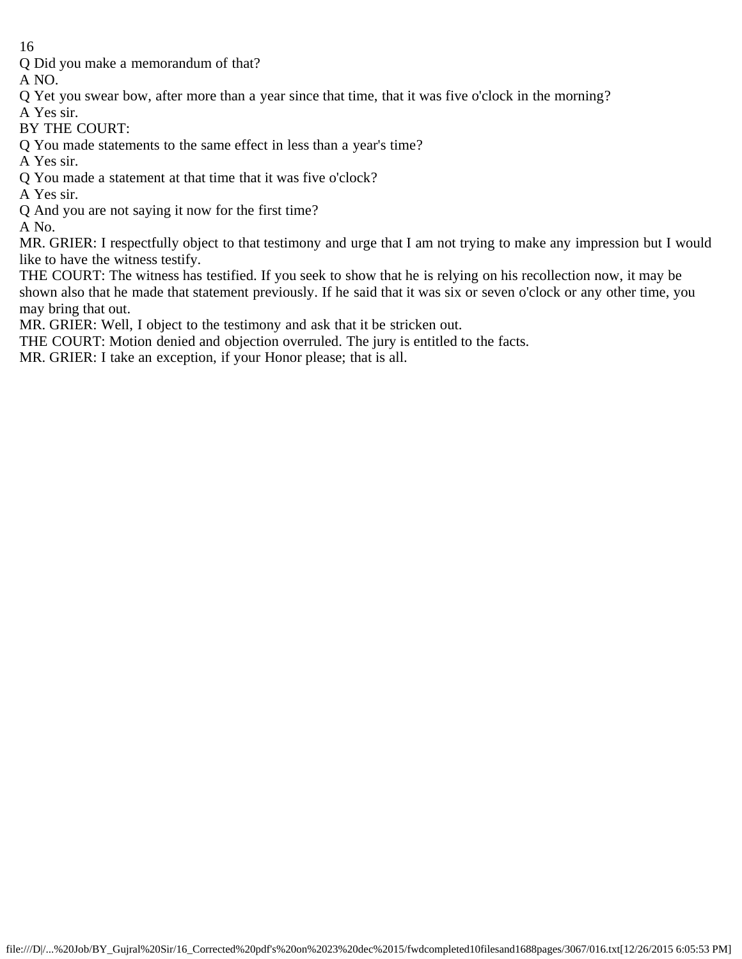Q Did you make a memorandum of that?

A NO.

- Q Yet you swear bow, after more than a year since that time, that it was five o'clock in the morning?
- A Yes sir.
- BY THE COURT:
- Q You made statements to the same effect in less than a year's time?
- A Yes sir.
- Q You made a statement at that time that it was five o'clock?
- A Yes sir.
- Q And you are not saying it now for the first time?

A No.

MR. GRIER: I respectfully object to that testimony and urge that I am not trying to make any impression but I would like to have the witness testify.

THE COURT: The witness has testified. If you seek to show that he is relying on his recollection now, it may be shown also that he made that statement previously. If he said that it was six or seven o'clock or any other time, you may bring that out.

MR. GRIER: Well, I object to the testimony and ask that it be stricken out.

THE COURT: Motion denied and objection overruled. The jury is entitled to the facts.

MR. GRIER: I take an exception, if your Honor please; that is all.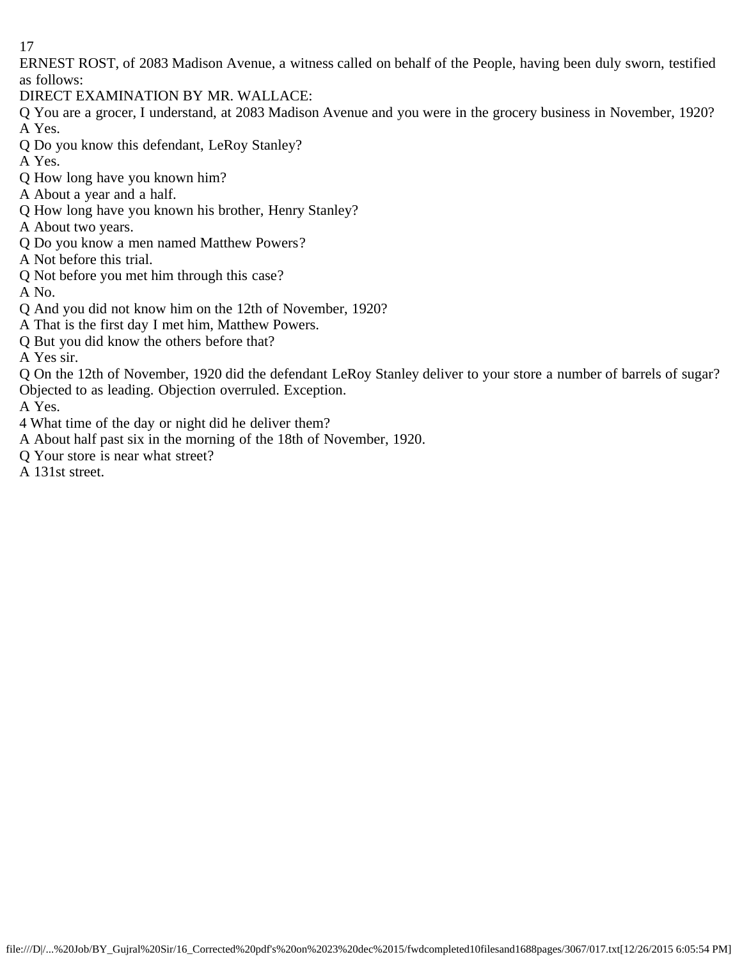ERNEST ROST, of 2083 Madison Avenue, a witness called on behalf of the People, having been duly sworn, testified as follows:

DIRECT EXAMINATION BY MR. WALLACE:

Q You are a grocer, I understand, at 2083 Madison Avenue and you were in the grocery business in November, 1920? A Yes.

- Q Do you know this defendant, LeRoy Stanley?
- A Yes.
- Q How long have you known him?
- A About a year and a half.
- Q How long have you known his brother, Henry Stanley?
- A About two years.
- Q Do you know a men named Matthew Powers?
- A Not before this trial.
- Q Not before you met him through this case?
- A No.
- Q And you did not know him on the 12th of November, 1920?
- A That is the first day I met him, Matthew Powers.
- Q But you did know the others before that?
- A Yes sir.
- Q On the 12th of November, 1920 did the defendant LeRoy Stanley deliver to your store a number of barrels of sugar? Objected to as leading. Objection overruled. Exception.
- A Yes.
- 4 What time of the day or night did he deliver them?
- A About half past six in the morning of the 18th of November, 1920.
- Q Your store is near what street?
- A 131st street.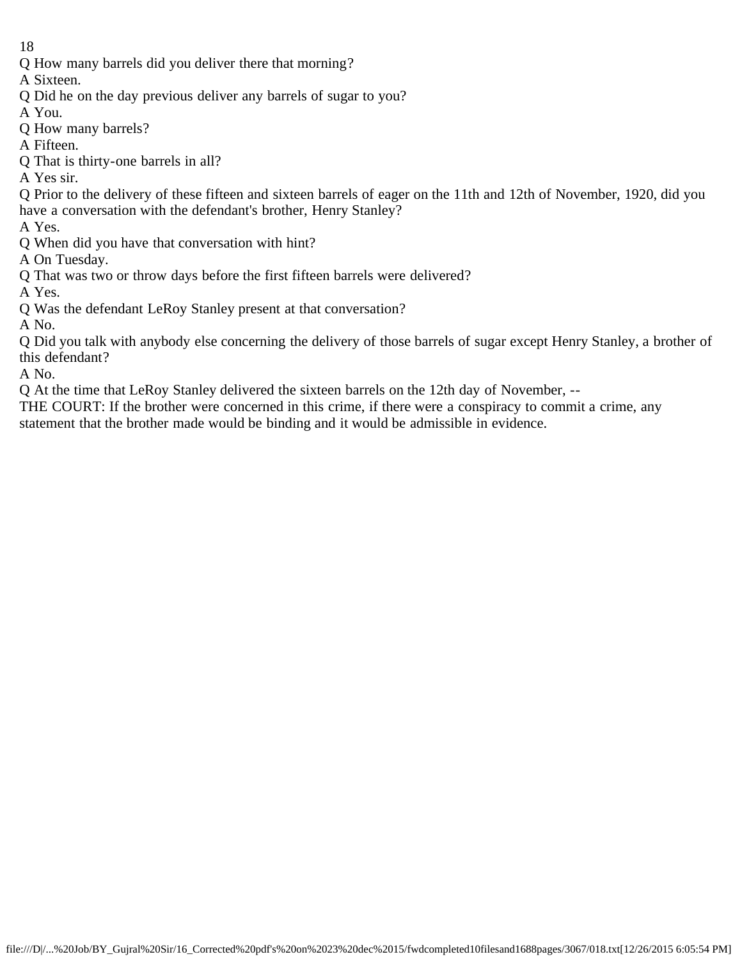Q How many barrels did you deliver there that morning?

A Sixteen.

- Q Did he on the day previous deliver any barrels of sugar to you?
- A You.
- Q How many barrels?
- A Fifteen.
- Q That is thirty-one barrels in all?

A Yes sir.

Q Prior to the delivery of these fifteen and sixteen barrels of eager on the 11th and 12th of November, 1920, did you have a conversation with the defendant's brother, Henry Stanley?

A Yes.

Q When did you have that conversation with hint?

A On Tuesday.

Q That was two or throw days before the first fifteen barrels were delivered?

A Yes.

Q Was the defendant LeRoy Stanley present at that conversation?

A No.

Q Did you talk with anybody else concerning the delivery of those barrels of sugar except Henry Stanley, a brother of this defendant?

A No.

Q At the time that LeRoy Stanley delivered the sixteen barrels on the 12th day of November, --

THE COURT: If the brother were concerned in this crime, if there were a conspiracy to commit a crime, any statement that the brother made would be binding and it would be admissible in evidence.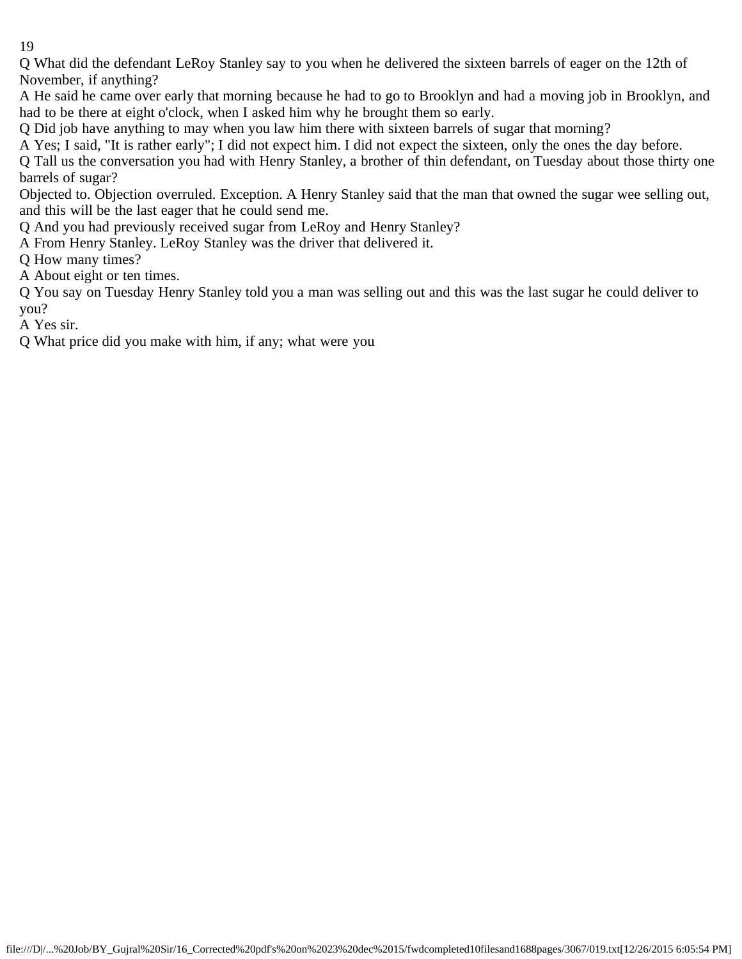Q What did the defendant LeRoy Stanley say to you when he delivered the sixteen barrels of eager on the 12th of November, if anything?

A He said he came over early that morning because he had to go to Brooklyn and had a moving job in Brooklyn, and had to be there at eight o'clock, when I asked him why he brought them so early.

Q Did job have anything to may when you law him there with sixteen barrels of sugar that morning?

A Yes; I said, "It is rather early"; I did not expect him. I did not expect the sixteen, only the ones the day before.

Q Tall us the conversation you had with Henry Stanley, a brother of thin defendant, on Tuesday about those thirty one barrels of sugar?

Objected to. Objection overruled. Exception. A Henry Stanley said that the man that owned the sugar wee selling out, and this will be the last eager that he could send me.

Q And you had previously received sugar from LeRoy and Henry Stanley?

A From Henry Stanley. LeRoy Stanley was the driver that delivered it.

Q How many times?

A About eight or ten times.

Q You say on Tuesday Henry Stanley told you a man was selling out and this was the last sugar he could deliver to you?

A Yes sir.

Q What price did you make with him, if any; what were you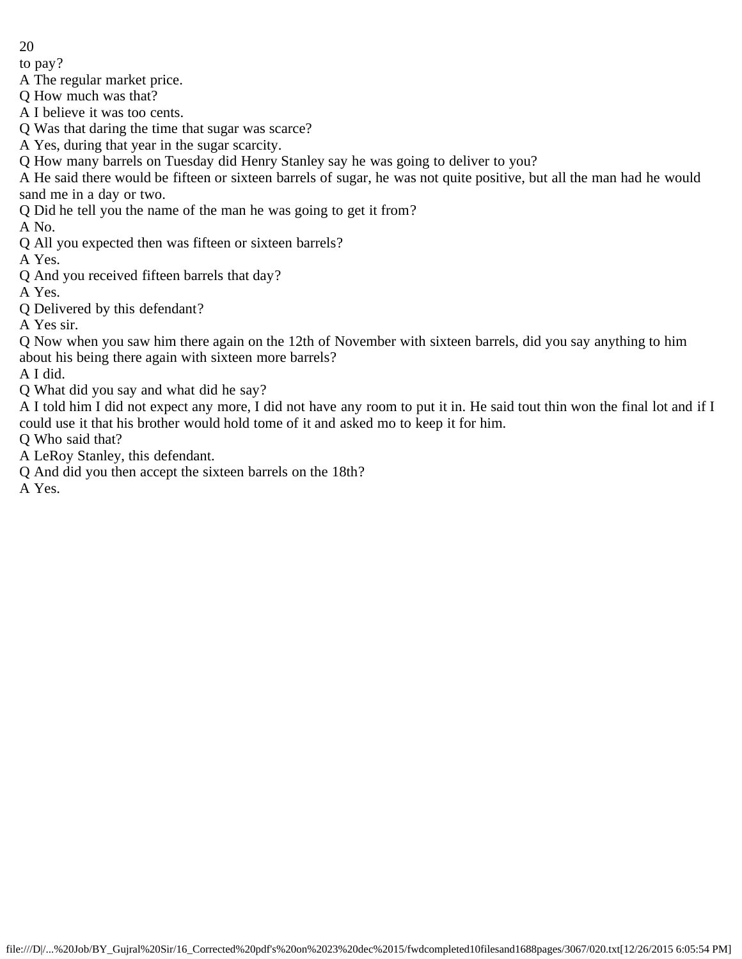to pay?

A The regular market price.

Q How much was that?

A I believe it was too cents.

Q Was that daring the time that sugar was scarce?

A Yes, during that year in the sugar scarcity.

Q How many barrels on Tuesday did Henry Stanley say he was going to deliver to you?

A He said there would be fifteen or sixteen barrels of sugar, he was not quite positive, but all the man had he would sand me in a day or two.

Q Did he tell you the name of the man he was going to get it from?

A No.

Q All you expected then was fifteen or sixteen barrels?

A Yes.

Q And you received fifteen barrels that day?

A Yes.

Q Delivered by this defendant?

A Yes sir.

Q Now when you saw him there again on the 12th of November with sixteen barrels, did you say anything to him about his being there again with sixteen more barrels?

A I did.

Q What did you say and what did he say?

A I told him I did not expect any more, I did not have any room to put it in. He said tout thin won the final lot and if I could use it that his brother would hold tome of it and asked mo to keep it for him.

Q Who said that?

A LeRoy Stanley, this defendant.

Q And did you then accept the sixteen barrels on the 18th?

A Yes.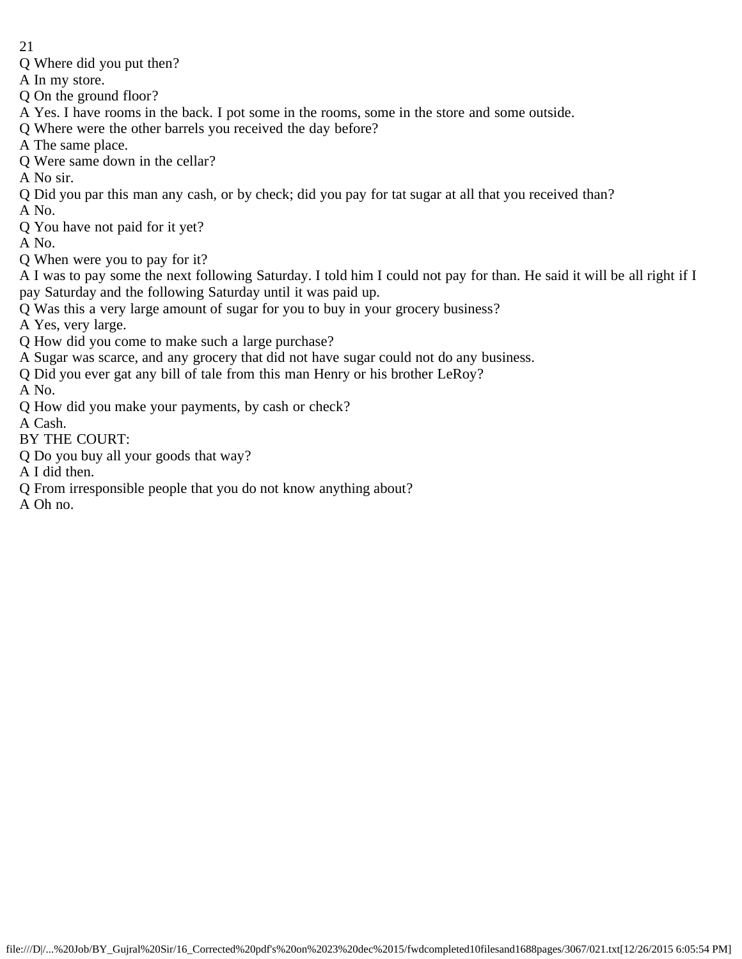- Q Where did you put then?
- A In my store.
- Q On the ground floor?
- A Yes. I have rooms in the back. I pot some in the rooms, some in the store and some outside.
- Q Where were the other barrels you received the day before?
- A The same place.
- Q Were same down in the cellar?
- A No sir.
- Q Did you par this man any cash, or by check; did you pay for tat sugar at all that you received than?
- A No.
- Q You have not paid for it yet?
- A No.
- Q When were you to pay for it?
- A I was to pay some the next following Saturday. I told him I could not pay for than. He said it will be all right if I pay Saturday and the following Saturday until it was paid up.
- Q Was this a very large amount of sugar for you to buy in your grocery business?
- A Yes, very large.
- Q How did you come to make such a large purchase?
- A Sugar was scarce, and any grocery that did not have sugar could not do any business.
- Q Did you ever gat any bill of tale from this man Henry or his brother LeRoy?
- A No.
- Q How did you make your payments, by cash or check?
- A Cash.
- BY THE COURT:
- Q Do you buy all your goods that way?
- A I did then.
- Q From irresponsible people that you do not know anything about?
- A Oh no.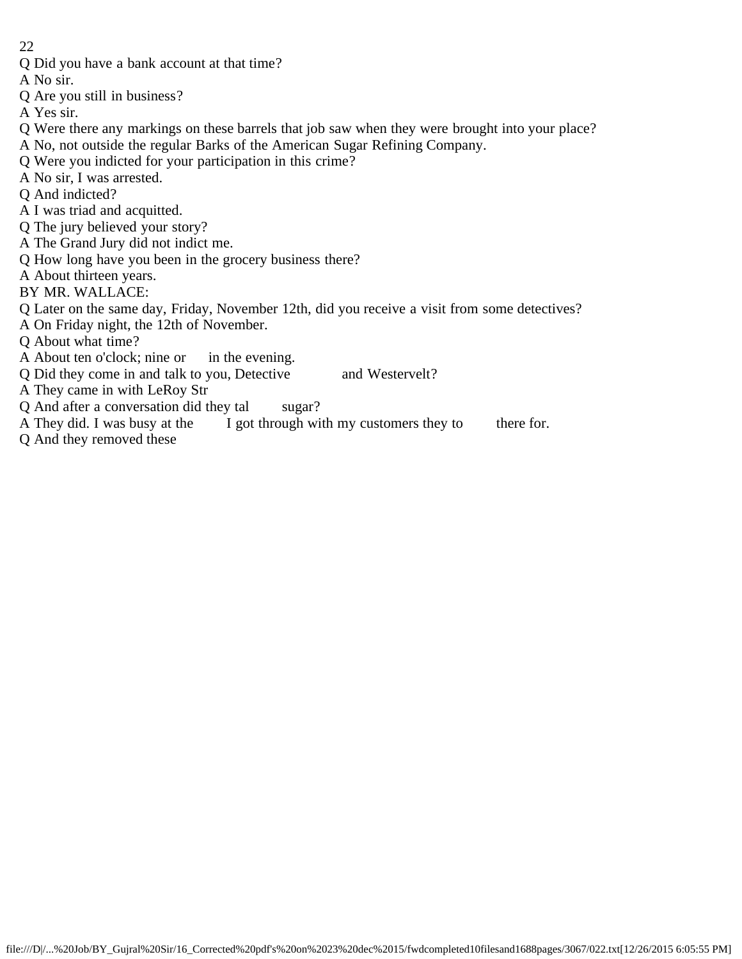- Q Did you have a bank account at that time?
- A No sir.
- Q Are you still in business?
- A Yes sir.
- Q Were there any markings on these barrels that job saw when they were brought into your place?
- A No, not outside the regular Barks of the American Sugar Refining Company.
- Q Were you indicted for your participation in this crime?
- A No sir, I was arrested.
- Q And indicted?
- A I was triad and acquitted.
- Q The jury believed your story?
- A The Grand Jury did not indict me.
- Q How long have you been in the grocery business there?
- A About thirteen years.
- BY MR. WALLACE:
- Q Later on the same day, Friday, November 12th, did you receive a visit from some detectives?
- A On Friday night, the 12th of November.
- Q About what time?
- A About ten o'clock; nine or in the evening.
- Q Did they come in and talk to you, Detective and Westervelt?
- A They came in with LeRoy Str
- Q And after a conversation did they tal sugar?
- A They did. I was busy at the I got through with my customers they to there for.
- Q And they removed these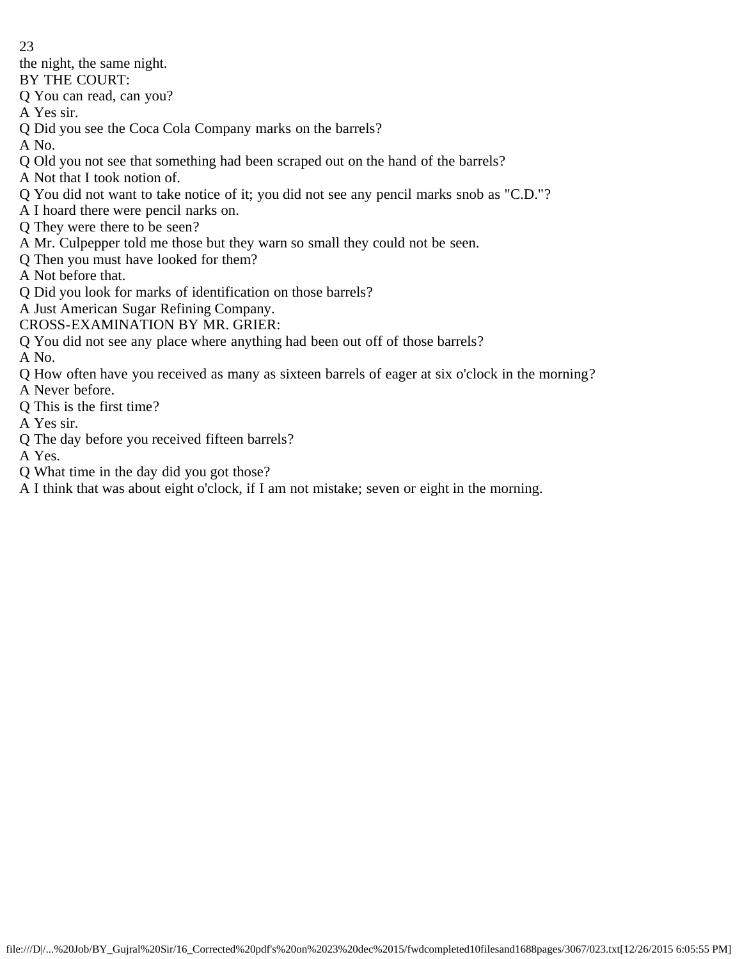the night, the same night.

BY THE COURT:

Q You can read, can you?

A Yes sir.

Q Did you see the Coca Cola Company marks on the barrels?

A No.

- Q Old you not see that something had been scraped out on the hand of the barrels?
- A Not that I took notion of.
- Q You did not want to take notice of it; you did not see any pencil marks snob as "C.D."?
- A I hoard there were pencil narks on.
- Q They were there to be seen?
- A Mr. Culpepper told me those but they warn so small they could not be seen.
- Q Then you must have looked for them?
- A Not before that.
- Q Did you look for marks of identification on those barrels?
- A Just American Sugar Refining Company.
- CROSS-EXAMINATION BY MR. GRIER:
- Q You did not see any place where anything had been out off of those barrels?

A No.

- Q How often have you received as many as sixteen barrels of eager at six o'clock in the morning?
- A Never before.
- Q This is the first time?
- A Yes sir.
- Q The day before you received fifteen barrels?

A Yes.

- Q What time in the day did you got those?
- A I think that was about eight o'clock, if I am not mistake; seven or eight in the morning.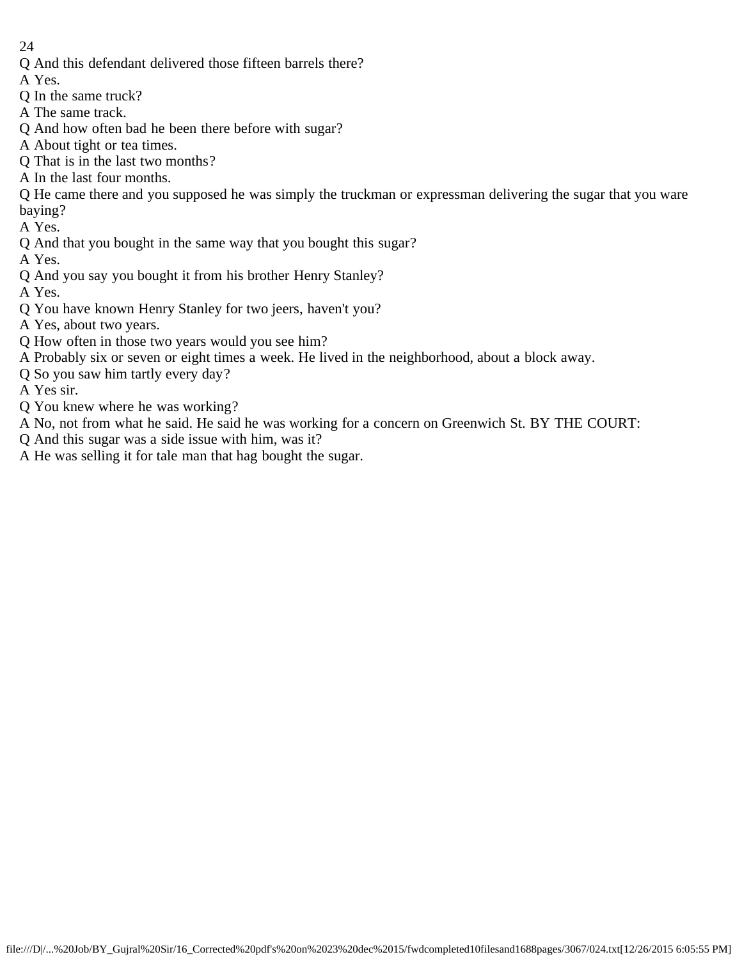- Q And this defendant delivered those fifteen barrels there?
- A Yes.
- Q In the same truck?
- A The same track.
- Q And how often bad he been there before with sugar?
- A About tight or tea times.
- Q That is in the last two months?
- A In the last four months.
- Q He came there and you supposed he was simply the truckman or expressman delivering the sugar that you ware baying?
- A Yes.
- Q And that you bought in the same way that you bought this sugar?
- A Yes.
- Q And you say you bought it from his brother Henry Stanley?
- A Yes.
- Q You have known Henry Stanley for two jeers, haven't you?
- A Yes, about two years.
- Q How often in those two years would you see him?
- A Probably six or seven or eight times a week. He lived in the neighborhood, about a block away.
- Q So you saw him tartly every day?
- A Yes sir.
- Q You knew where he was working?
- A No, not from what he said. He said he was working for a concern on Greenwich St. BY THE COURT:
- Q And this sugar was a side issue with him, was it?
- A He was selling it for tale man that hag bought the sugar.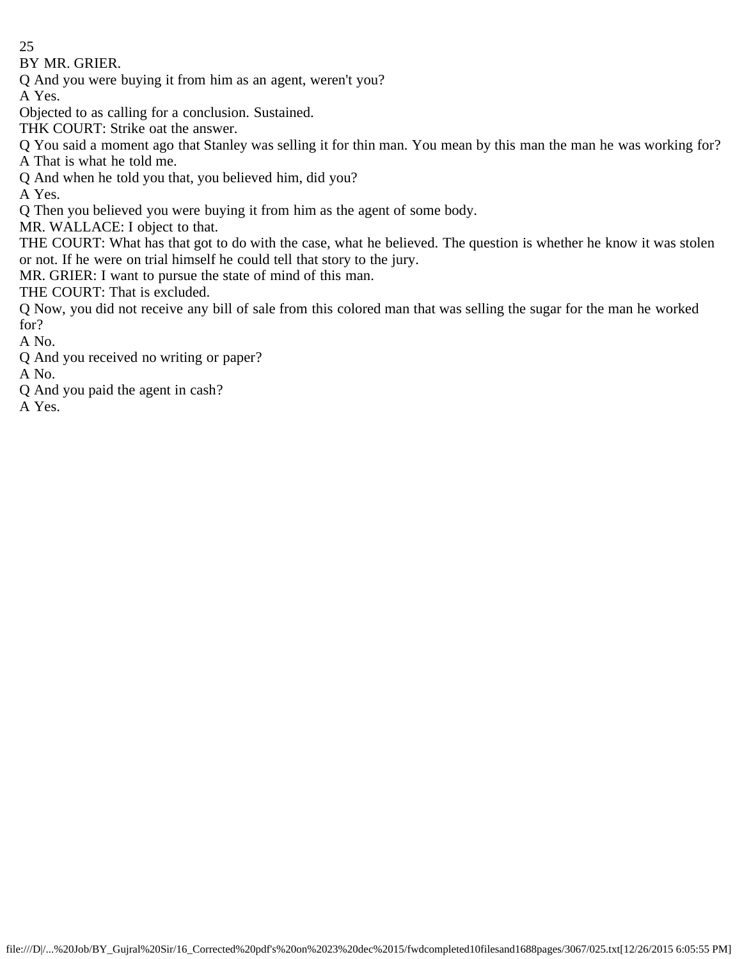BY MR. GRIER.

Q And you were buying it from him as an agent, weren't you?

A Yes.

Objected to as calling for a conclusion. Sustained.

THK COURT: Strike oat the answer.

Q You said a moment ago that Stanley was selling it for thin man. You mean by this man the man he was working for? A That is what he told me.

Q And when he told you that, you believed him, did you?

A Yes.

Q Then you believed you were buying it from him as the agent of some body.

MR. WALLACE: I object to that.

THE COURT: What has that got to do with the case, what he believed. The question is whether he know it was stolen or not. If he were on trial himself he could tell that story to the jury.

MR. GRIER: I want to pursue the state of mind of this man.

THE COURT: That is excluded.

Q Now, you did not receive any bill of sale from this colored man that was selling the sugar for the man he worked for?

A No.

Q And you received no writing or paper?

A No.

Q And you paid the agent in cash?

A Yes.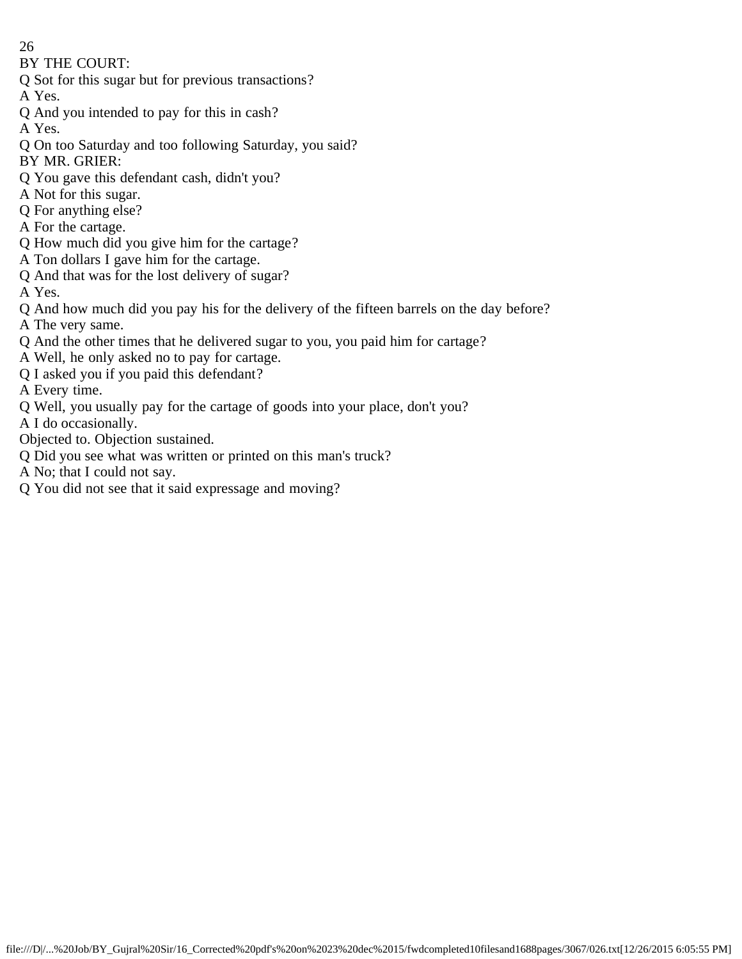BY THE COURT:

- Q Sot for this sugar but for previous transactions?
- A Yes.
- Q And you intended to pay for this in cash?
- A Yes.
- Q On too Saturday and too following Saturday, you said?
- BY MR. GRIER:
- Q You gave this defendant cash, didn't you?
- A Not for this sugar.
- Q For anything else?
- A For the cartage.
- Q How much did you give him for the cartage?
- A Ton dollars I gave him for the cartage.
- Q And that was for the lost delivery of sugar?
- A Yes.
- Q And how much did you pay his for the delivery of the fifteen barrels on the day before?
- A The very same.
- Q And the other times that he delivered sugar to you, you paid him for cartage?
- A Well, he only asked no to pay for cartage.
- Q I asked you if you paid this defendant?
- A Every time.
- Q Well, you usually pay for the cartage of goods into your place, don't you?
- A I do occasionally.
- Objected to. Objection sustained.
- Q Did you see what was written or printed on this man's truck?
- A No; that I could not say.
- Q You did not see that it said expressage and moving?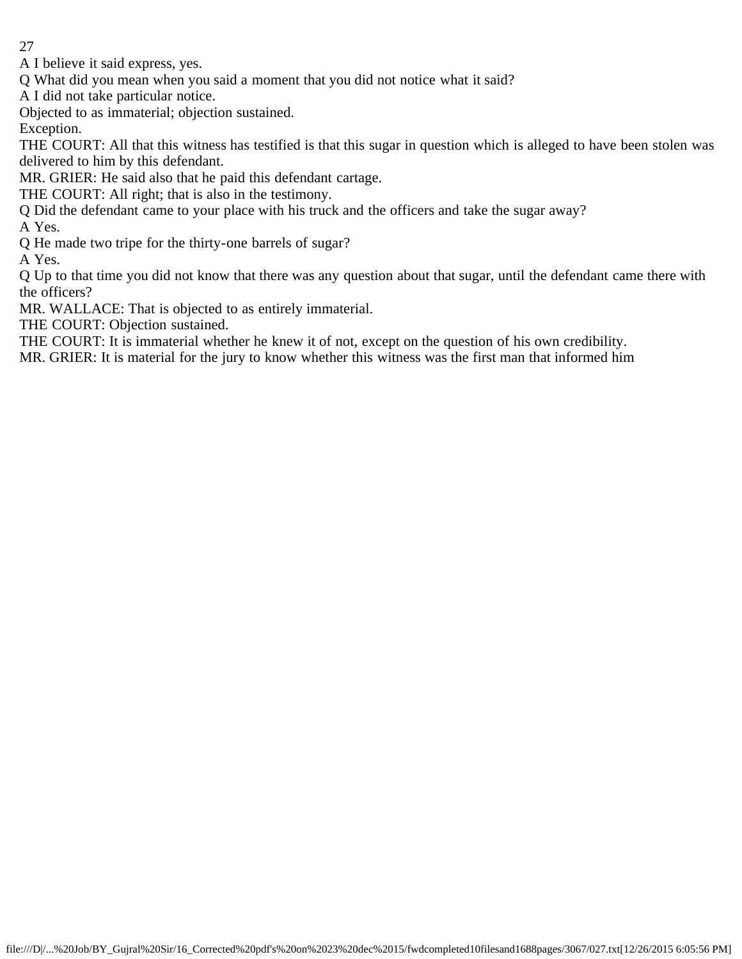A I believe it said express, yes.

Q What did you mean when you said a moment that you did not notice what it said?

A I did not take particular notice.

Objected to as immaterial; objection sustained.

Exception.

THE COURT: All that this witness has testified is that this sugar in question which is alleged to have been stolen was delivered to him by this defendant.

MR. GRIER: He said also that he paid this defendant cartage.

THE COURT: All right; that is also in the testimony.

Q Did the defendant came to your place with his truck and the officers and take the sugar away?

A Yes.

Q He made two tripe for the thirty-one barrels of sugar?

A Yes.

Q Up to that time you did not know that there was any question about that sugar, until the defendant came there with the officers?

MR. WALLACE: That is objected to as entirely immaterial.

THE COURT: Objection sustained.

THE COURT: It is immaterial whether he knew it of not, except on the question of his own credibility.

MR. GRIER: It is material for the jury to know whether this witness was the first man that informed him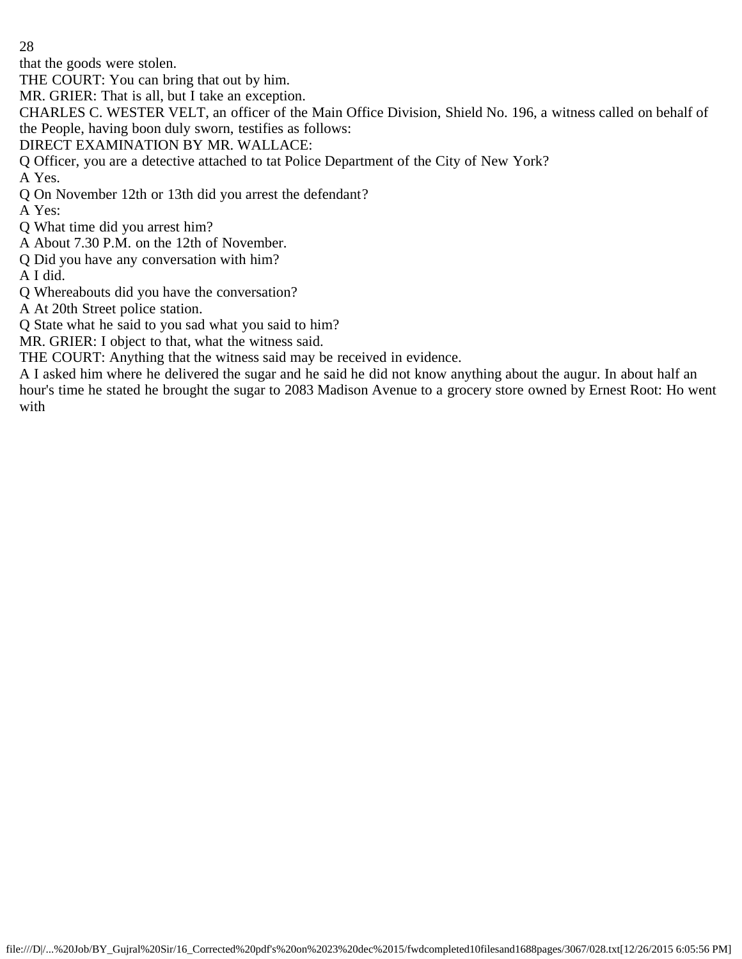that the goods were stolen.

THE COURT: You can bring that out by him.

MR. GRIER: That is all, but I take an exception.

CHARLES C. WESTER VELT, an officer of the Main Office Division, Shield No. 196, a witness called on behalf of the People, having boon duly sworn, testifies as follows:

DIRECT EXAMINATION BY MR. WALLACE:

Q Officer, you are a detective attached to tat Police Department of the City of New York?

A Yes.

Q On November 12th or 13th did you arrest the defendant?

A Yes:

Q What time did you arrest him?

A About 7.30 P.M. on the 12th of November.

Q Did you have any conversation with him?

A I did.

- Q Whereabouts did you have the conversation?
- A At 20th Street police station.

Q State what he said to you sad what you said to him?

MR. GRIER: I object to that, what the witness said.

THE COURT: Anything that the witness said may be received in evidence.

A I asked him where he delivered the sugar and he said he did not know anything about the augur. In about half an hour's time he stated he brought the sugar to 2083 Madison Avenue to a grocery store owned by Ernest Root: Ho went with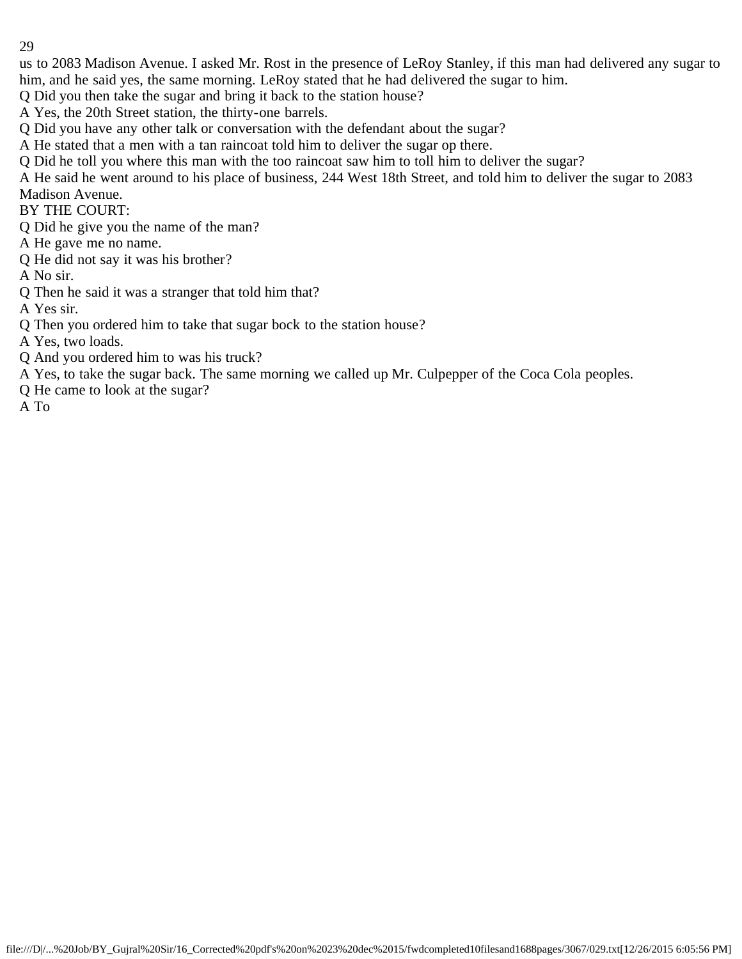us to 2083 Madison Avenue. I asked Mr. Rost in the presence of LeRoy Stanley, if this man had delivered any sugar to him, and he said yes, the same morning. LeRoy stated that he had delivered the sugar to him.

Q Did you then take the sugar and bring it back to the station house?

A Yes, the 20th Street station, the thirty-one barrels.

Q Did you have any other talk or conversation with the defendant about the sugar?

A He stated that a men with a tan raincoat told him to deliver the sugar op there.

Q Did he toll you where this man with the too raincoat saw him to toll him to deliver the sugar?

A He said he went around to his place of business, 244 West 18th Street, and told him to deliver the sugar to 2083 Madison Avenue.

BY THE COURT:

Q Did he give you the name of the man?

A He gave me no name.

Q He did not say it was his brother?

A No sir.

Q Then he said it was a stranger that told him that?

A Yes sir.

Q Then you ordered him to take that sugar bock to the station house?

A Yes, two loads.

Q And you ordered him to was his truck?

A Yes, to take the sugar back. The same morning we called up Mr. Culpepper of the Coca Cola peoples.

Q He came to look at the sugar?

A To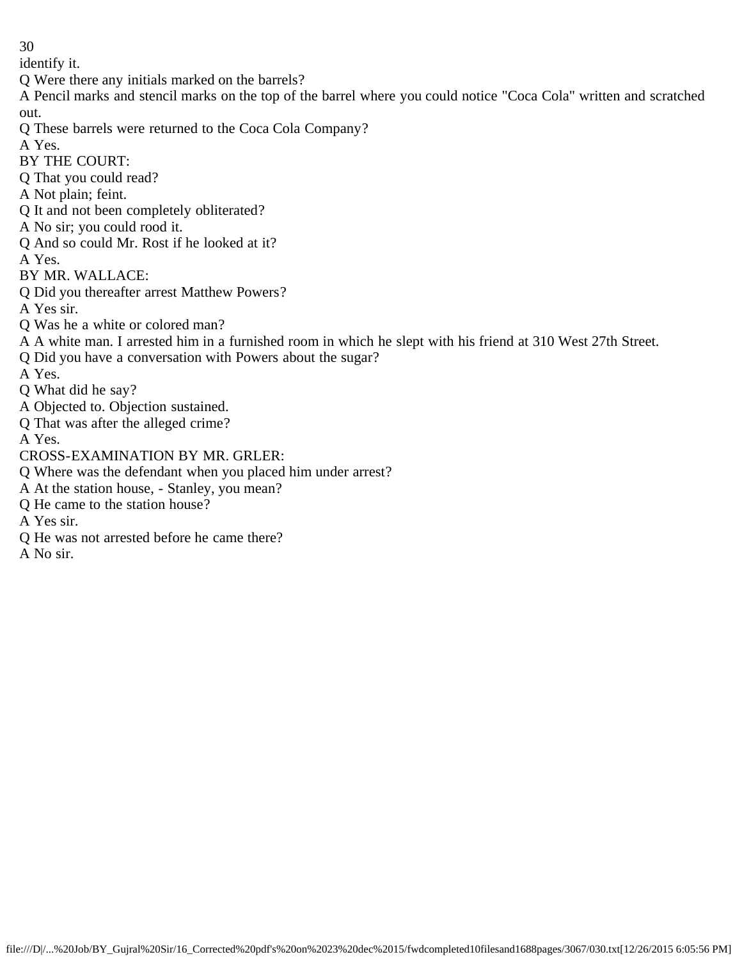identify it.

Q Were there any initials marked on the barrels?

A Pencil marks and stencil marks on the top of the barrel where you could notice "Coca Cola" written and scratched out.

Q These barrels were returned to the Coca Cola Company?

A Yes.

BY THE COURT:

Q That you could read?

A Not plain; feint.

Q It and not been completely obliterated?

A No sir; you could rood it.

Q And so could Mr. Rost if he looked at it?

A Yes.

BY MR. WALLACE:

Q Did you thereafter arrest Matthew Powers?

A Yes sir.

Q Was he a white or colored man?

A A white man. I arrested him in a furnished room in which he slept with his friend at 310 West 27th Street.

Q Did you have a conversation with Powers about the sugar?

A Yes.

Q What did he say?

A Objected to. Objection sustained.

Q That was after the alleged crime?

A Yes.

CROSS-EXAMINATION BY MR. GRLER:

Q Where was the defendant when you placed him under arrest?

A At the station house, - Stanley, you mean?

Q He came to the station house?

A Yes sir.

Q He was not arrested before he came there?

A No sir.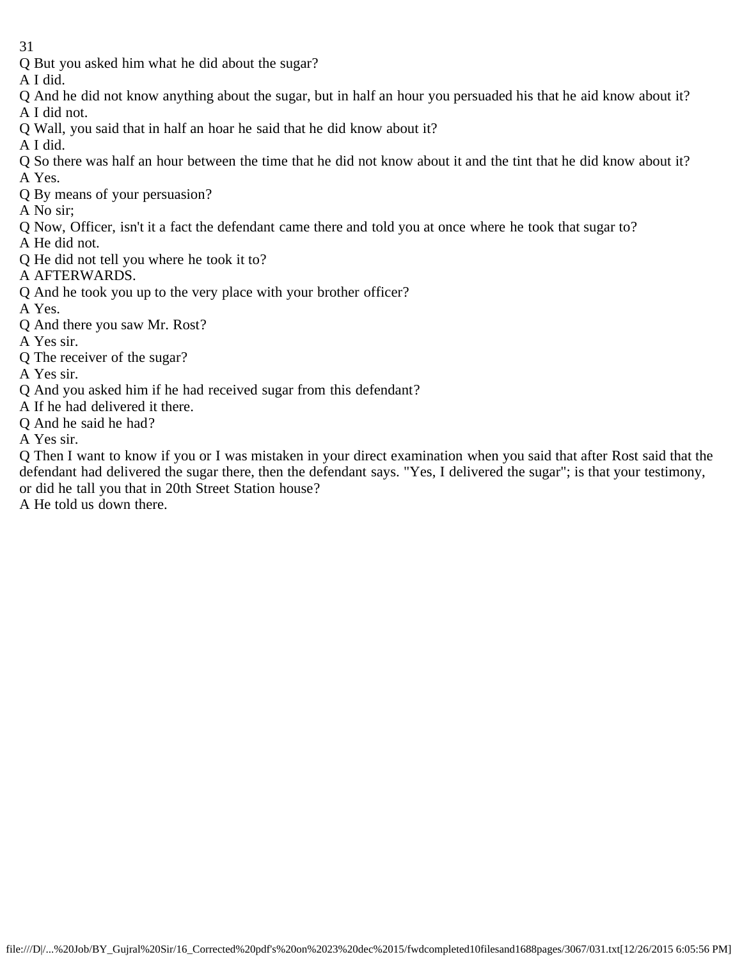- 31
- Q But you asked him what he did about the sugar?
- A I did.
- Q And he did not know anything about the sugar, but in half an hour you persuaded his that he aid know about it? A I did not.
- Q Wall, you said that in half an hoar he said that he did know about it?
- A I did.
- Q So there was half an hour between the time that he did not know about it and the tint that he did know about it? A Yes.
- Q By means of your persuasion?
- A No sir;
- Q Now, Officer, isn't it a fact the defendant came there and told you at once where he took that sugar to?
- A He did not.
- Q He did not tell you where he took it to?
- A AFTERWARDS.
- Q And he took you up to the very place with your brother officer?
- A Yes.
- Q And there you saw Mr. Rost?
- A Yes sir.
- Q The receiver of the sugar?
- A Yes sir.
- Q And you asked him if he had received sugar from this defendant?
- A If he had delivered it there.
- Q And he said he had?
- A Yes sir.

Q Then I want to know if you or I was mistaken in your direct examination when you said that after Rost said that the defendant had delivered the sugar there, then the defendant says. "Yes, I delivered the sugar"; is that your testimony, or did he tall you that in 20th Street Station house?

A He told us down there.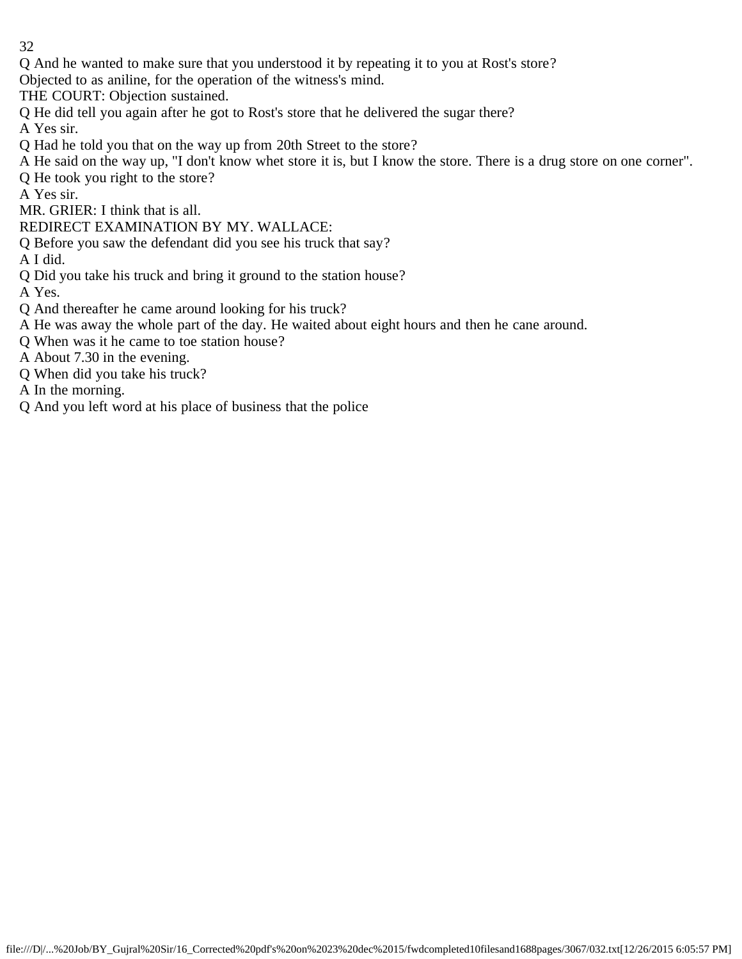- 32
- Q And he wanted to make sure that you understood it by repeating it to you at Rost's store?
- Objected to as aniline, for the operation of the witness's mind.
- THE COURT: Objection sustained.
- Q He did tell you again after he got to Rost's store that he delivered the sugar there?
- A Yes sir.
- Q Had he told you that on the way up from 20th Street to the store?
- A He said on the way up, "I don't know whet store it is, but I know the store. There is a drug store on one corner".
- Q He took you right to the store?
- A Yes sir.
- MR. GRIER: I think that is all.
- REDIRECT EXAMINATION BY MY. WALLACE:
- Q Before you saw the defendant did you see his truck that say?
- A I did.
- Q Did you take his truck and bring it ground to the station house?
- A Yes.
- Q And thereafter he came around looking for his truck?
- A He was away the whole part of the day. He waited about eight hours and then he cane around.
- Q When was it he came to toe station house?
- A About 7.30 in the evening.
- Q When did you take his truck?
- A In the morning.
- Q And you left word at his place of business that the police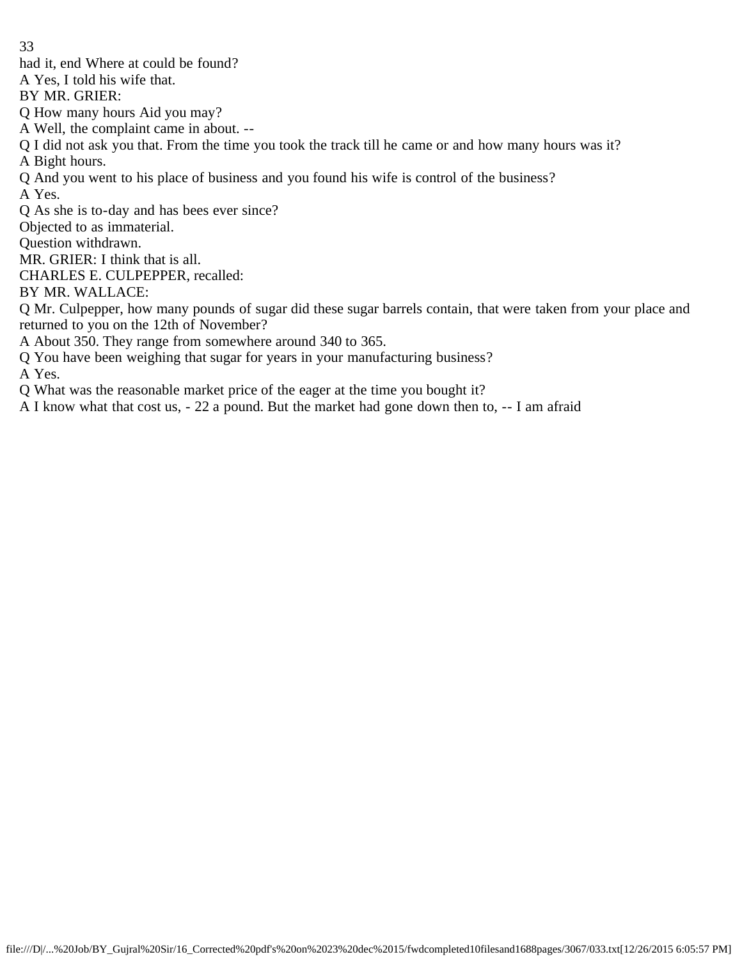had it, end Where at could be found?

A Yes, I told his wife that.

BY MR. GRIER:

Q How many hours Aid you may?

A Well, the complaint came in about. --

Q I did not ask you that. From the time you took the track till he came or and how many hours was it? A Bight hours.

Q And you went to his place of business and you found his wife is control of the business?

A Yes.

Q As she is to-day and has bees ever since?

Objected to as immaterial.

Question withdrawn.

MR. GRIER: I think that is all.

CHARLES E. CULPEPPER, recalled:

BY MR. WALLACE:

Q Mr. Culpepper, how many pounds of sugar did these sugar barrels contain, that were taken from your place and returned to you on the 12th of November?

A About 350. They range from somewhere around 340 to 365.

Q You have been weighing that sugar for years in your manufacturing business?

A Yes.

Q What was the reasonable market price of the eager at the time you bought it?

A I know what that cost us, - 22 a pound. But the market had gone down then to, -- I am afraid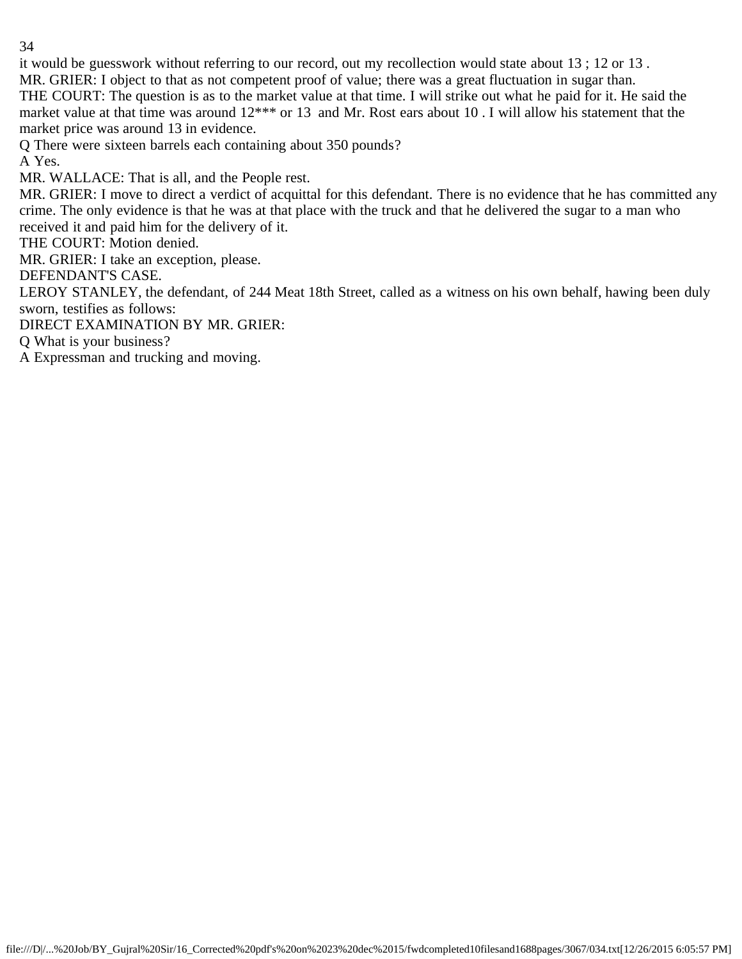it would be guesswork without referring to our record, out my recollection would state about 13 ; 12 or 13 .

MR. GRIER: I object to that as not competent proof of value; there was a great fluctuation in sugar than. THE COURT: The question is as to the market value at that time. I will strike out what he paid for it. He said the market value at that time was around  $12***$  or 13 and Mr. Rost ears about 10 . I will allow his statement that the

market price was around 13 in evidence.

Q There were sixteen barrels each containing about 350 pounds?

A Yes.

MR. WALLACE: That is all, and the People rest.

MR. GRIER: I move to direct a verdict of acquittal for this defendant. There is no evidence that he has committed any crime. The only evidence is that he was at that place with the truck and that he delivered the sugar to a man who received it and paid him for the delivery of it.

THE COURT: Motion denied.

MR. GRIER: I take an exception, please.

DEFENDANT'S CASE.

LEROY STANLEY, the defendant, of 244 Meat 18th Street, called as a witness on his own behalf, hawing been duly sworn, testifies as follows:

DIRECT EXAMINATION BY MR. GRIER:

Q What is your business?

A Expressman and trucking and moving.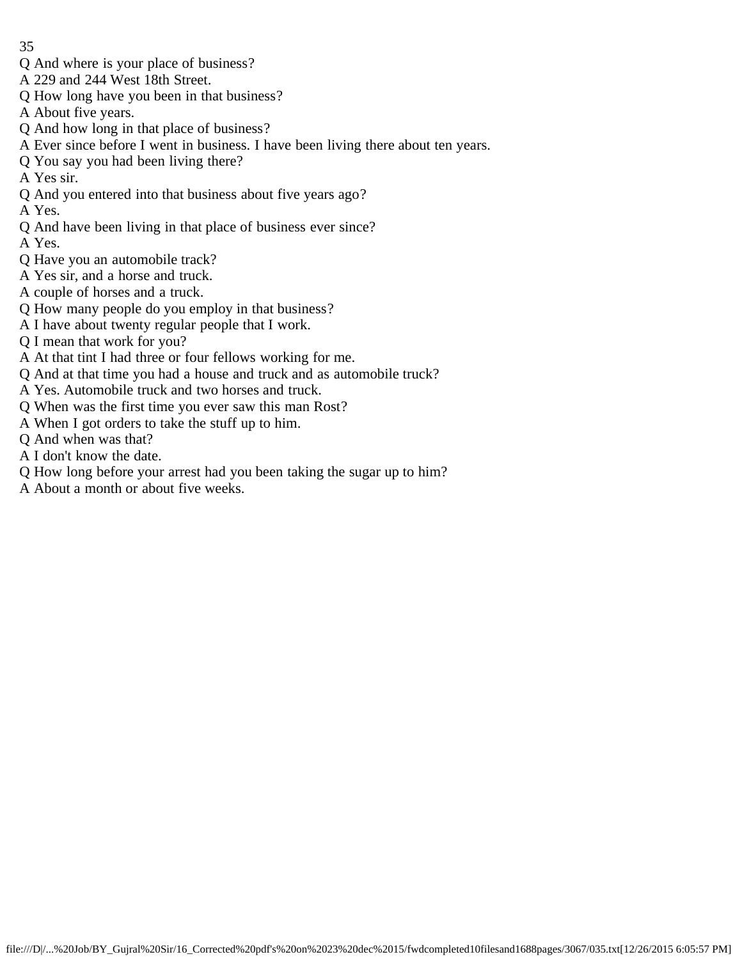- Q And where is your place of business?
- A 229 and 244 West 18th Street.
- Q How long have you been in that business?
- A About five years.
- Q And how long in that place of business?
- A Ever since before I went in business. I have been living there about ten years.
- Q You say you had been living there?
- A Yes sir.
- Q And you entered into that business about five years ago?
- A Yes.
- Q And have been living in that place of business ever since?
- A Yes.
- Q Have you an automobile track?
- A Yes sir, and a horse and truck.
- A couple of horses and a truck.
- Q How many people do you employ in that business?
- A I have about twenty regular people that I work.
- Q I mean that work for you?
- A At that tint I had three or four fellows working for me.
- Q And at that time you had a house and truck and as automobile truck?
- A Yes. Automobile truck and two horses and truck.
- Q When was the first time you ever saw this man Rost?
- A When I got orders to take the stuff up to him.
- Q And when was that?
- A I don't know the date.
- Q How long before your arrest had you been taking the sugar up to him?
- A About a month or about five weeks.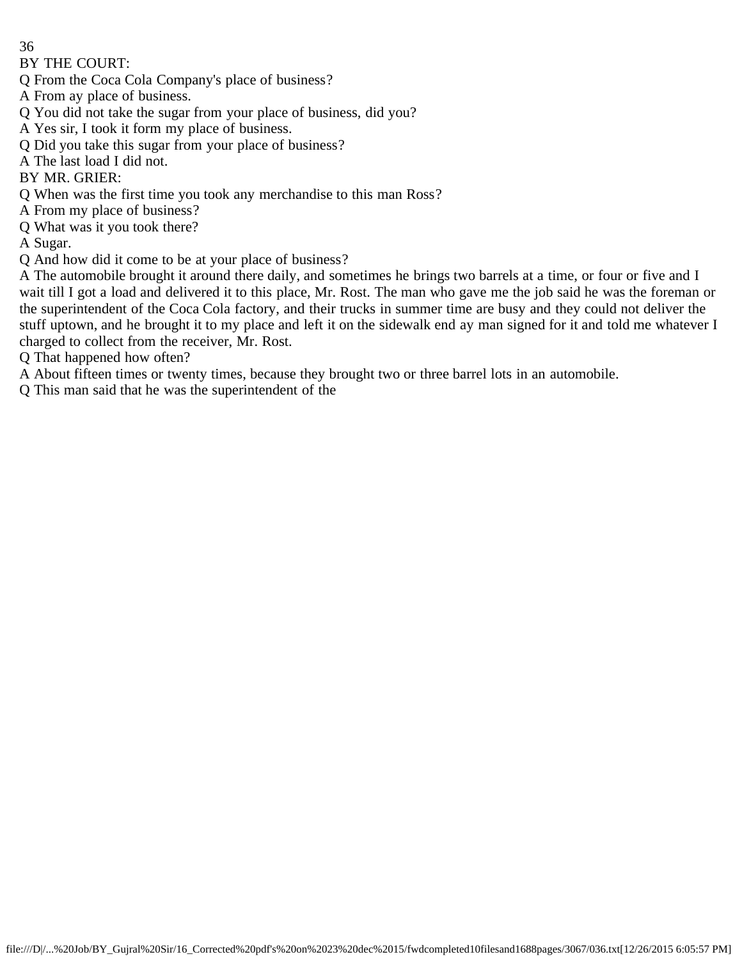BY THE COURT:

- Q From the Coca Cola Company's place of business?
- A From ay place of business.
- Q You did not take the sugar from your place of business, did you?
- A Yes sir, I took it form my place of business.
- Q Did you take this sugar from your place of business?
- A The last load I did not.

BY MR. GRIER:

- Q When was the first time you took any merchandise to this man Ross?
- A From my place of business?
- Q What was it you took there?

A Sugar.

Q And how did it come to be at your place of business?

A The automobile brought it around there daily, and sometimes he brings two barrels at a time, or four or five and I wait till I got a load and delivered it to this place, Mr. Rost. The man who gave me the job said he was the foreman or the superintendent of the Coca Cola factory, and their trucks in summer time are busy and they could not deliver the stuff uptown, and he brought it to my place and left it on the sidewalk end ay man signed for it and told me whatever I charged to collect from the receiver, Mr. Rost.

Q That happened how often?

A About fifteen times or twenty times, because they brought two or three barrel lots in an automobile.

Q This man said that he was the superintendent of the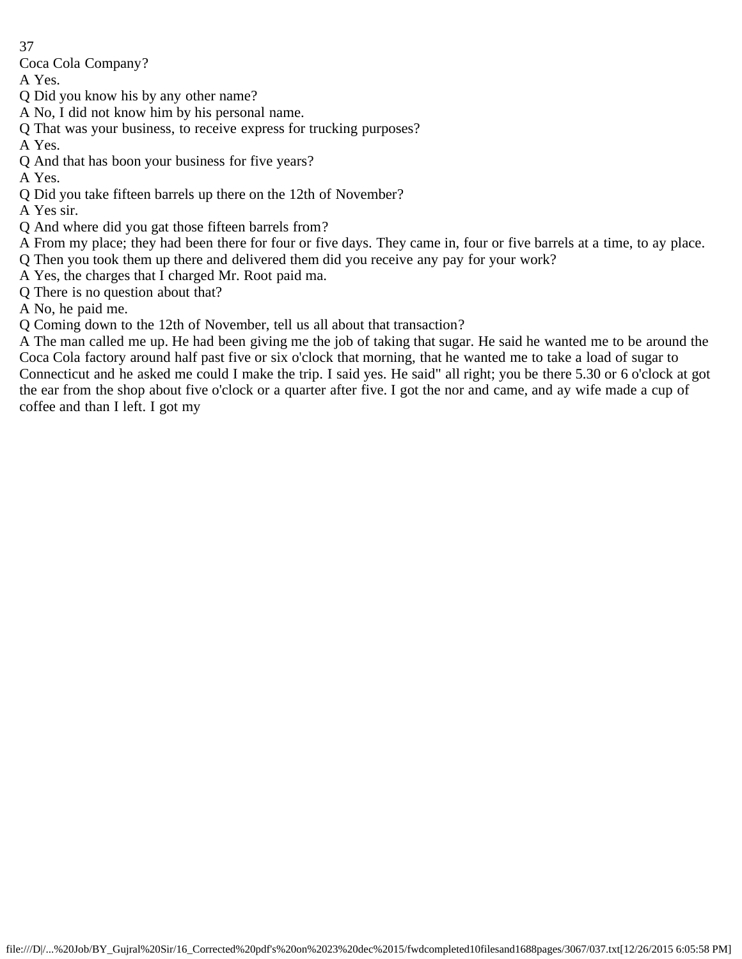Coca Cola Company?

A Yes.

Q Did you know his by any other name?

- A No, I did not know him by his personal name.
- Q That was your business, to receive express for trucking purposes?
- A Yes.
- Q And that has boon your business for five years?

A Yes.

Q Did you take fifteen barrels up there on the 12th of November?

A Yes sir.

Q And where did you gat those fifteen barrels from?

A From my place; they had been there for four or five days. They came in, four or five barrels at a time, to ay place. Q Then you took them up there and delivered them did you receive any pay for your work?

A Yes, the charges that I charged Mr. Root paid ma.

Q There is no question about that?

A No, he paid me.

Q Coming down to the 12th of November, tell us all about that transaction?

A The man called me up. He had been giving me the job of taking that sugar. He said he wanted me to be around the Coca Cola factory around half past five or six o'clock that morning, that he wanted me to take a load of sugar to Connecticut and he asked me could I make the trip. I said yes. He said" all right; you be there 5.30 or 6 o'clock at got the ear from the shop about five o'clock or a quarter after five. I got the nor and came, and ay wife made a cup of coffee and than I left. I got my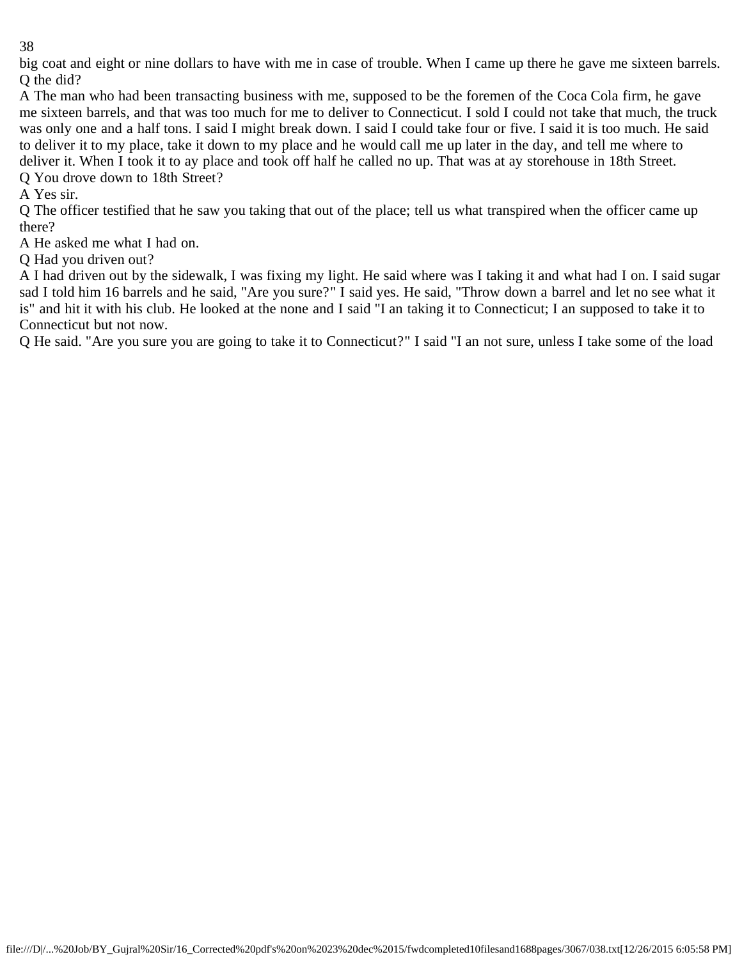big coat and eight or nine dollars to have with me in case of trouble. When I came up there he gave me sixteen barrels. Q the did?

A The man who had been transacting business with me, supposed to be the foremen of the Coca Cola firm, he gave me sixteen barrels, and that was too much for me to deliver to Connecticut. I sold I could not take that much, the truck was only one and a half tons. I said I might break down. I said I could take four or five. I said it is too much. He said to deliver it to my place, take it down to my place and he would call me up later in the day, and tell me where to deliver it. When I took it to ay place and took off half he called no up. That was at ay storehouse in 18th Street. Q You drove down to 18th Street?

A Yes sir.

Q The officer testified that he saw you taking that out of the place; tell us what transpired when the officer came up there?

A He asked me what I had on.

Q Had you driven out?

A I had driven out by the sidewalk, I was fixing my light. He said where was I taking it and what had I on. I said sugar sad I told him 16 barrels and he said, "Are you sure?" I said yes. He said, "Throw down a barrel and let no see what it is" and hit it with his club. He looked at the none and I said "I an taking it to Connecticut; I an supposed to take it to Connecticut but not now.

Q He said. "Are you sure you are going to take it to Connecticut?" I said "I an not sure, unless I take some of the load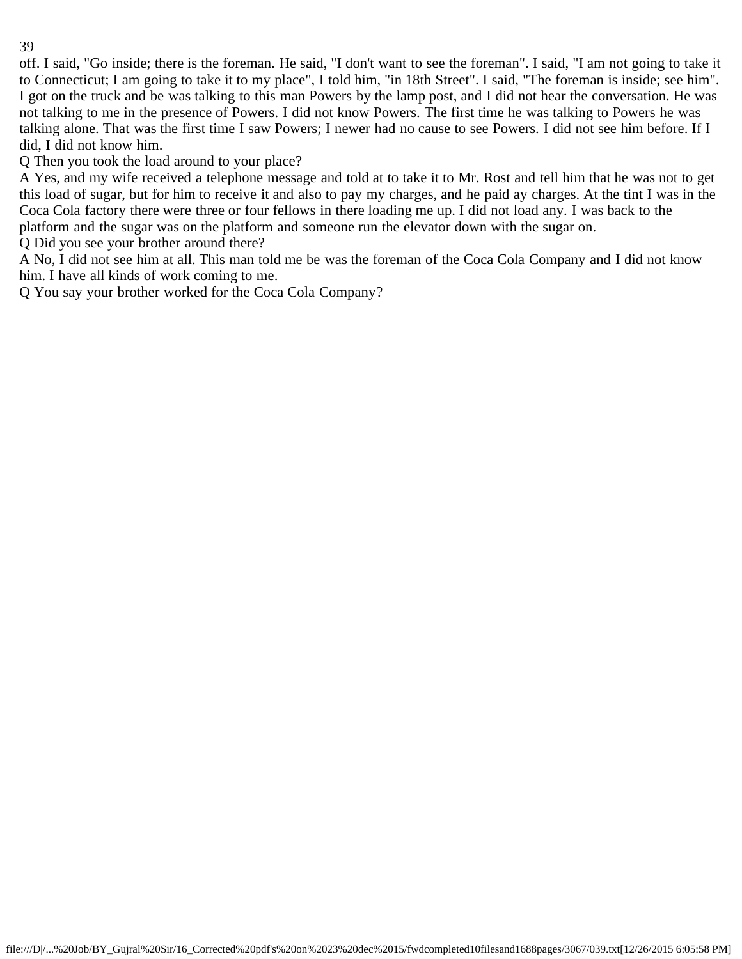off. I said, "Go inside; there is the foreman. He said, "I don't want to see the foreman". I said, "I am not going to take it to Connecticut; I am going to take it to my place", I told him, "in 18th Street". I said, "The foreman is inside; see him". I got on the truck and be was talking to this man Powers by the lamp post, and I did not hear the conversation. He was not talking to me in the presence of Powers. I did not know Powers. The first time he was talking to Powers he was talking alone. That was the first time I saw Powers; I newer had no cause to see Powers. I did not see him before. If I did, I did not know him.

Q Then you took the load around to your place?

A Yes, and my wife received a telephone message and told at to take it to Mr. Rost and tell him that he was not to get this load of sugar, but for him to receive it and also to pay my charges, and he paid ay charges. At the tint I was in the Coca Cola factory there were three or four fellows in there loading me up. I did not load any. I was back to the platform and the sugar was on the platform and someone run the elevator down with the sugar on.

Q Did you see your brother around there?

A No, I did not see him at all. This man told me be was the foreman of the Coca Cola Company and I did not know him. I have all kinds of work coming to me.

Q You say your brother worked for the Coca Cola Company?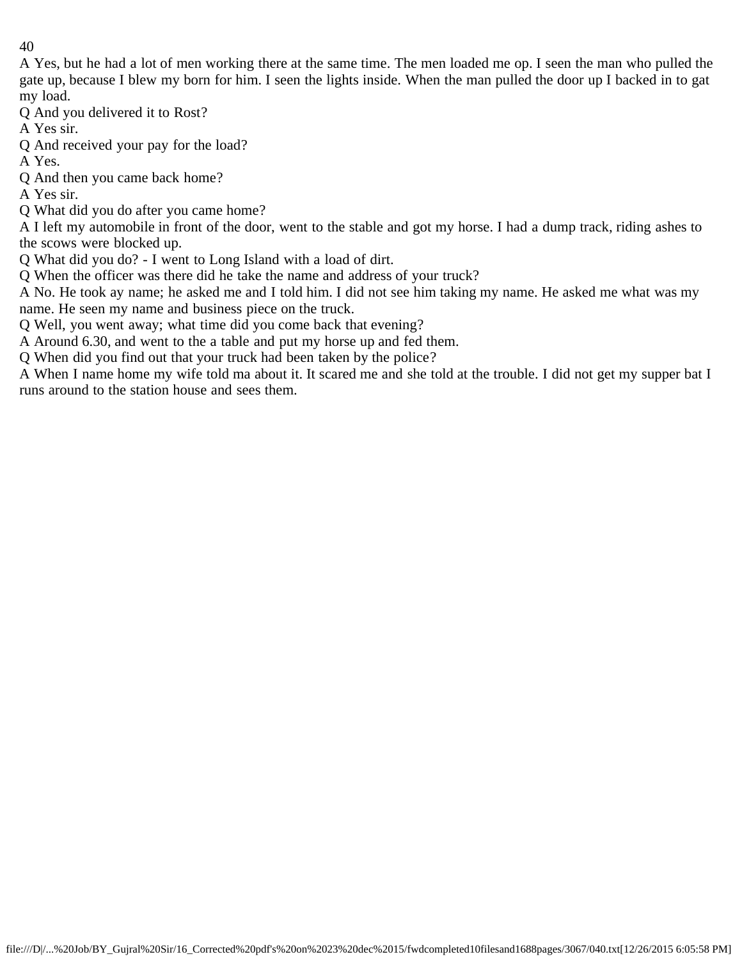A Yes, but he had a lot of men working there at the same time. The men loaded me op. I seen the man who pulled the gate up, because I blew my born for him. I seen the lights inside. When the man pulled the door up I backed in to gat my load.

Q And you delivered it to Rost?

A Yes sir.

Q And received your pay for the load?

A Yes.

Q And then you came back home?

A Yes sir.

Q What did you do after you came home?

A I left my automobile in front of the door, went to the stable and got my horse. I had a dump track, riding ashes to the scows were blocked up.

Q What did you do? - I went to Long Island with a load of dirt.

Q When the officer was there did he take the name and address of your truck?

A No. He took ay name; he asked me and I told him. I did not see him taking my name. He asked me what was my name. He seen my name and business piece on the truck.

Q Well, you went away; what time did you come back that evening?

A Around 6.30, and went to the a table and put my horse up and fed them.

Q When did you find out that your truck had been taken by the police?

A When I name home my wife told ma about it. It scared me and she told at the trouble. I did not get my supper bat I runs around to the station house and sees them.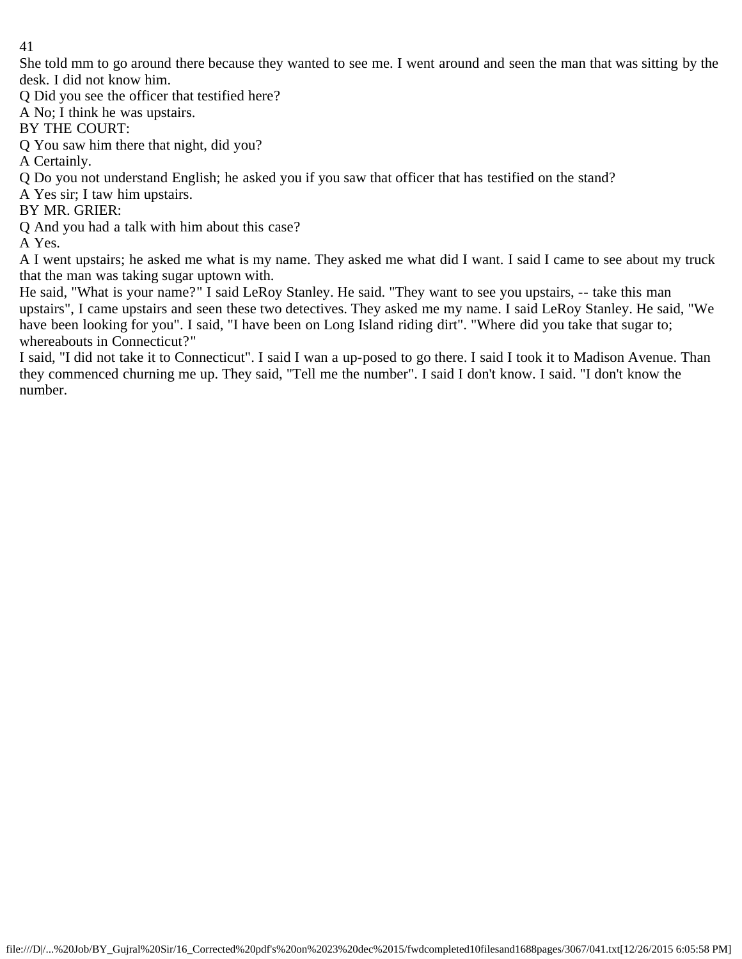She told mm to go around there because they wanted to see me. I went around and seen the man that was sitting by the desk. I did not know him.

Q Did you see the officer that testified here?

A No; I think he was upstairs.

BY THE COURT:

Q You saw him there that night, did you?

A Certainly.

Q Do you not understand English; he asked you if you saw that officer that has testified on the stand?

A Yes sir; I taw him upstairs.

BY MR. GRIER:

Q And you had a talk with him about this case?

A Yes.

A I went upstairs; he asked me what is my name. They asked me what did I want. I said I came to see about my truck that the man was taking sugar uptown with.

He said, "What is your name?" I said LeRoy Stanley. He said. "They want to see you upstairs, -- take this man upstairs", I came upstairs and seen these two detectives. They asked me my name. I said LeRoy Stanley. He said, "We have been looking for you". I said, "I have been on Long Island riding dirt". "Where did you take that sugar to; whereabouts in Connecticut?"

I said, "I did not take it to Connecticut". I said I wan a up-posed to go there. I said I took it to Madison Avenue. Than they commenced churning me up. They said, "Tell me the number". I said I don't know. I said. "I don't know the number.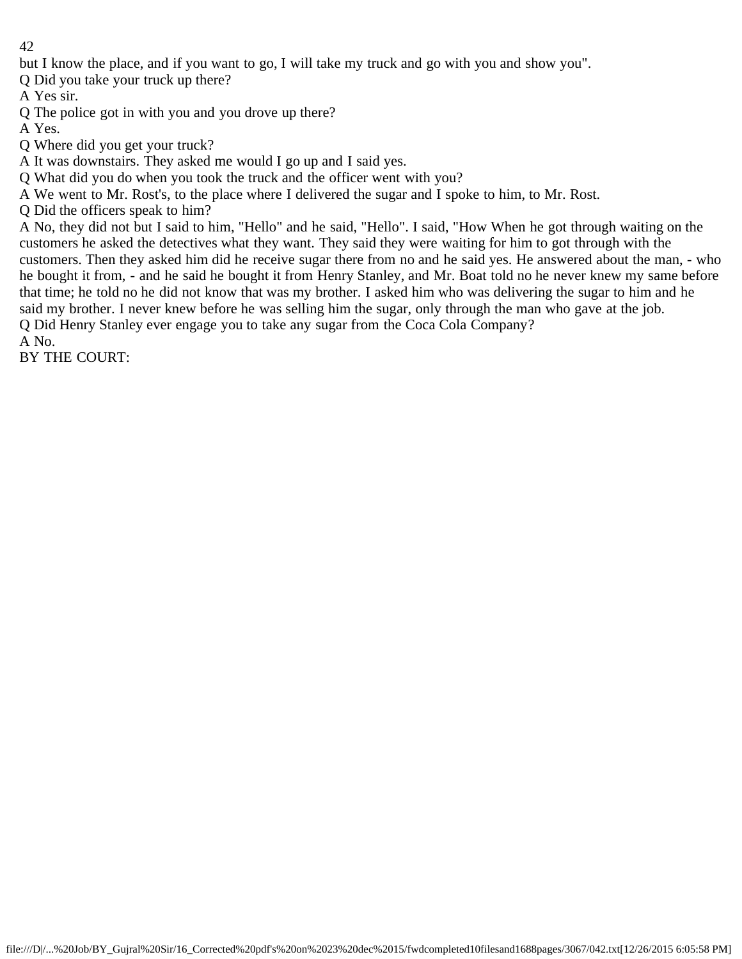but I know the place, and if you want to go, I will take my truck and go with you and show you".

Q Did you take your truck up there?

A Yes sir.

Q The police got in with you and you drove up there?

A Yes.

Q Where did you get your truck?

A It was downstairs. They asked me would I go up and I said yes.

Q What did you do when you took the truck and the officer went with you?

A We went to Mr. Rost's, to the place where I delivered the sugar and I spoke to him, to Mr. Rost.

Q Did the officers speak to him?

A No, they did not but I said to him, "Hello" and he said, "Hello". I said, "How When he got through waiting on the customers he asked the detectives what they want. They said they were waiting for him to got through with the customers. Then they asked him did he receive sugar there from no and he said yes. He answered about the man, - who he bought it from, - and he said he bought it from Henry Stanley, and Mr. Boat told no he never knew my same before that time; he told no he did not know that was my brother. I asked him who was delivering the sugar to him and he said my brother. I never knew before he was selling him the sugar, only through the man who gave at the job. Q Did Henry Stanley ever engage you to take any sugar from the Coca Cola Company? A No.

BY THE COURT: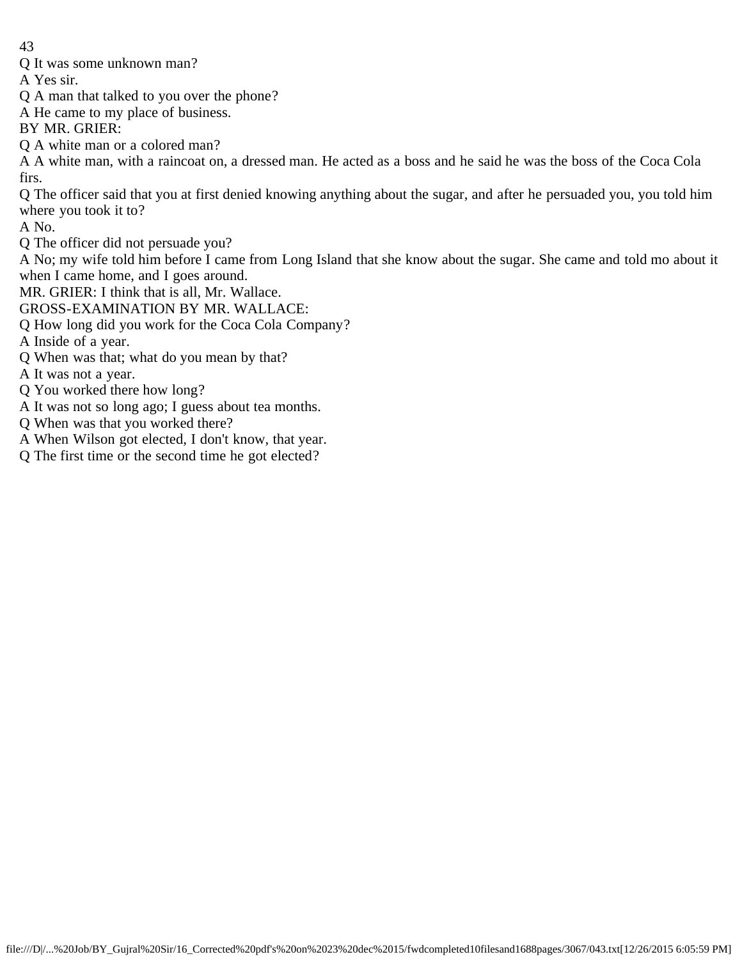Q It was some unknown man?

A Yes sir.

Q A man that talked to you over the phone?

A He came to my place of business.

BY MR. GRIER:

Q A white man or a colored man?

A A white man, with a raincoat on, a dressed man. He acted as a boss and he said he was the boss of the Coca Cola firs.

Q The officer said that you at first denied knowing anything about the sugar, and after he persuaded you, you told him where you took it to?

A No.

Q The officer did not persuade you?

A No; my wife told him before I came from Long Island that she know about the sugar. She came and told mo about it when I came home, and I goes around.

MR. GRIER: I think that is all, Mr. Wallace.

GROSS-EXAMINATION BY MR. WALLACE:

Q How long did you work for the Coca Cola Company?

A Inside of a year.

Q When was that; what do you mean by that?

A It was not a year.

Q You worked there how long?

- A It was not so long ago; I guess about tea months.
- Q When was that you worked there?
- A When Wilson got elected, I don't know, that year.
- Q The first time or the second time he got elected?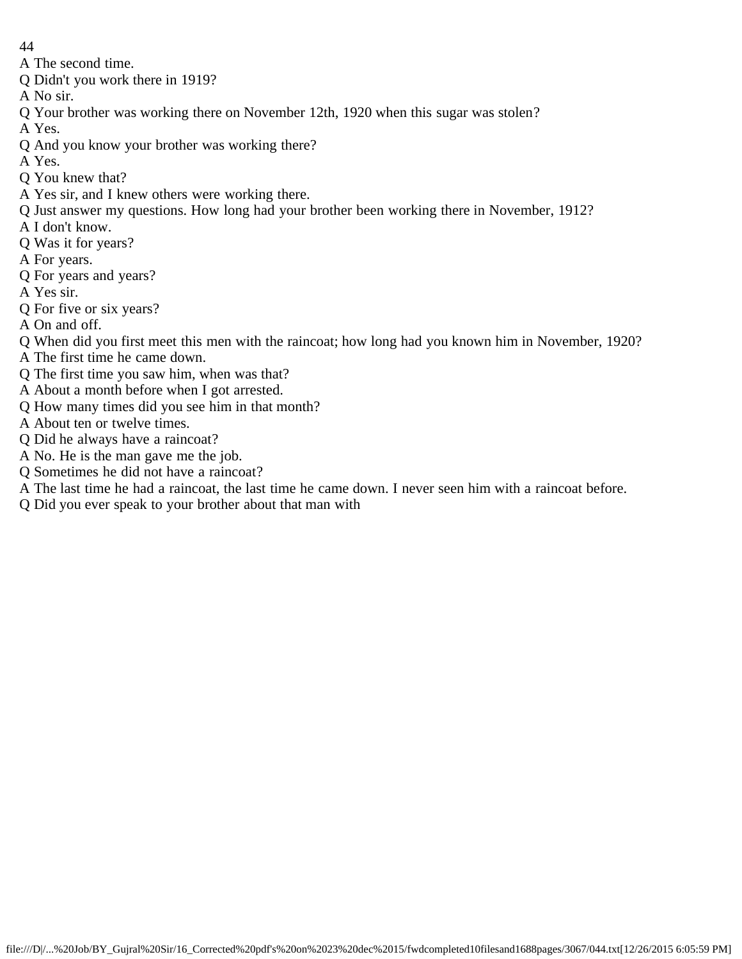- 44
- A The second time.
- Q Didn't you work there in 1919?
- A No sir.
- Q Your brother was working there on November 12th, 1920 when this sugar was stolen?
- A Yes.
- Q And you know your brother was working there?
- A Yes.
- Q You knew that?
- A Yes sir, and I knew others were working there.
- Q Just answer my questions. How long had your brother been working there in November, 1912?
- A I don't know.
- Q Was it for years?
- A For years.
- Q For years and years?
- A Yes sir.
- Q For five or six years?
- A On and off.
- Q When did you first meet this men with the raincoat; how long had you known him in November, 1920?
- A The first time he came down.
- Q The first time you saw him, when was that?
- A About a month before when I got arrested.
- Q How many times did you see him in that month?
- A About ten or twelve times.
- Q Did he always have a raincoat?
- A No. He is the man gave me the job.
- Q Sometimes he did not have a raincoat?
- A The last time he had a raincoat, the last time he came down. I never seen him with a raincoat before.
- Q Did you ever speak to your brother about that man with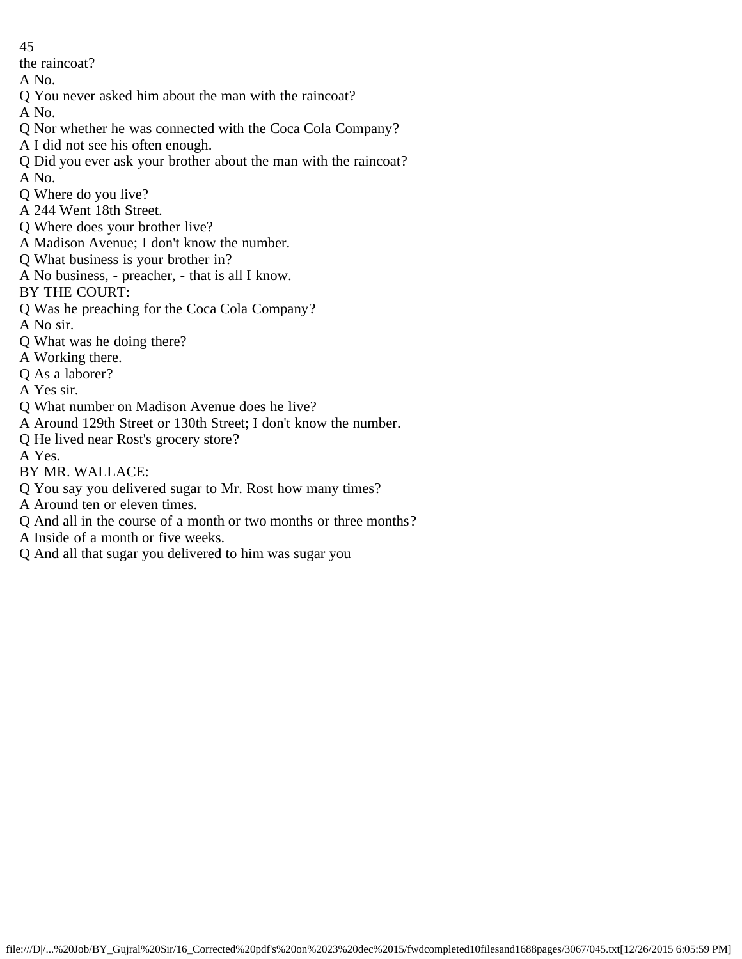the raincoat?

- A No.
- Q You never asked him about the man with the raincoat?
- A No.
- Q Nor whether he was connected with the Coca Cola Company?
- A I did not see his often enough.
- Q Did you ever ask your brother about the man with the raincoat?
- A No.
- Q Where do you live?
- A 244 Went 18th Street.
- Q Where does your brother live?
- A Madison Avenue; I don't know the number.
- Q What business is your brother in?
- A No business, preacher, that is all I know.
- BY THE COURT:
- Q Was he preaching for the Coca Cola Company?
- A No sir.
- Q What was he doing there?
- A Working there.
- Q As a laborer?
- A Yes sir.
- Q What number on Madison Avenue does he live?
- A Around 129th Street or 130th Street; I don't know the number.
- Q He lived near Rost's grocery store?
- A Yes.
- BY MR. WALLACE:
- Q You say you delivered sugar to Mr. Rost how many times?
- A Around ten or eleven times.
- Q And all in the course of a month or two months or three months?
- A Inside of a month or five weeks.
- Q And all that sugar you delivered to him was sugar you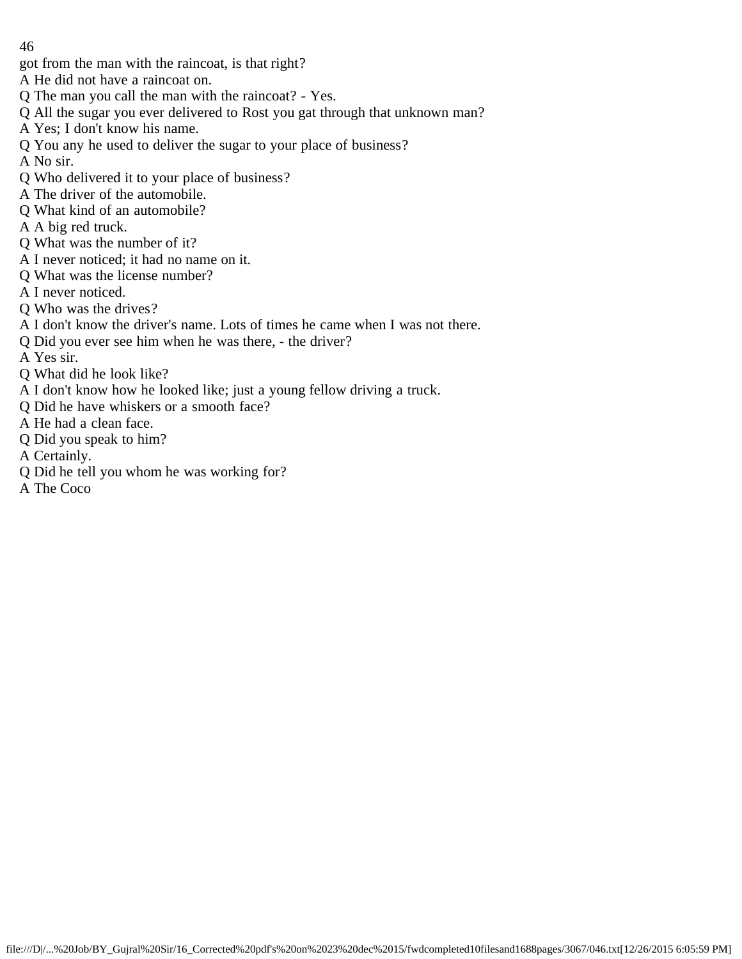- got from the man with the raincoat, is that right?
- A He did not have a raincoat on.
- Q The man you call the man with the raincoat? Yes.
- Q All the sugar you ever delivered to Rost you gat through that unknown man?
- A Yes; I don't know his name.
- Q You any he used to deliver the sugar to your place of business?
- A No sir.
- Q Who delivered it to your place of business?
- A The driver of the automobile.
- Q What kind of an automobile?
- A A big red truck.
- Q What was the number of it?
- A I never noticed; it had no name on it.
- Q What was the license number?
- A I never noticed.
- Q Who was the drives?
- A I don't know the driver's name. Lots of times he came when I was not there.
- Q Did you ever see him when he was there, the driver?
- A Yes sir.
- Q What did he look like?
- A I don't know how he looked like; just a young fellow driving a truck.
- Q Did he have whiskers or a smooth face?
- A He had a clean face.
- Q Did you speak to him?
- A Certainly.
- Q Did he tell you whom he was working for?
- A The Coco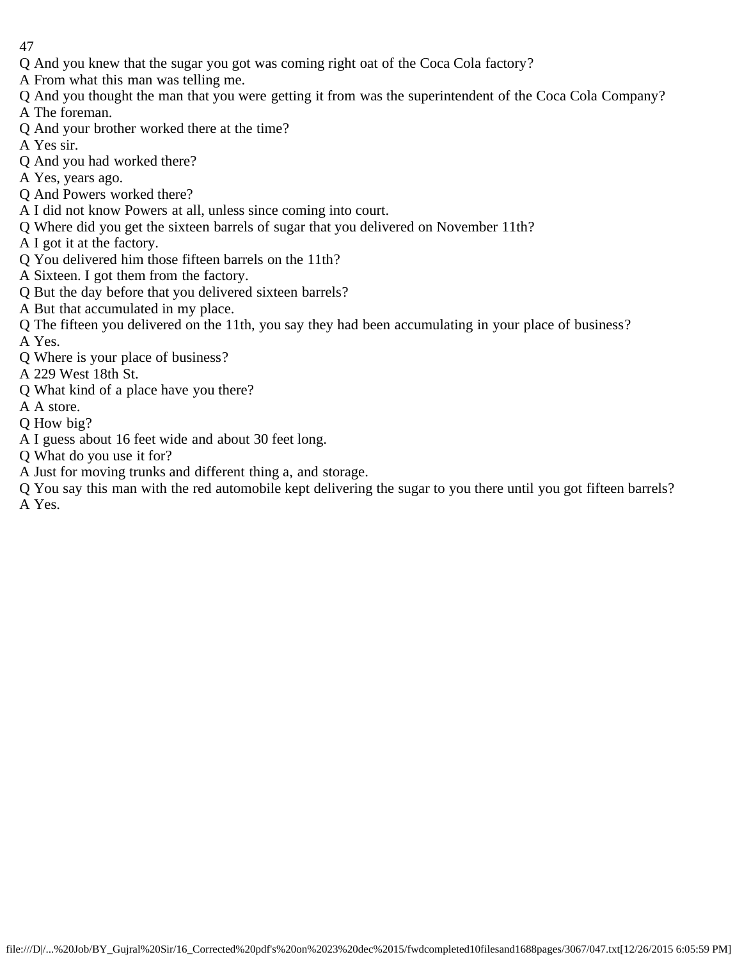- Q And you knew that the sugar you got was coming right oat of the Coca Cola factory?
- A From what this man was telling me.
- Q And you thought the man that you were getting it from was the superintendent of the Coca Cola Company?
- A The foreman.
- Q And your brother worked there at the time?
- A Yes sir.
- Q And you had worked there?
- A Yes, years ago.
- Q And Powers worked there?
- A I did not know Powers at all, unless since coming into court.
- Q Where did you get the sixteen barrels of sugar that you delivered on November 11th?
- A I got it at the factory.
- Q You delivered him those fifteen barrels on the 11th?
- A Sixteen. I got them from the factory.
- Q But the day before that you delivered sixteen barrels?
- A But that accumulated in my place.
- Q The fifteen you delivered on the 11th, you say they had been accumulating in your place of business? A Yes.
- Q Where is your place of business?
- A 229 West 18th St.
- Q What kind of a place have you there?
- A A store.
- Q How big?
- A I guess about 16 feet wide and about 30 feet long.
- Q What do you use it for?
- A Just for moving trunks and different thing a, and storage.
- Q You say this man with the red automobile kept delivering the sugar to you there until you got fifteen barrels? A Yes.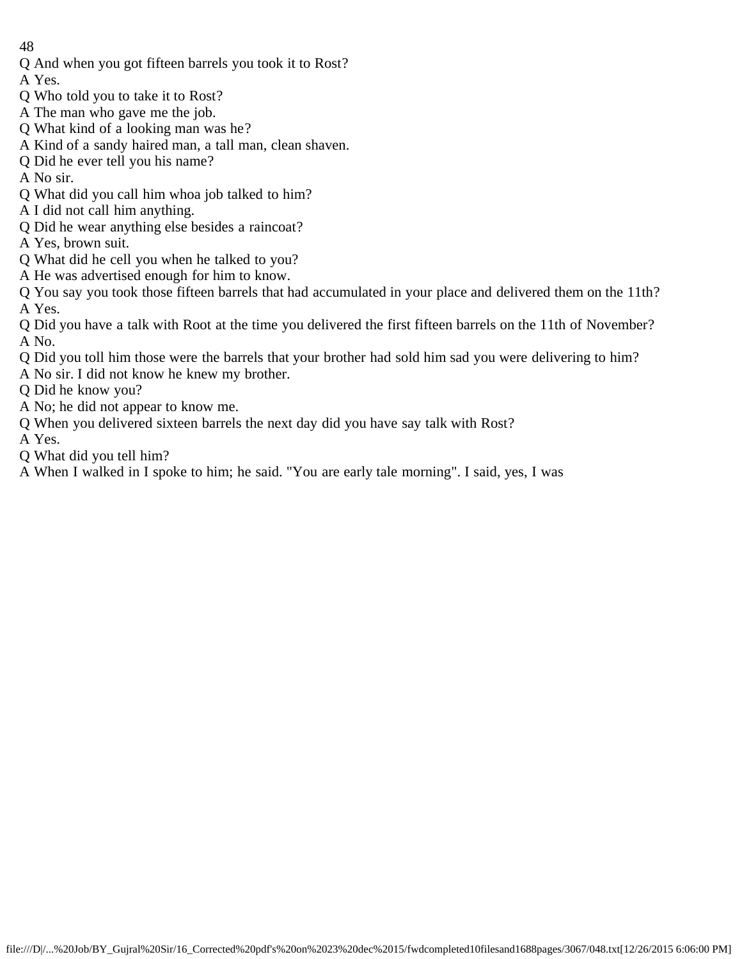Q And when you got fifteen barrels you took it to Rost?

A Yes.

- Q Who told you to take it to Rost?
- A The man who gave me the job.
- Q What kind of a looking man was he?
- A Kind of a sandy haired man, a tall man, clean shaven.
- Q Did he ever tell you his name?
- A No sir.
- Q What did you call him whoa job talked to him?
- A I did not call him anything.
- Q Did he wear anything else besides a raincoat?
- A Yes, brown suit.
- Q What did he cell you when he talked to you?
- A He was advertised enough for him to know.

Q You say you took those fifteen barrels that had accumulated in your place and delivered them on the 11th? A Yes.

Q Did you have a talk with Root at the time you delivered the first fifteen barrels on the 11th of November? A No.

- Q Did you toll him those were the barrels that your brother had sold him sad you were delivering to him?
- A No sir. I did not know he knew my brother.

Q Did he know you?

- A No; he did not appear to know me.
- Q When you delivered sixteen barrels the next day did you have say talk with Rost?
- A Yes.
- Q What did you tell him?
- A When I walked in I spoke to him; he said. "You are early tale morning". I said, yes, I was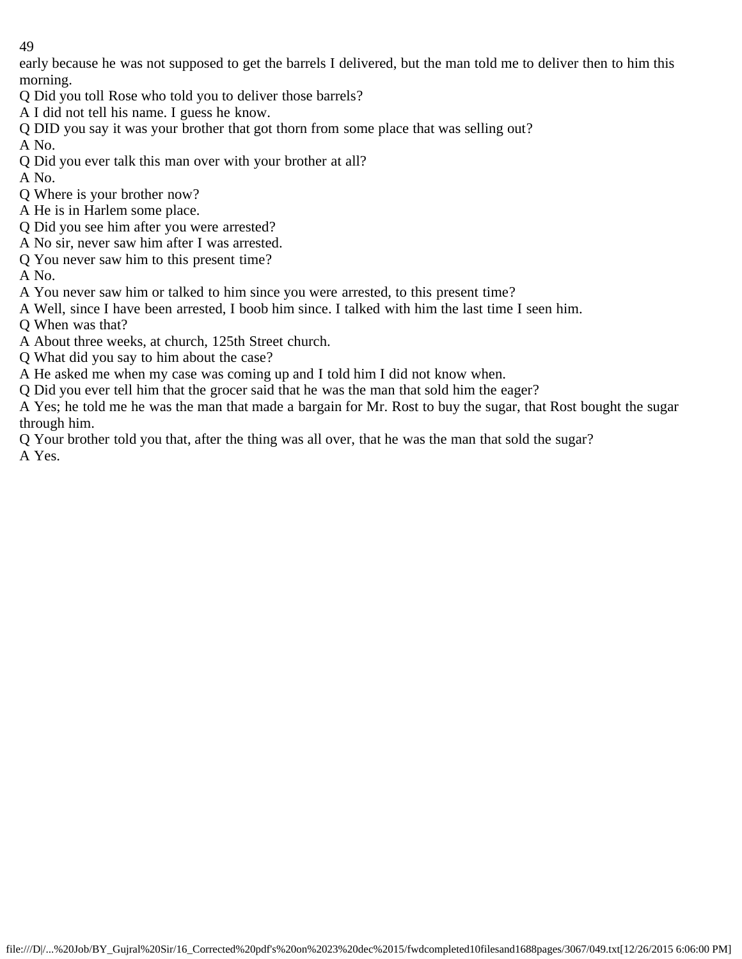early because he was not supposed to get the barrels I delivered, but the man told me to deliver then to him this morning.

- Q Did you toll Rose who told you to deliver those barrels?
- A I did not tell his name. I guess he know.
- Q DID you say it was your brother that got thorn from some place that was selling out?

A No.

- Q Did you ever talk this man over with your brother at all?
- A No.
- Q Where is your brother now?
- A He is in Harlem some place.
- Q Did you see him after you were arrested?
- A No sir, never saw him after I was arrested.
- Q You never saw him to this present time?

A No.

- A You never saw him or talked to him since you were arrested, to this present time?
- A Well, since I have been arrested, I boob him since. I talked with him the last time I seen him.
- Q When was that?
- A About three weeks, at church, 125th Street church.
- Q What did you say to him about the case?
- A He asked me when my case was coming up and I told him I did not know when.
- Q Did you ever tell him that the grocer said that he was the man that sold him the eager?
- A Yes; he told me he was the man that made a bargain for Mr. Rost to buy the sugar, that Rost bought the sugar through him.
- Q Your brother told you that, after the thing was all over, that he was the man that sold the sugar? A Yes.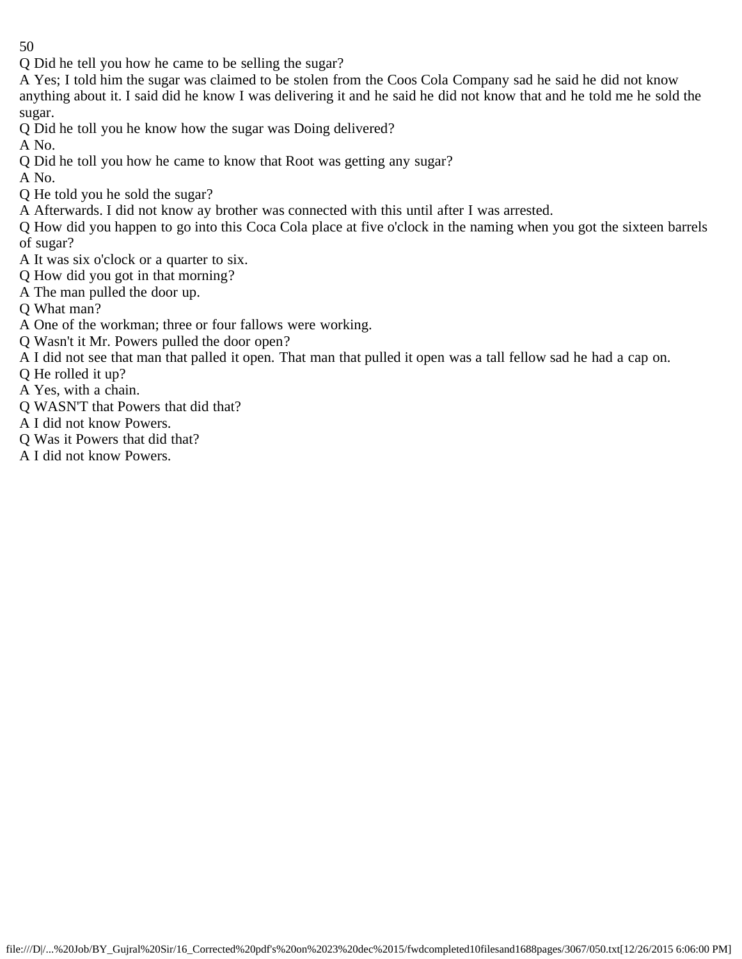Q Did he tell you how he came to be selling the sugar?

A Yes; I told him the sugar was claimed to be stolen from the Coos Cola Company sad he said he did not know anything about it. I said did he know I was delivering it and he said he did not know that and he told me he sold the sugar.

Q Did he toll you he know how the sugar was Doing delivered?

A No.

Q Did he toll you how he came to know that Root was getting any sugar?

A No.

Q He told you he sold the sugar?

A Afterwards. I did not know ay brother was connected with this until after I was arrested.

Q How did you happen to go into this Coca Cola place at five o'clock in the naming when you got the sixteen barrels of sugar?

- A It was six o'clock or a quarter to six.
- Q How did you got in that morning?
- A The man pulled the door up.

Q What man?

- A One of the workman; three or four fallows were working.
- Q Wasn't it Mr. Powers pulled the door open?
- A I did not see that man that palled it open. That man that pulled it open was a tall fellow sad he had a cap on.
- Q He rolled it up?
- A Yes, with a chain.
- Q WASN'T that Powers that did that?
- A I did not know Powers.
- Q Was it Powers that did that?
- A I did not know Powers.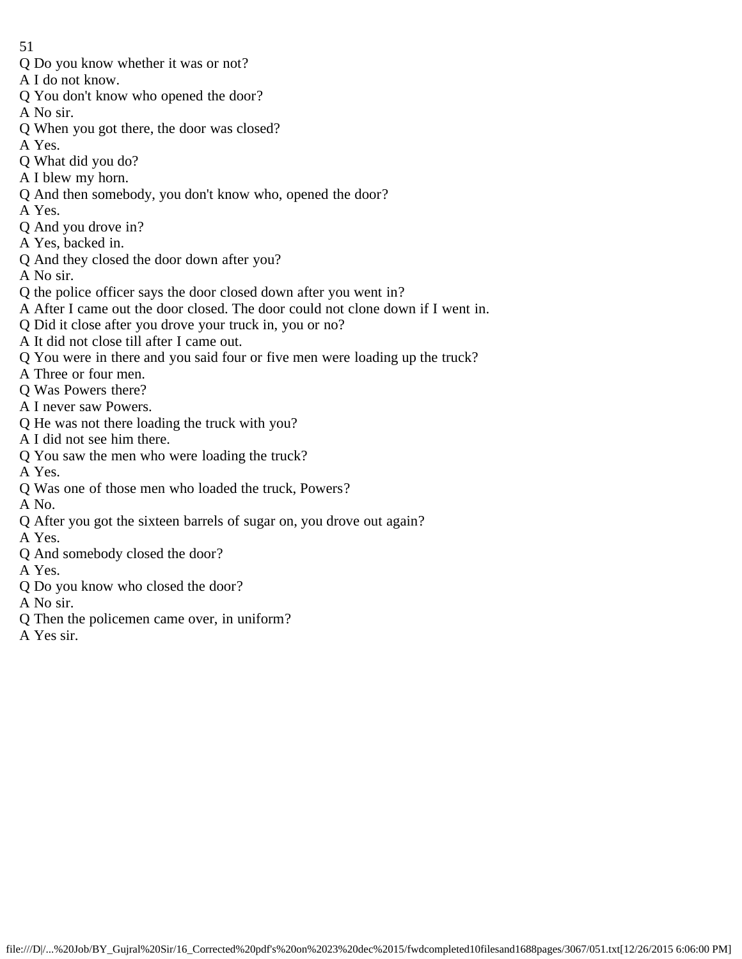- 51
- Q Do you know whether it was or not?
- A I do not know.
- Q You don't know who opened the door?
- A No sir.
- Q When you got there, the door was closed?
- A Yes.
- Q What did you do?
- A I blew my horn.
- Q And then somebody, you don't know who, opened the door?
- A Yes.
- Q And you drove in?
- A Yes, backed in.
- Q And they closed the door down after you?
- A No sir.
- Q the police officer says the door closed down after you went in?
- A After I came out the door closed. The door could not clone down if I went in.
- Q Did it close after you drove your truck in, you or no?
- A It did not close till after I came out.
- Q You were in there and you said four or five men were loading up the truck?
- A Three or four men.
- Q Was Powers there?
- A I never saw Powers.
- Q He was not there loading the truck with you?
- A I did not see him there.
- Q You saw the men who were loading the truck?
- A Yes.
- Q Was one of those men who loaded the truck, Powers?
- A No.
- Q After you got the sixteen barrels of sugar on, you drove out again?
- A Yes.
- Q And somebody closed the door?
- A Yes.
- Q Do you know who closed the door?
- A No sir.
- Q Then the policemen came over, in uniform?
- A Yes sir.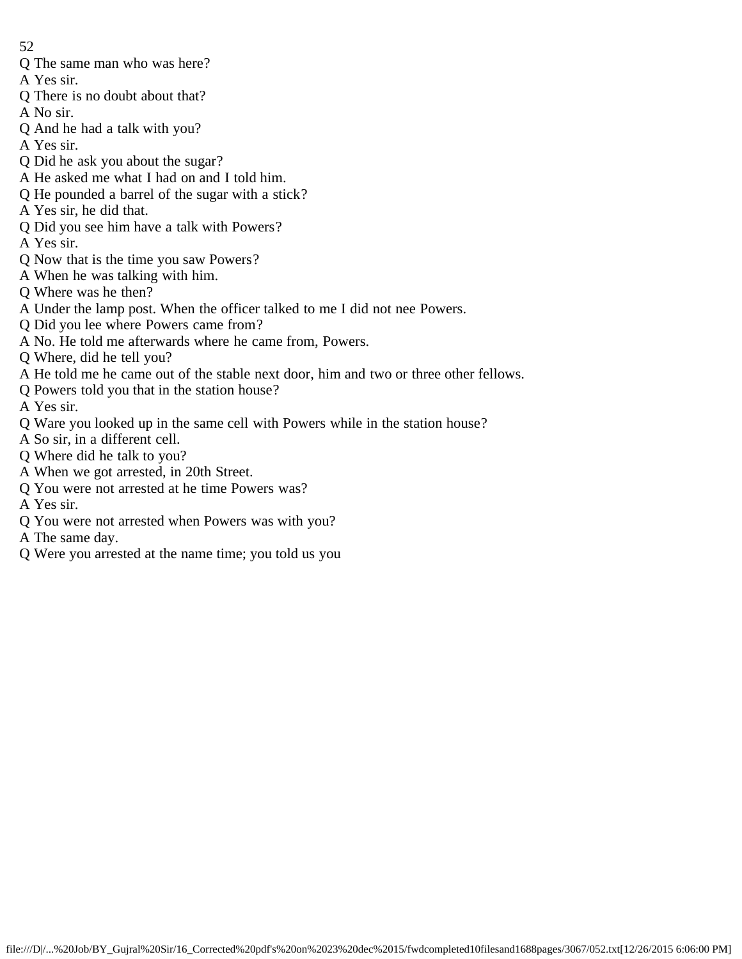- 52
- Q The same man who was here?
- A Yes sir.
- Q There is no doubt about that?
- A No sir.
- Q And he had a talk with you?
- A Yes sir.
- Q Did he ask you about the sugar?
- A He asked me what I had on and I told him.
- Q He pounded a barrel of the sugar with a stick?
- A Yes sir, he did that.
- Q Did you see him have a talk with Powers?
- A Yes sir.
- Q Now that is the time you saw Powers?
- A When he was talking with him.
- Q Where was he then?
- A Under the lamp post. When the officer talked to me I did not nee Powers.
- Q Did you lee where Powers came from?
- A No. He told me afterwards where he came from, Powers.
- Q Where, did he tell you?
- A He told me he came out of the stable next door, him and two or three other fellows.
- Q Powers told you that in the station house?
- A Yes sir.
- Q Ware you looked up in the same cell with Powers while in the station house?
- A So sir, in a different cell.
- Q Where did he talk to you?
- A When we got arrested, in 20th Street.
- Q You were not arrested at he time Powers was?
- A Yes sir.
- Q You were not arrested when Powers was with you?
- A The same day.
- Q Were you arrested at the name time; you told us you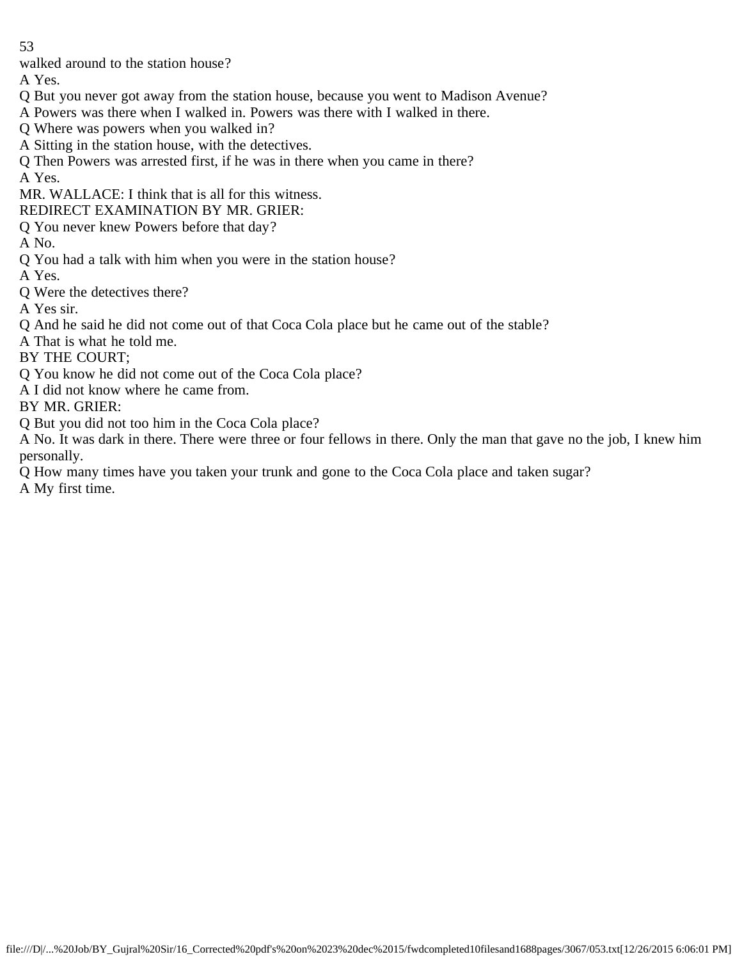walked around to the station house?

A Yes.

- Q But you never got away from the station house, because you went to Madison Avenue?
- A Powers was there when I walked in. Powers was there with I walked in there.
- Q Where was powers when you walked in?
- A Sitting in the station house, with the detectives.
- Q Then Powers was arrested first, if he was in there when you came in there?

A Yes.

- MR. WALLACE: I think that is all for this witness.
- REDIRECT EXAMINATION BY MR. GRIER:
- Q You never knew Powers before that day?

A No.

- Q You had a talk with him when you were in the station house?
- A Yes.
- Q Were the detectives there?
- A Yes sir.
- Q And he said he did not come out of that Coca Cola place but he came out of the stable?
- A That is what he told me.
- BY THE COURT;
- Q You know he did not come out of the Coca Cola place?
- A I did not know where he came from.
- BY MR. GRIER:
- Q But you did not too him in the Coca Cola place?
- A No. It was dark in there. There were three or four fellows in there. Only the man that gave no the job, I knew him personally.
- Q How many times have you taken your trunk and gone to the Coca Cola place and taken sugar?

A My first time.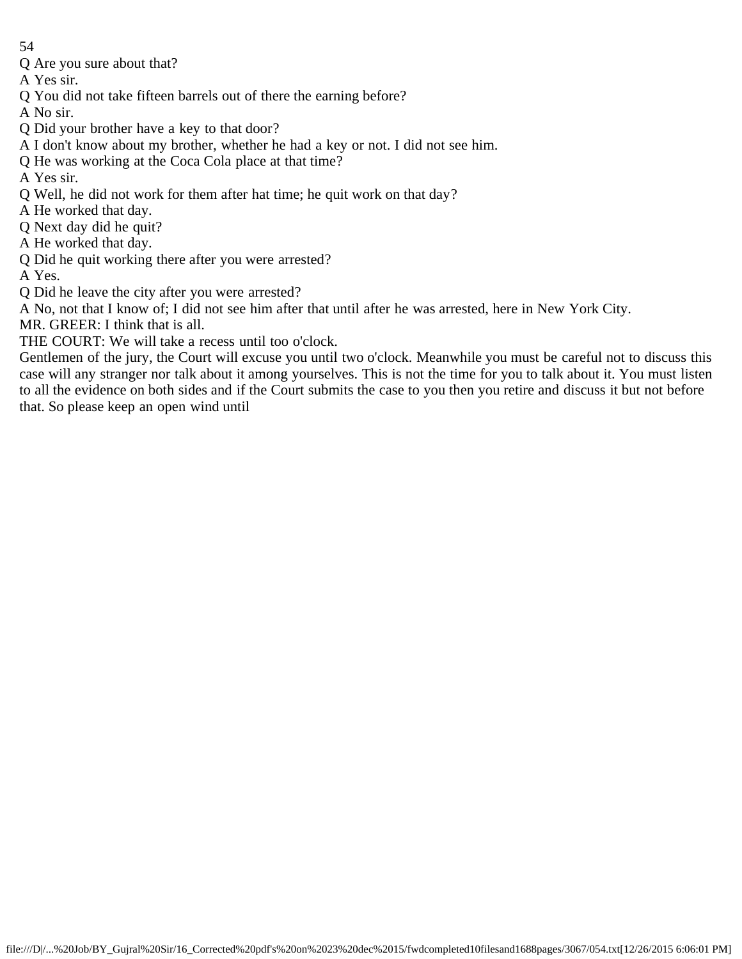- 54
- Q Are you sure about that?
- A Yes sir.
- Q You did not take fifteen barrels out of there the earning before?
- A No sir.
- Q Did your brother have a key to that door?
- A I don't know about my brother, whether he had a key or not. I did not see him.
- Q He was working at the Coca Cola place at that time?
- A Yes sir.
- Q Well, he did not work for them after hat time; he quit work on that day?
- A He worked that day.
- Q Next day did he quit?
- A He worked that day.
- Q Did he quit working there after you were arrested?
- A Yes.
- Q Did he leave the city after you were arrested?
- A No, not that I know of; I did not see him after that until after he was arrested, here in New York City.
- MR. GREER: I think that is all.
- THE COURT: We will take a recess until too o'clock.
- Gentlemen of the jury, the Court will excuse you until two o'clock. Meanwhile you must be careful not to discuss this case will any stranger nor talk about it among yourselves. This is not the time for you to talk about it. You must listen to all the evidence on both sides and if the Court submits the case to you then you retire and discuss it but not before that. So please keep an open wind until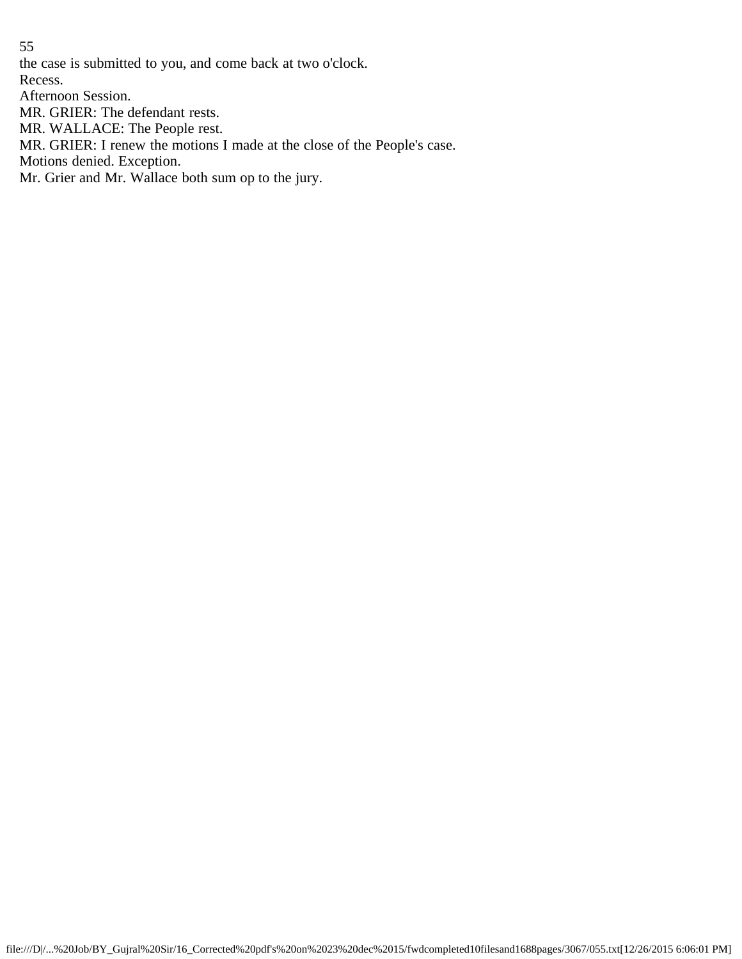the case is submitted to you, and come back at two o'clock.

Recess.

Afternoon Session.

MR. GRIER: The defendant rests.

MR. WALLACE: The People rest.

MR. GRIER: I renew the motions I made at the close of the People's case.

Motions denied. Exception.

Mr. Grier and Mr. Wallace both sum op to the jury.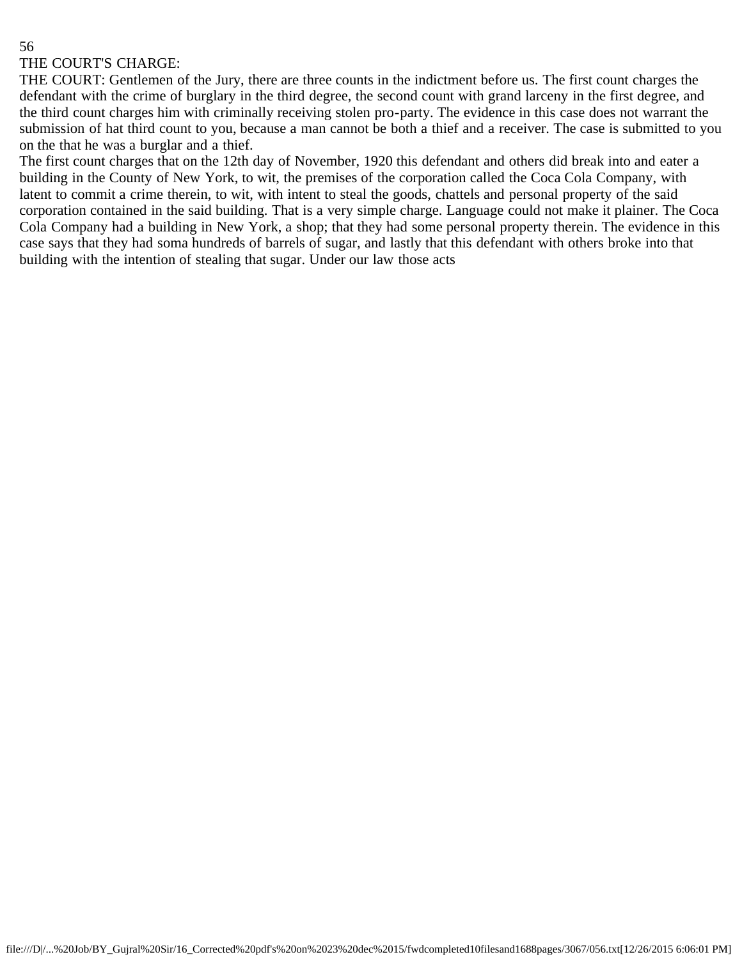## THE COURT'S CHARGE:

THE COURT: Gentlemen of the Jury, there are three counts in the indictment before us. The first count charges the defendant with the crime of burglary in the third degree, the second count with grand larceny in the first degree, and the third count charges him with criminally receiving stolen pro-party. The evidence in this case does not warrant the submission of hat third count to you, because a man cannot be both a thief and a receiver. The case is submitted to you on the that he was a burglar and a thief.

The first count charges that on the 12th day of November, 1920 this defendant and others did break into and eater a building in the County of New York, to wit, the premises of the corporation called the Coca Cola Company, with latent to commit a crime therein, to wit, with intent to steal the goods, chattels and personal property of the said corporation contained in the said building. That is a very simple charge. Language could not make it plainer. The Coca Cola Company had a building in New York, a shop; that they had some personal property therein. The evidence in this case says that they had soma hundreds of barrels of sugar, and lastly that this defendant with others broke into that building with the intention of stealing that sugar. Under our law those acts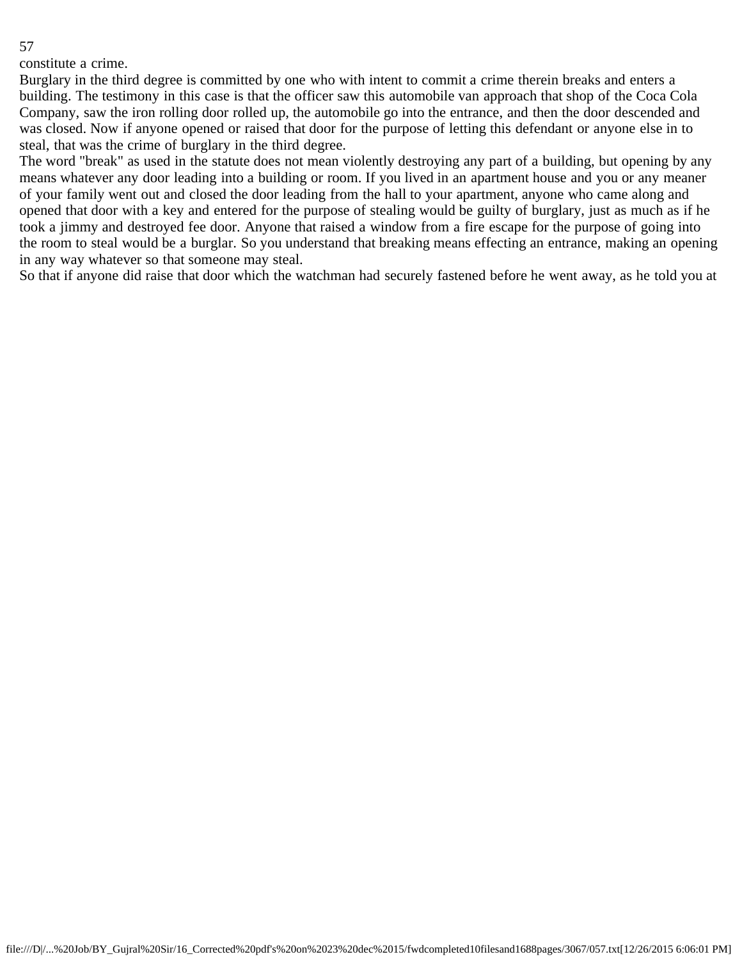constitute a crime.

Burglary in the third degree is committed by one who with intent to commit a crime therein breaks and enters a building. The testimony in this case is that the officer saw this automobile van approach that shop of the Coca Cola Company, saw the iron rolling door rolled up, the automobile go into the entrance, and then the door descended and was closed. Now if anyone opened or raised that door for the purpose of letting this defendant or anyone else in to steal, that was the crime of burglary in the third degree.

The word "break" as used in the statute does not mean violently destroying any part of a building, but opening by any means whatever any door leading into a building or room. If you lived in an apartment house and you or any meaner of your family went out and closed the door leading from the hall to your apartment, anyone who came along and opened that door with a key and entered for the purpose of stealing would be guilty of burglary, just as much as if he took a jimmy and destroyed fee door. Anyone that raised a window from a fire escape for the purpose of going into the room to steal would be a burglar. So you understand that breaking means effecting an entrance, making an opening in any way whatever so that someone may steal.

So that if anyone did raise that door which the watchman had securely fastened before he went away, as he told you at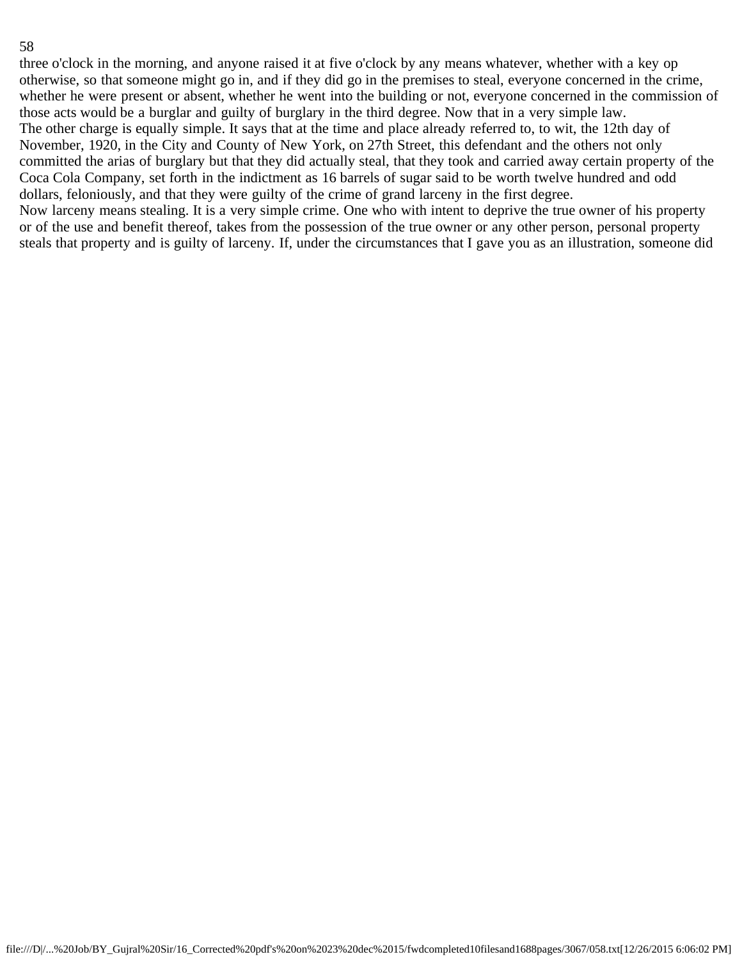three o'clock in the morning, and anyone raised it at five o'clock by any means whatever, whether with a key op otherwise, so that someone might go in, and if they did go in the premises to steal, everyone concerned in the crime, whether he were present or absent, whether he went into the building or not, everyone concerned in the commission of those acts would be a burglar and guilty of burglary in the third degree. Now that in a very simple law. The other charge is equally simple. It says that at the time and place already referred to, to wit, the 12th day of November, 1920, in the City and County of New York, on 27th Street, this defendant and the others not only committed the arias of burglary but that they did actually steal, that they took and carried away certain property of the Coca Cola Company, set forth in the indictment as 16 barrels of sugar said to be worth twelve hundred and odd dollars, feloniously, and that they were guilty of the crime of grand larceny in the first degree. Now larceny means stealing. It is a very simple crime. One who with intent to deprive the true owner of his property or of the use and benefit thereof, takes from the possession of the true owner or any other person, personal property steals that property and is guilty of larceny. If, under the circumstances that I gave you as an illustration, someone did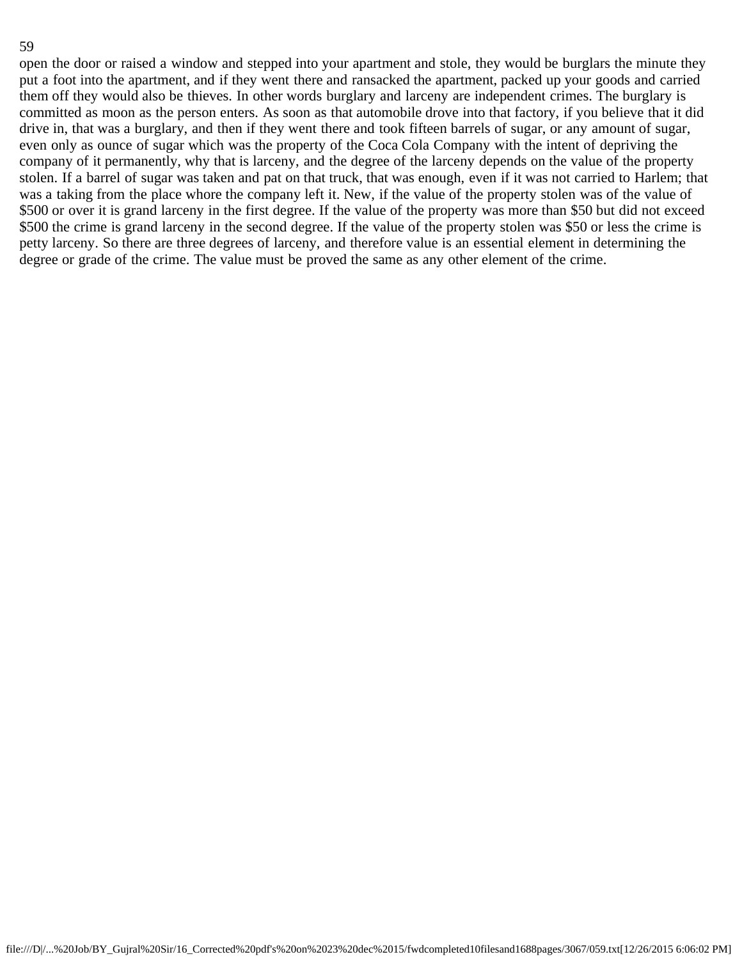open the door or raised a window and stepped into your apartment and stole, they would be burglars the minute they put a foot into the apartment, and if they went there and ransacked the apartment, packed up your goods and carried them off they would also be thieves. In other words burglary and larceny are independent crimes. The burglary is committed as moon as the person enters. As soon as that automobile drove into that factory, if you believe that it did drive in, that was a burglary, and then if they went there and took fifteen barrels of sugar, or any amount of sugar, even only as ounce of sugar which was the property of the Coca Cola Company with the intent of depriving the company of it permanently, why that is larceny, and the degree of the larceny depends on the value of the property stolen. If a barrel of sugar was taken and pat on that truck, that was enough, even if it was not carried to Harlem; that was a taking from the place whore the company left it. New, if the value of the property stolen was of the value of \$500 or over it is grand larceny in the first degree. If the value of the property was more than \$50 but did not exceed \$500 the crime is grand larceny in the second degree. If the value of the property stolen was \$50 or less the crime is petty larceny. So there are three degrees of larceny, and therefore value is an essential element in determining the degree or grade of the crime. The value must be proved the same as any other element of the crime.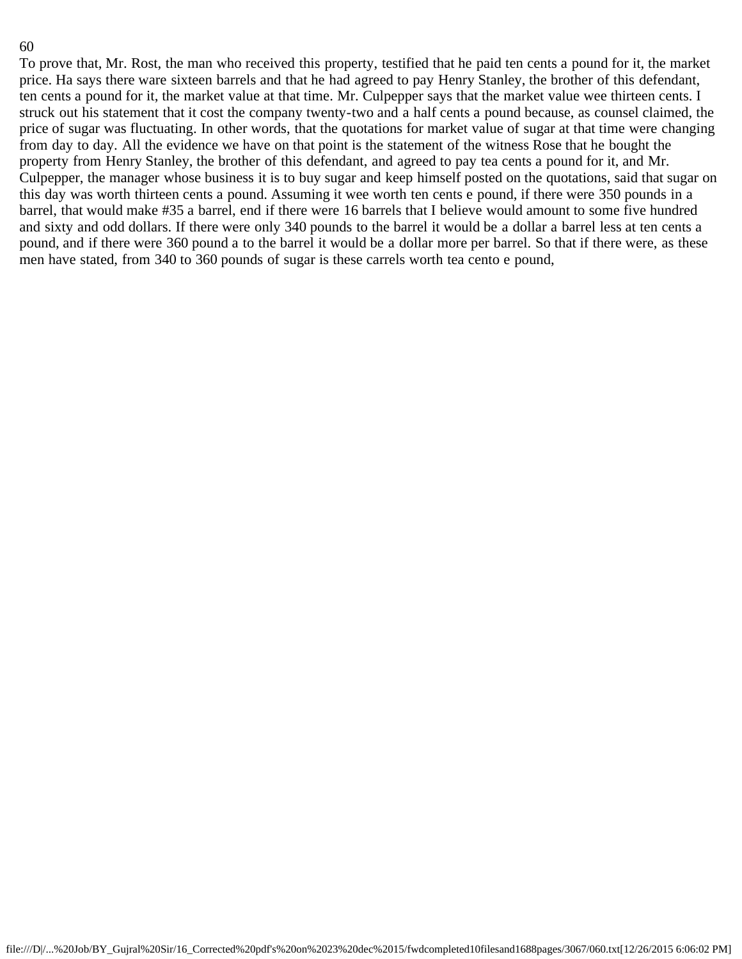To prove that, Mr. Rost, the man who received this property, testified that he paid ten cents a pound for it, the market price. Ha says there ware sixteen barrels and that he had agreed to pay Henry Stanley, the brother of this defendant, ten cents a pound for it, the market value at that time. Mr. Culpepper says that the market value wee thirteen cents. I struck out his statement that it cost the company twenty-two and a half cents a pound because, as counsel claimed, the price of sugar was fluctuating. In other words, that the quotations for market value of sugar at that time were changing from day to day. All the evidence we have on that point is the statement of the witness Rose that he bought the property from Henry Stanley, the brother of this defendant, and agreed to pay tea cents a pound for it, and Mr. Culpepper, the manager whose business it is to buy sugar and keep himself posted on the quotations, said that sugar on this day was worth thirteen cents a pound. Assuming it wee worth ten cents e pound, if there were 350 pounds in a barrel, that would make #35 a barrel, end if there were 16 barrels that I believe would amount to some five hundred and sixty and odd dollars. If there were only 340 pounds to the barrel it would be a dollar a barrel less at ten cents a pound, and if there were 360 pound a to the barrel it would be a dollar more per barrel. So that if there were, as these men have stated, from 340 to 360 pounds of sugar is these carrels worth tea cento e pound,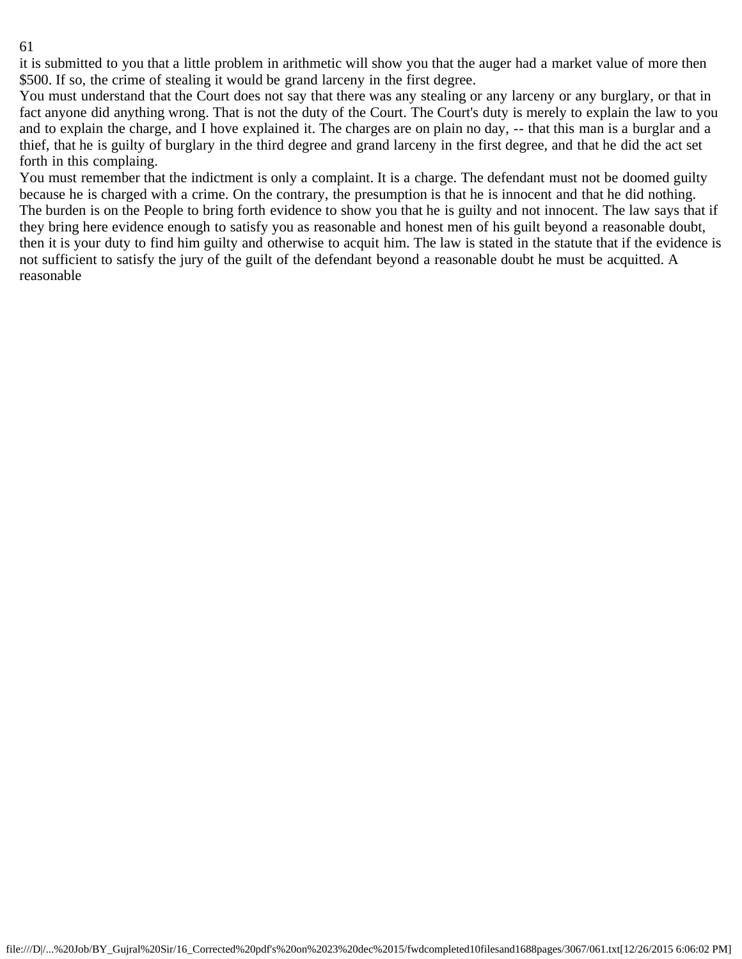it is submitted to you that a little problem in arithmetic will show you that the auger had a market value of more then \$500. If so, the crime of stealing it would be grand larceny in the first degree.

You must understand that the Court does not say that there was any stealing or any larceny or any burglary, or that in fact anyone did anything wrong. That is not the duty of the Court. The Court's duty is merely to explain the law to you and to explain the charge, and I hove explained it. The charges are on plain no day, -- that this man is a burglar and a thief, that he is guilty of burglary in the third degree and grand larceny in the first degree, and that he did the act set forth in this complaing.

You must remember that the indictment is only a complaint. It is a charge. The defendant must not be doomed guilty because he is charged with a crime. On the contrary, the presumption is that he is innocent and that he did nothing. The burden is on the People to bring forth evidence to show you that he is guilty and not innocent. The law says that if they bring here evidence enough to satisfy you as reasonable and honest men of his guilt beyond a reasonable doubt, then it is your duty to find him guilty and otherwise to acquit him. The law is stated in the statute that if the evidence is not sufficient to satisfy the jury of the guilt of the defendant beyond a reasonable doubt he must be acquitted. A reasonable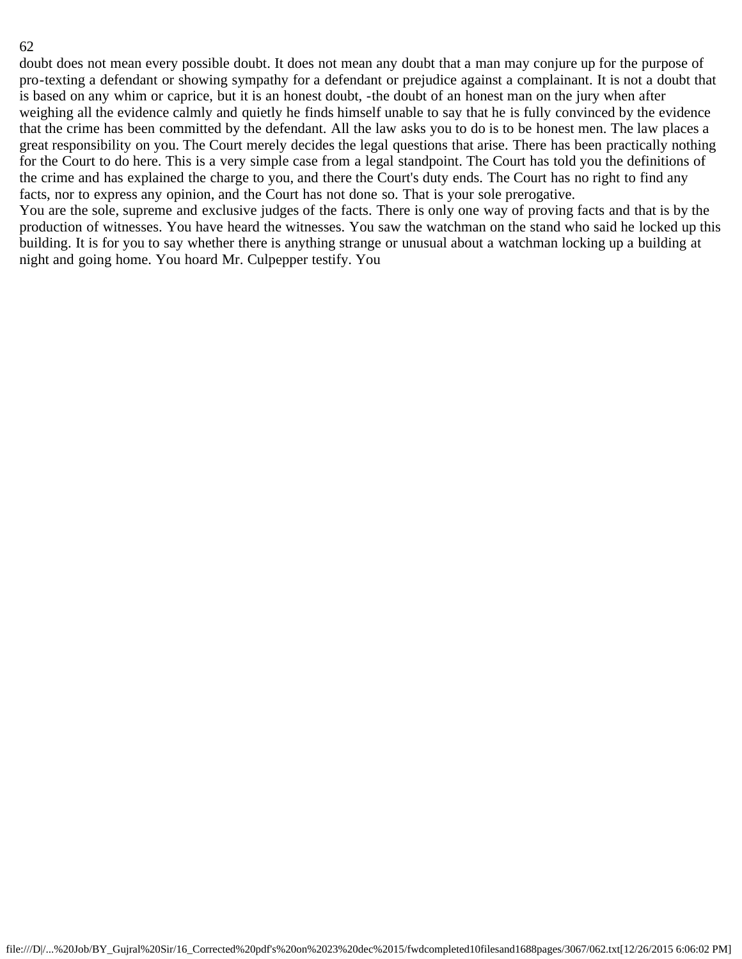doubt does not mean every possible doubt. It does not mean any doubt that a man may conjure up for the purpose of pro-texting a defendant or showing sympathy for a defendant or prejudice against a complainant. It is not a doubt that is based on any whim or caprice, but it is an honest doubt, -the doubt of an honest man on the jury when after weighing all the evidence calmly and quietly he finds himself unable to say that he is fully convinced by the evidence that the crime has been committed by the defendant. All the law asks you to do is to be honest men. The law places a great responsibility on you. The Court merely decides the legal questions that arise. There has been practically nothing for the Court to do here. This is a very simple case from a legal standpoint. The Court has told you the definitions of the crime and has explained the charge to you, and there the Court's duty ends. The Court has no right to find any facts, nor to express any opinion, and the Court has not done so. That is your sole prerogative. You are the sole, supreme and exclusive judges of the facts. There is only one way of proving facts and that is by the production of witnesses. You have heard the witnesses. You saw the watchman on the stand who said he locked up this building. It is for you to say whether there is anything strange or unusual about a watchman locking up a building at

night and going home. You hoard Mr. Culpepper testify. You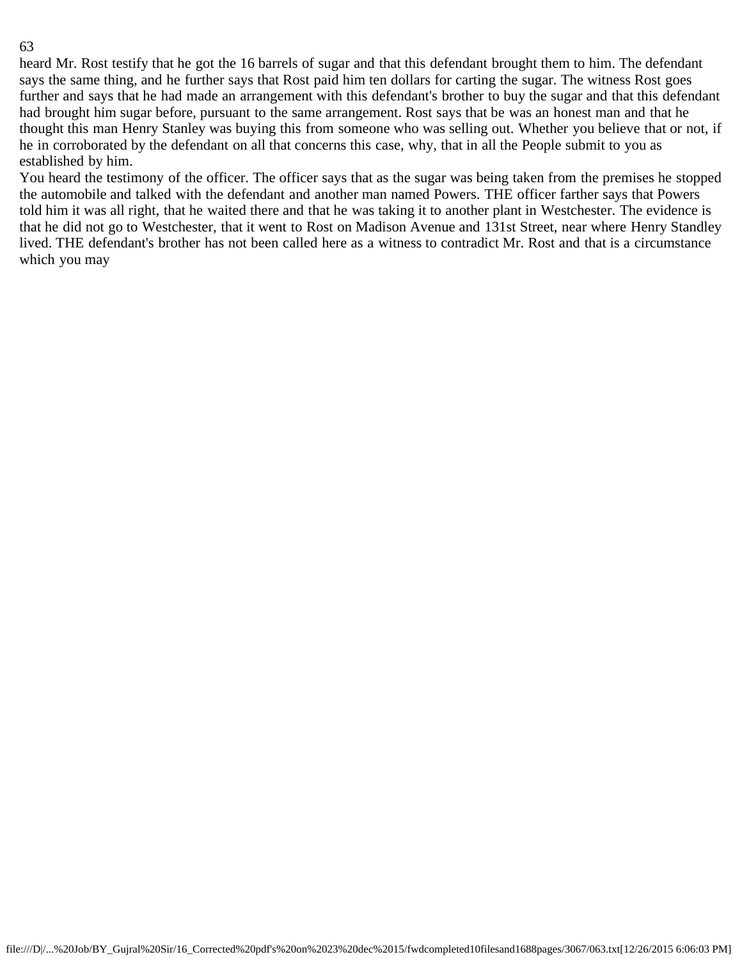heard Mr. Rost testify that he got the 16 barrels of sugar and that this defendant brought them to him. The defendant says the same thing, and he further says that Rost paid him ten dollars for carting the sugar. The witness Rost goes further and says that he had made an arrangement with this defendant's brother to buy the sugar and that this defendant had brought him sugar before, pursuant to the same arrangement. Rost says that be was an honest man and that he thought this man Henry Stanley was buying this from someone who was selling out. Whether you believe that or not, if he in corroborated by the defendant on all that concerns this case, why, that in all the People submit to you as established by him.

You heard the testimony of the officer. The officer says that as the sugar was being taken from the premises he stopped the automobile and talked with the defendant and another man named Powers. THE officer farther says that Powers told him it was all right, that he waited there and that he was taking it to another plant in Westchester. The evidence is that he did not go to Westchester, that it went to Rost on Madison Avenue and 131st Street, near where Henry Standley lived. THE defendant's brother has not been called here as a witness to contradict Mr. Rost and that is a circumstance which you may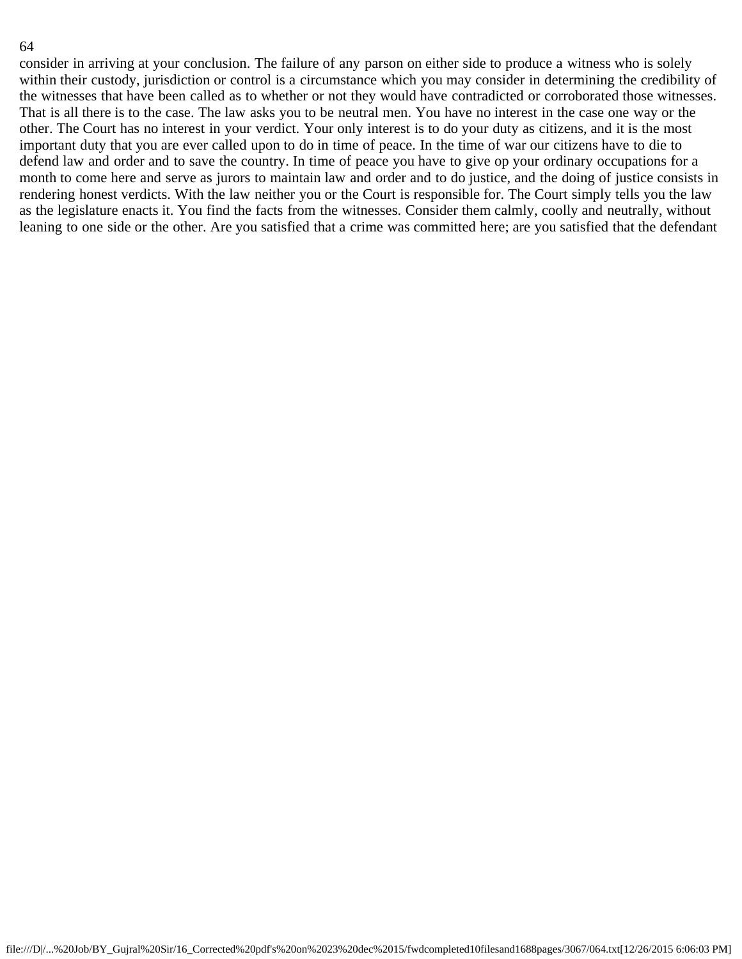consider in arriving at your conclusion. The failure of any parson on either side to produce a witness who is solely within their custody, jurisdiction or control is a circumstance which you may consider in determining the credibility of the witnesses that have been called as to whether or not they would have contradicted or corroborated those witnesses. That is all there is to the case. The law asks you to be neutral men. You have no interest in the case one way or the other. The Court has no interest in your verdict. Your only interest is to do your duty as citizens, and it is the most important duty that you are ever called upon to do in time of peace. In the time of war our citizens have to die to defend law and order and to save the country. In time of peace you have to give op your ordinary occupations for a month to come here and serve as jurors to maintain law and order and to do justice, and the doing of justice consists in rendering honest verdicts. With the law neither you or the Court is responsible for. The Court simply tells you the law as the legislature enacts it. You find the facts from the witnesses. Consider them calmly, coolly and neutrally, without leaning to one side or the other. Are you satisfied that a crime was committed here; are you satisfied that the defendant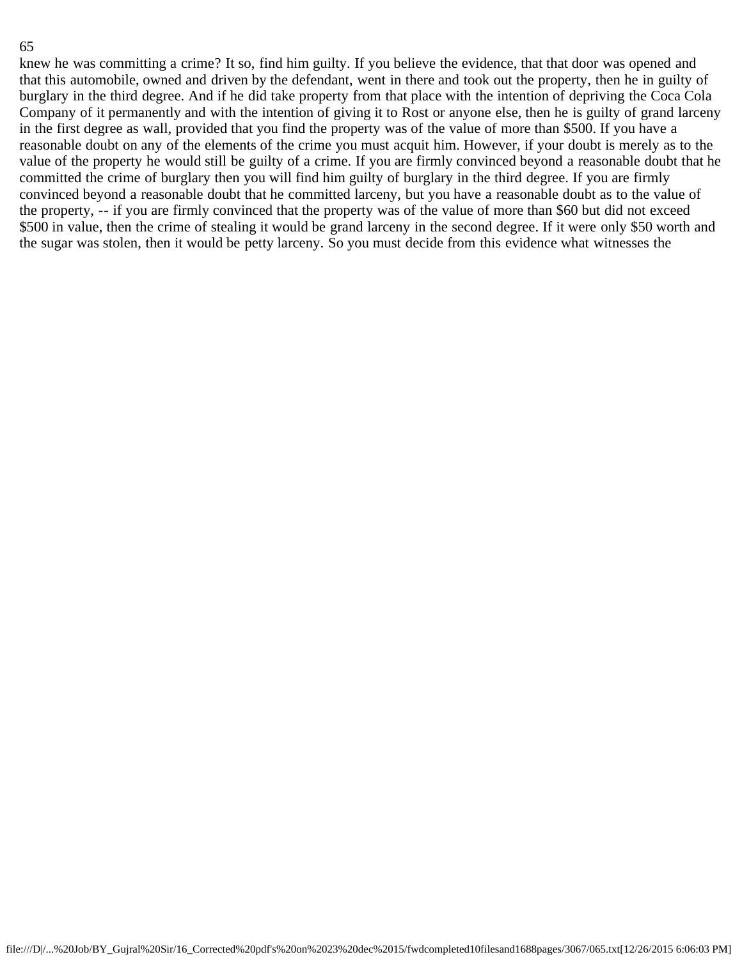knew he was committing a crime? It so, find him guilty. If you believe the evidence, that that door was opened and that this automobile, owned and driven by the defendant, went in there and took out the property, then he in guilty of burglary in the third degree. And if he did take property from that place with the intention of depriving the Coca Cola Company of it permanently and with the intention of giving it to Rost or anyone else, then he is guilty of grand larceny in the first degree as wall, provided that you find the property was of the value of more than \$500. If you have a reasonable doubt on any of the elements of the crime you must acquit him. However, if your doubt is merely as to the value of the property he would still be guilty of a crime. If you are firmly convinced beyond a reasonable doubt that he committed the crime of burglary then you will find him guilty of burglary in the third degree. If you are firmly convinced beyond a reasonable doubt that he committed larceny, but you have a reasonable doubt as to the value of the property, -- if you are firmly convinced that the property was of the value of more than \$60 but did not exceed \$500 in value, then the crime of stealing it would be grand larceny in the second degree. If it were only \$50 worth and the sugar was stolen, then it would be petty larceny. So you must decide from this evidence what witnesses the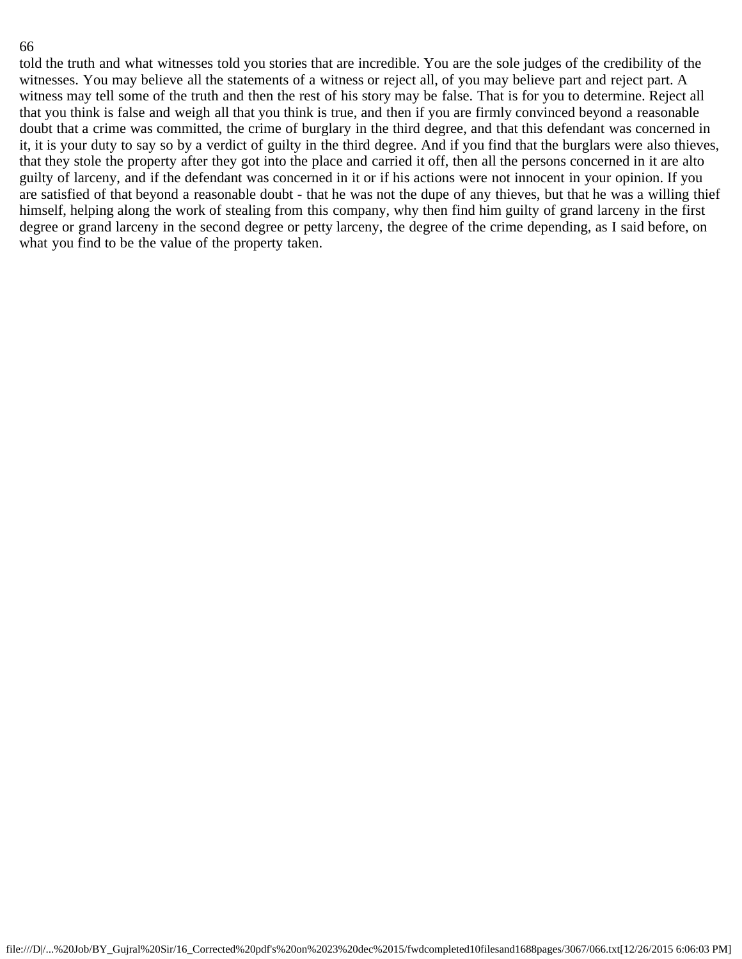told the truth and what witnesses told you stories that are incredible. You are the sole judges of the credibility of the witnesses. You may believe all the statements of a witness or reject all, of you may believe part and reject part. A witness may tell some of the truth and then the rest of his story may be false. That is for you to determine. Reject all that you think is false and weigh all that you think is true, and then if you are firmly convinced beyond a reasonable doubt that a crime was committed, the crime of burglary in the third degree, and that this defendant was concerned in it, it is your duty to say so by a verdict of guilty in the third degree. And if you find that the burglars were also thieves, that they stole the property after they got into the place and carried it off, then all the persons concerned in it are alto guilty of larceny, and if the defendant was concerned in it or if his actions were not innocent in your opinion. If you are satisfied of that beyond a reasonable doubt - that he was not the dupe of any thieves, but that he was a willing thief himself, helping along the work of stealing from this company, why then find him guilty of grand larceny in the first degree or grand larceny in the second degree or petty larceny, the degree of the crime depending, as I said before, on what you find to be the value of the property taken.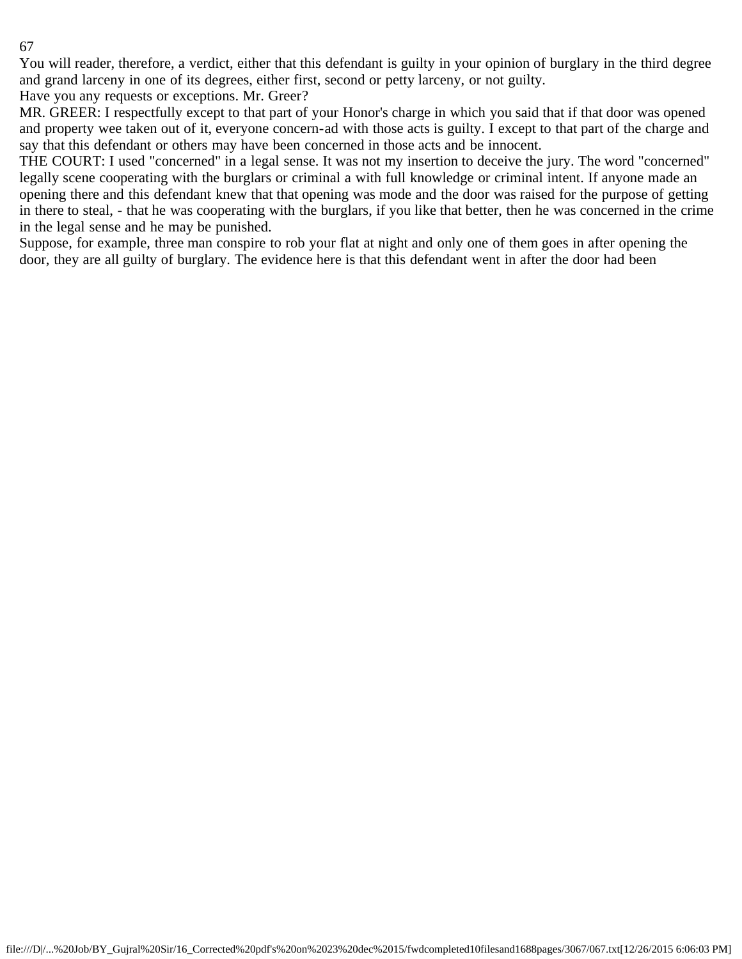You will reader, therefore, a verdict, either that this defendant is guilty in your opinion of burglary in the third degree and grand larceny in one of its degrees, either first, second or petty larceny, or not guilty.

Have you any requests or exceptions. Mr. Greer?

MR. GREER: I respectfully except to that part of your Honor's charge in which you said that if that door was opened and property wee taken out of it, everyone concern-ad with those acts is guilty. I except to that part of the charge and say that this defendant or others may have been concerned in those acts and be innocent.

THE COURT: I used "concerned" in a legal sense. It was not my insertion to deceive the jury. The word "concerned" legally scene cooperating with the burglars or criminal a with full knowledge or criminal intent. If anyone made an opening there and this defendant knew that that opening was mode and the door was raised for the purpose of getting in there to steal, - that he was cooperating with the burglars, if you like that better, then he was concerned in the crime in the legal sense and he may be punished.

Suppose, for example, three man conspire to rob your flat at night and only one of them goes in after opening the door, they are all guilty of burglary. The evidence here is that this defendant went in after the door had been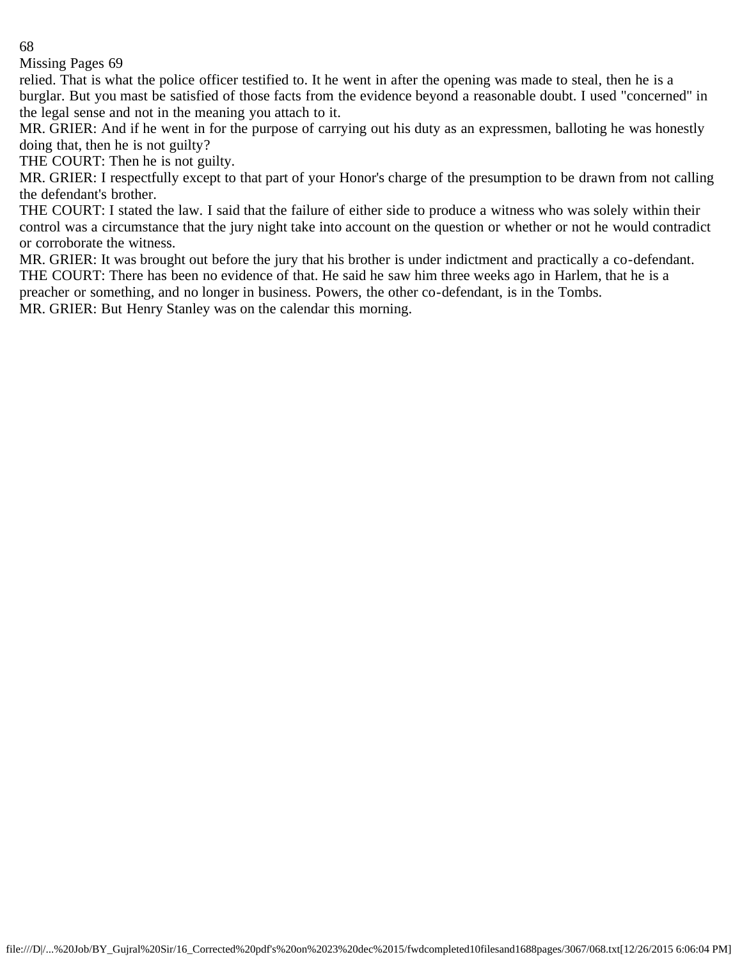Missing Pages 69

relied. That is what the police officer testified to. It he went in after the opening was made to steal, then he is a burglar. But you mast be satisfied of those facts from the evidence beyond a reasonable doubt. I used "concerned" in the legal sense and not in the meaning you attach to it.

MR. GRIER: And if he went in for the purpose of carrying out his duty as an expressmen, balloting he was honestly doing that, then he is not guilty?

THE COURT: Then he is not guilty.

MR. GRIER: I respectfully except to that part of your Honor's charge of the presumption to be drawn from not calling the defendant's brother.

THE COURT: I stated the law. I said that the failure of either side to produce a witness who was solely within their control was a circumstance that the jury night take into account on the question or whether or not he would contradict or corroborate the witness.

MR. GRIER: It was brought out before the jury that his brother is under indictment and practically a co-defendant. THE COURT: There has been no evidence of that. He said he saw him three weeks ago in Harlem, that he is a

preacher or something, and no longer in business. Powers, the other co-defendant, is in the Tombs.

MR. GRIER: But Henry Stanley was on the calendar this morning.